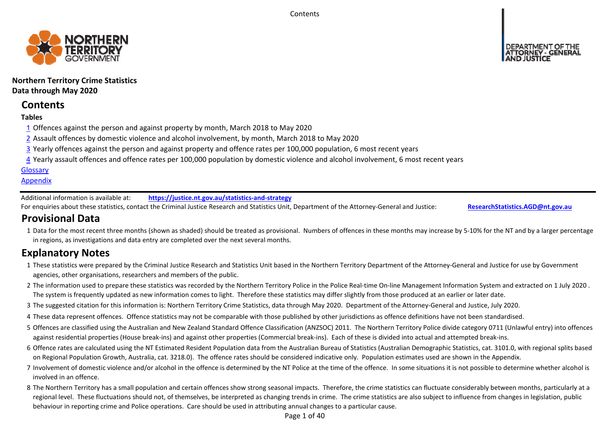**Contents** 



# **Northern Territory Crime Statistics Data through May 2020**

# **Contents**

# **Tables**

- 1 Offences against the person and against property by month, March 2018 to May 2020
- 2 Assault offences by domestic violence and alcohol involvement, by month, March 2018 to May 2020
- 3 Yearly offences against the person and against property and offence rates per 100,000 population, 6 most recent years
- 4 Yearly assault offences and offence rates per 100,000 population by domestic violence and alcohol involvement, 6 most recent years

# **Glossary**

# **Appendix**

Additional information is available at:**https://justice.nt.gov.au/statistics‐and‐strategy**

For enquiries about these statistics, contact the Criminal Justice Research and Statistics Unit, Department of the Attorney‐General and Justice: **ResearchStatistics.AGD@nt.gov.au**

# **Provisional Data**

1 Data for the most recent three months (shown as shaded) should be treated as provisional. Numbers of offences in these months may increase by 5‐10% for the NT and by a larger percentage in regions, as investigations and data entry are completed over the next several months.

# **Explanatory Notes**

- 1These statistics were prepared by the Criminal Justice Research and Statistics Unit based in the Northern Territory Department of the Attorney‐General and Justice for use by Government agencies, other organisations, researchers and members of the public.
- 2 The information used to prepare these statistics was recorded by the Northern Territory Police in the Police Real-time On-line Management Information System and extracted on 1 July 2020 . The system is frequently updated as new information comes to light. Therefore these statistics may differ slightly from those produced at an earlier or later date.
- 3 The suggested citation for this information is: Northern Territory Crime Statistics, data through May 2020. Department of the Attorney‐General and Justice, July 2020.
- 4These data represent offences. Offence statistics may not be comparable with those published by other jurisdictions as offence definitions have not been standardised.
- 5 Offences are classified using the Australian and New Zealand Standard Offence Classification (ANZSOC) 2011. The Northern Territory Police divide category 0711 (Unlawful entry) into offences against residential properties (House break‐ins) and against other properties (Commercial break‐ins). Each of these is divided into actual and attempted break‐ins.
- 6 Offence rates are calculated using the NT Estimated Resident Population data from the Australian Bureau of Statistics (Australian Demographic Statistics, cat. 3101.0, with regional splits based on Regional Population Growth, Australia, cat. 3218.0). The offence rates should be considered indicative only. Population estimates used are shown in the Appendix.
- 7 Involvement of domestic violence and/or alcohol in the offence is determined by the NT Police at the time of the offence. In some situations it is not possible to determine whether alcohol is involved in an offence.
- 8 The Northern Territory has a small population and certain offences show strong seasonal impacts. Therefore, the crime statistics can fluctuate considerably between months, particularly at a regional level. These fluctuations should not, of themselves, be interpreted as changing trends in crime. The crime statistics are also subject to influence from changes in legislation, public behaviour in reporting crime and Police operations. Care should be used in attributing annual changes to a particular cause.

Page 1 of 40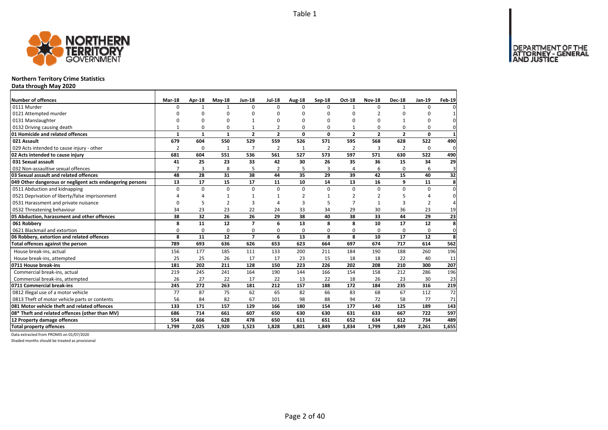

# **Northern Territory Crime Statistics**

**Data through May 2020**

| Number of offences                                        | <b>Mar-18</b>  | Apr-18       | $May-18$       | <b>Jun-18</b>  | <b>Jul-18</b>  | Aug-18       | Sep-18         | <b>Oct-18</b>  | <b>Nov-18</b>  | <b>Dec-18</b>  | Jan-19         | Feb-19      |
|-----------------------------------------------------------|----------------|--------------|----------------|----------------|----------------|--------------|----------------|----------------|----------------|----------------|----------------|-------------|
| 0111 Murder                                               | U              | $\mathbf{1}$ | $\mathbf{1}$   | $\Omega$       | $\Omega$       | $\Omega$     | $\Omega$       | $\mathbf{1}$   | $\Omega$       | $\mathbf{1}$   | 0              |             |
| 0121 Attempted murder                                     | n              | n            | $\Omega$       | n              | O              | U            | $\Omega$       | O              | $\overline{2}$ | $\Omega$       | O              |             |
| 0131 Manslaughter                                         | O              | C            | 0              |                | 0              | 0            | $\Omega$       | $\Omega$       | $\Omega$       | $\mathbf{1}$   | 0              | $\Omega$    |
| 0132 Driving causing death                                | 1              | 0            | $\Omega$       |                | $\mathfrak{p}$ | 0            | $\Omega$       |                | $\Omega$       | $\Omega$       | 0              | $\Omega$    |
| 01 Homicide and related offences                          | $\mathbf{1}$   | $\mathbf{1}$ | $\mathbf{1}$   | $\overline{2}$ | $\overline{2}$ | 0            | 0              | $\overline{2}$ | $\overline{2}$ | $\overline{2}$ | 0              | 1           |
| 021 Assault                                               | 679            | 604          | 550            | 529            | 559            | 526          | 571            | 595            | 568            | 628            | 522            | 490         |
| 029 Acts intended to cause injury - other                 | $\overline{2}$ | $\Omega$     | 1              | 7              | $\overline{2}$ | $\mathbf{1}$ | $\overline{2}$ | $\overline{2}$ | 3              | $\overline{2}$ | 0              | $\mathbf 0$ |
| 02 Acts intended to cause injury                          | 681            | 604          | 551            | 536            | 561            | 527          | 573            | 597            | 571            | 630            | 522            | 490         |
| 031 Sexual assault                                        | 41             | 25           | 23             | 33             | 42             | 30           | 26             | 35             | 36             | 15             | 34             | 29          |
| 032 Non-assaultive sexual offences                        | $\overline{7}$ | 3            | 8              | 5              | $\overline{2}$ | 5            | 3              | $\overline{4}$ | 6              | 0              | 6              | 3           |
| 03 Sexual assault and related offences                    | 48             | 28           | 31             | 38             | 44             | 35           | 29             | 39             | 42             | 15             | 40             | 32          |
| 049 Other dangerous or negligent acts endangering persons | 13             | 17           | 15             | 17             | 11             | 10           | 14             | 13             | 16             | 9              | 11             | 8           |
| 0511 Abduction and kidnapping                             | $\Omega$       | $\Omega$     | $\mathbf 0$    | $\Omega$       | $\Omega$       | 0            | $\Omega$       | $\Omega$       | $\Omega$       | $\Omega$       | 0              | $\Omega$    |
| 0521 Deprivation of liberty/false imprisonment            | Δ              | Δ            | $\mathbf{1}$   | 1              | 1              | 2            | $\mathbf{1}$   |                | $\overline{2}$ | 5              |                | $\Omega$    |
| 0531 Harassment and private nuisance                      | O              | 5            | $\overline{2}$ | 3              | $\Delta$       | 3            | 5              |                | 1              | 3              | $\overline{2}$ | 4           |
| 0532 Threatening behaviour                                | 34             | 23           | 23             | 22             | 24             | 33           | 34             | 29             | 30             | 36             | 23             | 19          |
| 05 Abduction, harassment and other offences               | 38             | 32           | 26             | 26             | 29             | 38           | 40             | 38             | 33             | 44             | 29             | 23          |
| 061 Robberv                                               | 8              | 11           | 12             | $\overline{7}$ | 6              | 13           | 8              | 8              | 10             | 17             | 12             | 8           |
| 0621 Blackmail and extortion                              | 0              | 0            | $\mathbf 0$    | 0              | 0              | 0            | 0              | $\mathbf 0$    | 0              | 0              | 0              | 0           |
| 06 Robbery, extortion and related offences                | 8              | 11           | 12             | $\overline{7}$ | 6              | 13           | 8              | 8              | 10             | 17             | 12             | 8           |
| Total offences against the person                         | 789            | 693          | 636            | 626            | 653            | 623          | 664            | 697            | 674            | 717            | 614            | 562         |
| House break-ins, actual                                   | 156            | 177          | 185            | 111            | 133            | 200          | 211            | 184            | 190            | 188            | 260            | 196         |
| House break-ins, attempted                                | 25             | 25           | 26             | 17             | 17             | 23           | 15             | 18             | 18             | 22             | 40             | 11          |
| 0711 House break-ins                                      | 181            | 202          | 211            | 128            | 150            | 223          | 226            | 202            | 208            | 210            | 300            | 207         |
| Commercial break-ins, actual                              | 219            | 245          | 241            | 164            | 190            | 144          | 166            | 154            | 158            | 212            | 286            | 196         |
| Commercial break-ins, attempted                           | 26             | 27           | 22             | 17             | 22             | 13           | 22             | 18             | 26             | 23             | 30             | 23          |
| 0711 Commercial break-ins                                 | 245            | 272          | 263            | 181            | 212            | 157          | 188            | 172            | 184            | 235            | 316            | 219         |
| 0812 Illegal use of a motor vehicle                       | 77             | 87           | 75             | 62             | 65             | 82           | 66             | 83             | 68             | 67             | 112            | 72          |
| 0813 Theft of motor vehicle parts or contents             | 56             | 84           | 82             | 67             | 101            | 98           | 88             | 94             | 72             | 58             | 77             | 71          |
| 081 Motor vehicle theft and related offences              | 133            | 171          | 157            | 129            | 166            | 180          | 154            | 177            | 140            | 125            | 189            | 143         |
| 08* Theft and related offences (other than MV)            | 686            | 714          | 661            | 607            | 650            | 630          | 630            | 631            | 633            | 667            | 722            | 597         |
| 12 Property damage offences                               | 554            | 666          | 628            | 478            | 650            | 611          | 651            | 652            | 634            | 612            | 734            | 489         |
| <b>Total property offences</b>                            | 1.799          | 2,025        | 1.920          | 1.523          | 1.828          | 1.801        | 1.849          | 1.834          | 1.799          | 1.849          | 2.261          | 1,655       |

Data extracted from PROMIS on 01/07/2020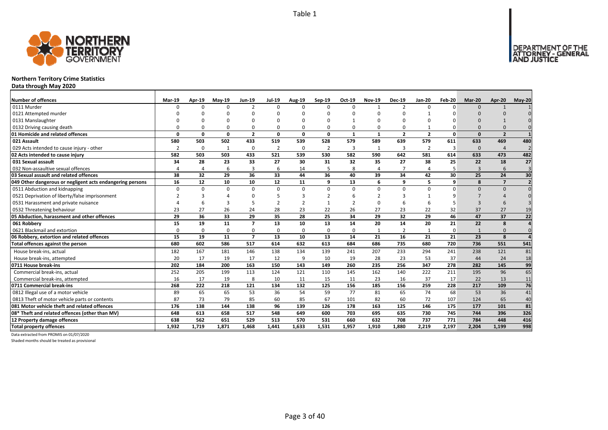

# **Northern Territory Crime Statistics**

**Data through May 2020**

| <b>Number of offences</b>                                 | <b>Mar-19</b> | Apr-19       | <b>Mav-19</b> | <b>Jun-19</b>            | <b>Jul-19</b>  | Aug-19       | Sep-19         | Oct-19        | <b>Nov-19</b>  | <b>Dec-19</b>  | Jan-20         | Feb-20 | Mar-20         | Apr-20         | $May-20$       |
|-----------------------------------------------------------|---------------|--------------|---------------|--------------------------|----------------|--------------|----------------|---------------|----------------|----------------|----------------|--------|----------------|----------------|----------------|
| 0111 Murder                                               | n             | ŋ            | $\Omega$      | $\overline{\phantom{a}}$ | $\Omega$       | n            | <sup>n</sup>   | $\Omega$      | $\mathbf{1}$   | $\mathcal{P}$  |                |        | $\Omega$       |                |                |
| 0121 Attempted murder                                     |               |              |               |                          | ŋ              |              |                |               |                | n              |                |        |                |                |                |
| 0131 Manslaughter                                         |               |              |               |                          | O              |              |                |               |                | $\Omega$       |                |        |                |                |                |
| 0132 Driving causing death                                |               |              |               | 0                        | $\Omega$       |              |                |               | $\Omega$       | $\Omega$       |                |        |                |                |                |
| 01 Homicide and related offences                          | $\Omega$      | 0            | 0             | $\overline{2}$           | 0              | $\mathbf{0}$ | 0              | $\mathbf{1}$  | $\mathbf{1}$   | $\overline{2}$ | $\overline{2}$ | O      | $\Omega$       | $\overline{2}$ |                |
| 021 Assault                                               | 580           | 503          | 502           | 433                      | 519            | 539          | 528            | 579           | 589            | 639            | 579            | 611    | 633            | 469            | 480            |
| 029 Acts intended to cause injury - other                 |               | 0            | -1            | $\mathbf 0$              | $\overline{2}$ | $\Omega$     | $\overline{2}$ | 3             | 1              | 3              | $\overline{2}$ | 3      | $\Omega$       | $\overline{4}$ |                |
| 02 Acts intended to cause injury                          | 582           | 503          | 503           | 433                      | 521            | 539          | 530            | 582           | 590            | 642            | 581            | 614    | 633            | 473            | 482            |
| 031 Sexual assault                                        | 34            | 28           | 23            | 33                       | 27             | 30           | 31             | 32            | 35             | 27             | 38             | 25     | 22             | 18             | 27             |
| 032 Non-assaultive sexual offences                        |               | Δ            | 6             | $\overline{3}$           | 6              | 14           | 5              | 8             | $\overline{4}$ | $\overline{7}$ |                | 5      | $\overline{3}$ | 6              | $\overline{3}$ |
| 03 Sexual assault and related offences                    | 38            | 32           | 29            | 36                       | 33             | 44           | 36             | 40            | 39             | 34             | 42             | 30     | 25             | 24             | 30             |
| 049 Other dangerous or negligent acts endangering persons | 16            | 12           | 10            | 10                       | 12             | 11           | q              | 13            | 6              | 9              |                | q      | $\mathbf{g}$   | $\overline{z}$ | $\overline{2}$ |
| 0511 Abduction and kidnapping                             | $\Omega$      | <sup>0</sup> | n             | $\Omega$                 | $\Omega$       | $\Omega$     | U              | $\Omega$      | $\Omega$       | $\Omega$       | $\Omega$       |        | $\Omega$       | $\Omega$       | $\Omega$       |
| 0521 Deprivation of liberty/false imprisonment            |               |              |               | $\Omega$                 | 5              | 3            |                |               |                | 3              |                |        |                |                |                |
| 0531 Harassment and private nuisance                      |               |              |               | 5                        | $\mathbf{D}$   |              |                | $\mathcal{P}$ | $\Omega$       | 6              |                |        | $\mathbf{3}$   |                |                |
| 0532 Threatening behaviour                                | 23            | 27           | 26            | 24                       | 28             | 23           | 22             | 26            | 27             | 23             | 22             | 32     | 37             | 27             | 19             |
| 05 Abduction, harassment and other offences               | 29            | 36           | 33            | 29                       | 35             | 28           | 25             | 34            | 29             | 32             | 29             | 46     | 47             | 37             | 22             |
| 061 Robbery                                               | 15            | 19           | 11            | $\overline{7}$           | 13             | 10           | 13             | 14            | 20             | 14             | 20             | 21     | 22             | 8              | 4              |
| 0621 Blackmail and extortion                              | $\Omega$      | 0            | $\Omega$      | 0                        | 0              | $\Omega$     | $\Omega$       | $\Omega$      | $\mathbf{1}$   | $\overline{2}$ |                | O      |                | $\Omega$       | $\Omega$       |
| 06 Robbery, extortion and related offences                | 15            | 19           | 11            | $\overline{z}$           | 13             | 10           | 13             | 14            | 21             | 16             | 21             | 21     | 23             | 8              |                |
| Total offences against the person                         | 680           | 602          | 586           | 517                      | 614            | 632          | 613            | 684           | 686            | 735            | 680            | 720    | 736            | 551            | 541            |
| House break-ins, actual                                   | 182           | 167          | 181           | 146                      | 138            | 134          | 139            | 241           | 207            | 233            | 294            | 241    | 238            | 121            | 81             |
| House break-ins, attempted                                | 20            | 17           | 19            | 17                       | 12             | 9            | 10             | 19            | 28             | 23             | 53             | 37     | 44             | 24             | 18             |
| 0711 House break-ins                                      | 202           | 184          | 200           | 163                      | 150            | 143          | 149            | 260           | 235            | 256            | 347            | 278    | 282            | 145            | 99             |
| Commercial break-ins, actual                              | 252           | 205          | 199           | 113                      | 124            | 121          | 110            | 145           | 162            | 140            | 222            | 211    | 195            | 96             | 65             |
| Commercial break-ins, attempted                           | 16            | 17           | 19            | 8                        | 10             | 11           | 15             | 11            | 23             | 16             | 37             | 17     | 22             | 13             | 11             |
| 0711 Commercial break-ins                                 | 268           | 222          | 218           | 121                      | 134            | 132          | 125            | 156           | 185            | 156            | 259            | 228    | 217            | 109            | 76             |
| 0812 Illegal use of a motor vehicle                       | 89            | 65           | 65            | 53                       | 36             | 54           | 59             | 77            | 81             | 65             | 74             | 68     | 53             | 36             | 41             |
| 0813 Theft of motor vehicle parts or contents             | 87            | 73           | 79            | 85                       | 60             | 85           | 67             | 101           | 82             | 60             | 72             | 107    | 124            | 65             | 40             |
| 081 Motor vehicle theft and related offences              | 176           | 138          | 144           | 138                      | 96             | 139          | 126            | 178           | 163            | 125            | 146            | 175    | 177            | 101            | 81             |
| 08* Theft and related offences (other than MV)            | 648           | 613          | 658           | 517                      | 548            | 649          | 600            | 703           | 695            | 635            | 730            | 745    | 744            | 396            | 326            |
| 12 Property damage offences                               | 638           | 562          | 651           | 529                      | 513            | 570          | 531            | 660           | 632            | 708            | 737            | 771    | 784            | 448            | 416            |
| <b>Total property offences</b>                            | 1.932         | 1.719        | 1.871         | 1,468                    | 1.441          | 1.633        | 1.531          | 1,957         | 1,910          | 1.880          | 2.219          | 2.197  | 2.204          | 1,199          | 998            |

Data extracted from PROMIS on 01/07/2020

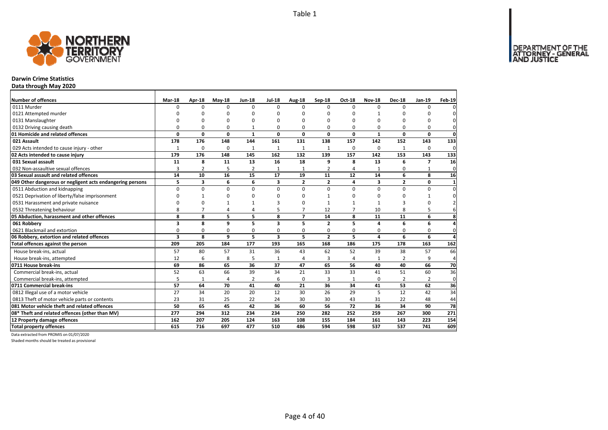DEPARTMENT OF THE<br>ATTORNEY - GENERAL



# **Darwin Crime Statistics**

**Data through May 2020**

| Number of offences                                        | Mar-18       | Apr-18         | $May-18$     | <b>Jun-18</b>  | <b>Jul-18</b>           | Aug-18         | Sep-18         | <b>Oct-18</b>  | <b>Nov-18</b>  | <b>Dec-18</b>  | Jan-19         | Feb-19         |
|-----------------------------------------------------------|--------------|----------------|--------------|----------------|-------------------------|----------------|----------------|----------------|----------------|----------------|----------------|----------------|
| 0111 Murder                                               | <sup>0</sup> | <sup>0</sup>   | $\Omega$     | $\Omega$       | $\Omega$                | $\Omega$       | $\Omega$       | $\Omega$       | $\Omega$       | $\Omega$       | $\Omega$       |                |
| 0121 Attempted murder                                     | U            | <sup>0</sup>   | n            | $\Omega$       |                         | $\Omega$       | O              | ŋ              | $\mathbf{1}$   |                | ŋ              |                |
| 0131 Manslaughter                                         | $\Omega$     | 0              | O            | $\Omega$       |                         | $\Omega$       | $\Omega$       | O              | $\Omega$       |                | 0              | 0              |
| 0132 Driving causing death                                | $\Omega$     | 0              | $\Omega$     | 1              | $\Omega$                | $\Omega$       | 0              | O              | $\Omega$       |                | 0              | 0              |
| 01 Homicide and related offences                          | $\Omega$     | 0              | $\mathbf{0}$ | $\mathbf{1}$   | $\Omega$                | 0              | 0              | 0              | $\mathbf{1}$   | $\Omega$       | 0              | $\mathbf 0$    |
| 021 Assault                                               | 178          | 176            | 148          | 144            | 161                     | 131            | 138            | 157            | 142            | 152            | 143            | 133            |
| 029 Acts intended to cause injury - other                 | $\mathbf{1}$ | 0              | $\Omega$     | $\mathbf{1}$   | 1                       | 1              | 1              | $\Omega$       | $\Omega$       | 1              | $\Omega$       | 0              |
| 02 Acts intended to cause injury                          | 179          | 176            | 148          | 145            | 162                     | 132            | 139            | 157            | 142            | 153            | 143            | 133            |
| 031 Sexual assault                                        | 11           | 8              | 11           | 13             | 16                      | 18             | 9              | 8              | 13             | 6              | $\overline{ }$ | 16             |
| 032 Non-assaultive sexual offences                        | 3            | $\overline{2}$ | 5            | $\overline{2}$ | $\mathbf{1}$            | $\mathbf{1}$   | $\overline{2}$ | $\overline{a}$ | $\mathbf{1}$   | 0              | $\mathbf{1}$   | $\mathbf{0}$   |
| 03 Sexual assault and related offences                    | 14           | 10             | 16           | 15             | 17                      | 19             | 11             | 12             | 14             | 6              | 8              | 16             |
| 049 Other dangerous or negligent acts endangering persons | 5            | 3              | 6            | 6              | 3                       | $\overline{2}$ | $\overline{2}$ | 4              | 3              | $\mathbf{2}$   | 0              | 1              |
| 0511 Abduction and kidnapping                             | $\Omega$     | $\Omega$       | 0            | $\Omega$       | $\Omega$                | $\Omega$       | $\Omega$       | $\Omega$       | $\Omega$       | $\Omega$       | 0              | $\Omega$       |
| 0521 Deprivation of liberty/false imprisonment            | $\Omega$     | $\mathbf{1}$   | 0            | $\Omega$       |                         | ŋ              | $\mathbf{1}$   | ŋ              | $\Omega$       | n              | 1              | 0              |
| 0531 Harassment and private nuisance                      | $\Omega$     | O              |              |                |                         | $\Omega$       | 1              |                | $\mathbf{1}$   | 3              | $\Omega$       |                |
| 0532 Threatening behaviour                                | 8            | $\overline{7}$ | 4            | 4              |                         | $\overline{7}$ | 12             | 7              | 10             | 8              | 5              |                |
| 05 Abduction, harassment and other offences               | 8            | 8              | 5            | 5              | 8                       | $\overline{ }$ | 14             | 8              | 11             | 11             | 6              | 8              |
| 061 Robberv                                               | 3            | 8              | 9            | 5              | 3                       | 5              | $\overline{2}$ | 5              | 4              | 6              | 6              | 4              |
| 0621 Blackmail and extortion                              | $\Omega$     | 0              | 0            | 0              | 0                       | 0              | 0              | 0              | 0              | 0              | 0              | $\mathbf{0}$   |
| 06 Robbery, extortion and related offences                | 3            | 8              | 9            | 5              | $\overline{\mathbf{3}}$ | 5              | $\overline{2}$ | 5              | $\overline{a}$ | 6              | 6              | $\overline{a}$ |
| Total offences against the person                         | 209          | 205            | 184          | 177            | 193                     | 165            | 168            | 186            | 175            | 178            | 163            | 162            |
| House break-ins, actual                                   | 57           | 80             | 57           | 31             | 36                      | 43             | 62             | 52             | 39             | 38             | 57             | 66             |
| House break-ins, attempted                                | 12           | 6              | 8            | 5              | $\mathbf{1}$            | 4              | 3              | $\overline{4}$ | $\mathbf{1}$   | $\overline{2}$ | 9              | 4              |
| 0711 House break-ins                                      | 69           | 86             | 65           | 36             | 37                      | 47             | 65             | 56             | 40             | 40             | 66             | 70             |
| Commercial break-ins, actual                              | 52           | 63             | 66           | 39             | 34                      | 21             | 33             | 33             | 41             | 51             | 60             | 36             |
| Commercial break-ins, attempted                           | 5            | $\mathbf{1}$   | 4            | $\overline{2}$ | 6                       | 0              | 3              | 1              | 0              | 2              | 2              | 0              |
| 0711 Commercial break-ins                                 | 57           | 64             | 70           | 41             | 40                      | 21             | 36             | 34             | 41             | 53             | 62             | 36             |
| 0812 Illegal use of a motor vehicle                       | 27           | 34             | 20           | 20             | 12                      | 30             | 26             | 29             | 5              | 12             | 42             | 34             |
| 0813 Theft of motor vehicle parts or contents             | 23           | 31             | 25           | 22             | 24                      | 30             | 30             | 43             | 31             | 22             | 48             | 44             |
| 081 Motor vehicle theft and related offences              | 50           | 65             | 45           | 42             | 36                      | 60             | 56             | 72             | 36             | 34             | 90             | 78             |
| 08* Theft and related offences (other than MV)            | 277          | 294            | 312          | 234            | 234                     | 250            | 282            | 252            | 259            | 267            | 300            | 271            |
| 12 Property damage offences                               | 162          | 207            | 205          | 124            | 163                     | 108            | 155            | 184            | 161            | 143            | 223            | 154            |
| <b>Total property offences</b>                            | 615          | 716            | 697          | 477            | 510                     | 486            | 594            | 598            | 537            | 537            | 741            | 609            |

Data extracted from PROMIS on 01/07/2020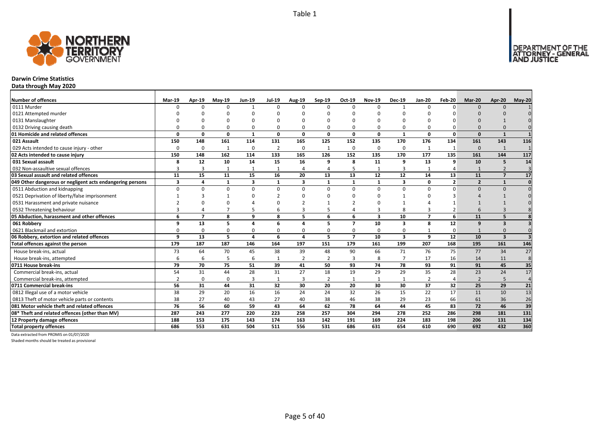

# **Darwin Crime Statistics**

**Data through May 2020**

| Number of offences                                        | Mar-19   | Apr-19         | $May-19$ | <b>Jun-19</b>  | <b>Jul-19</b>  | Aug-19         | $Sep-19$       | Oct-19                   | <b>Nov-19</b>           | <b>Dec-19</b>           | Jan-20         | Feb-20         | Mar-20         | Apr-20                  | $May-20$        |
|-----------------------------------------------------------|----------|----------------|----------|----------------|----------------|----------------|----------------|--------------------------|-------------------------|-------------------------|----------------|----------------|----------------|-------------------------|-----------------|
| 0111 Murder                                               |          |                | $\Omega$ | $\overline{1}$ | $\Omega$       |                | $\Omega$       | $\Omega$                 | $\Omega$                | -1                      | $\Omega$       | $\Omega$       | $\Omega$       | $\Omega$                |                 |
| 0121 Attempted murder                                     |          |                |          |                |                |                |                |                          |                         |                         |                |                |                |                         |                 |
| 0131 Manslaughter                                         |          |                |          |                |                |                |                |                          |                         |                         |                |                |                |                         |                 |
| 0132 Driving causing death                                |          |                | $\Omega$ | $\Omega$       | $\Omega$       |                |                | O                        | $\Omega$                | O                       |                |                |                |                         |                 |
| 01 Homicide and related offences                          | O        | O              | 0        | $\mathbf{1}$   | 0              | $\Omega$       | $\Omega$       | 0                        | $\mathbf{0}$            | $\overline{\mathbf{1}}$ | $\Omega$       | $\Omega$       | $\Omega$       | $\mathbf{1}$            |                 |
| 021 Assault                                               | 150      | 148            | 161      | 114            | 131            | 165            | 125            | 152                      | 135                     | 170                     | 176            | 134            | 161            | 143                     | 116             |
| 029 Acts intended to cause injury - other                 | $\Omega$ | 0              | 1        | $\mathbf 0$    | $\overline{2}$ | $\Omega$       |                | $\Omega$                 | $\mathbf 0$             | 0                       |                |                | $\Omega$       | 1                       |                 |
| 02 Acts intended to cause injury                          | 150      | 148            | 162      | 114            | 133            | 165            | 126            | 152                      | 135                     | 170                     | 177            | 135            | 161            | 144                     | 117             |
| 031 Sexual assault                                        | 8        | 12             | 10       | 14             | 15             | 16             | 9              | 8                        | 11                      | 9                       | 13             | 9              | 10             | 5                       | 14              |
| 032 Non-assaultive sexual offences                        | 3        | 3              |          | $\mathbf{1}$   | $\mathbf{1}$   |                |                | 5                        | $\mathbf{1}$            | 3                       |                |                |                | $\overline{2}$          | $\overline{3}$  |
| 03 Sexual assault and related offences                    | 11       | 15             | 11       | 15             | 16             | 20             | 13             | 13                       | 12                      | 12                      | 14             | 13             | 11             | $\overline{7}$          | 17              |
| 049 Other dangerous or negligent acts endangering persons | 3        | 4              | 1        | 3              | 1              | 3              | $\mathbf{1}$   | $\mathbf{1}$             | $\mathbf{1}$            | 3                       | 0              | $\overline{2}$ | $\overline{2}$ | $\mathbf{1}$            | $\mathbf{0}$    |
| 0511 Abduction and kidnapping                             | $\Omega$ | <sup>0</sup>   | $\Omega$ | $\Omega$       | 0              | $\Omega$       | $\Omega$       | $\Omega$                 | $\Omega$                | 0                       | $\Omega$       | $\Omega$       | $\Omega$       | $\Omega$                |                 |
| 0521 Deprivation of liberty/false imprisonment            |          |                |          | $\Omega$       |                |                |                | n                        | n                       |                         |                |                |                |                         |                 |
| 0531 Harassment and private nuisance                      |          |                |          |                | O              |                |                |                          |                         |                         |                |                |                |                         |                 |
| 0532 Threatening behaviour                                |          |                |          | 5              | 6              |                |                |                          | 3                       | 8                       |                |                |                |                         |                 |
| 05 Abduction, harassment and other offences               | 6        | $\overline{7}$ | 8        | 9              | 8              | 5              | 6              | 6                        | $\overline{\mathbf{3}}$ | 10                      | $\overline{ }$ | 6              | 11             | 5                       |                 |
| 061 Robbery                                               | q        | 13             | 5        | $\overline{4}$ | 6              | Δ              | 5              | $\overline{\mathbf{z}}$  | 10                      | 3                       | 8              | 12             | 9              | 3                       |                 |
| 0621 Blackmail and extortion                              |          | $\Omega$       | $\Omega$ | 0              | 0              |                | 0              | $\Omega$                 | 0                       | 0                       |                | $\Omega$       |                | $\Omega$                |                 |
| 06 Robbery, extortion and related offences                | q        | 13             | 5        | $\overline{a}$ | 6              | $\Delta$       | 5              | $\overline{\phantom{a}}$ | 10                      | 3                       | 9              | 12             | 10             | $\overline{\mathbf{3}}$ |                 |
| Total offences against the person                         | 179      | 187            | 187      | 146            | 164            | 197            | 151            | 179                      | 161                     | 199                     | 207            | 168            | 195            | 161                     | 146             |
| House break-ins, actual                                   | 73       | 64             | 70       | 45             | 38             | 39             | 48             | 90                       | 66                      | 71                      | 76             | 75             | 77             | 34                      | 27              |
| House break-ins, attempted                                | 6        | 6              | 5        | 6              | $\mathbf{1}$   | $\overline{2}$ | $\overline{2}$ | $\overline{3}$           | 8                       | $\overline{7}$          | 17             | 16             | 14             | 11                      | 8               |
| 0711 House break-ins                                      | 79       | 70             | 75       | 51             | 39             | 41             | 50             | 93                       | 74                      | 78                      | 93             | 91             | 91             | 45                      | 35              |
| Commercial break-ins, actual                              | 54       | 31             | 44       | 28             | 31             | 27             | 18             | 19                       | 29                      | 29                      | 35             | 28             | 23             | 24                      | 17              |
| Commercial break-ins, attempted                           |          | $\Omega$       | $\Omega$ | 3              | 1              | 3              | $\overline{2}$ | 1                        | 1                       | 1                       | $\overline{2}$ |                | $\overline{2}$ | 5                       | $\overline{4}$  |
| 0711 Commercial break-ins                                 | 56       | 31             | 44       | 31             | 32             | 30             | 20             | 20                       | 30                      | 30                      | 37             | 32             | 25             | 29                      | 21              |
| 0812 Illegal use of a motor vehicle                       | 38       | 29             | 20       | 16             | 16             | 24             | 24             | 32                       | 26                      | 15                      | 22             | 17             | 11             | 10                      | $\overline{13}$ |
| 0813 Theft of motor vehicle parts or contents             | 38       | 27             | 40       | 43             | 27             | 40             | 38             | 46                       | 38                      | 29                      | 23             | 66             | 61             | 36                      | 26              |
| 081 Motor vehicle theft and related offences              | 76       | 56             | 60       | 59             | 43             | 64             | 62             | 78                       | 64                      | 44                      | 45             | 83             | 72             | 46                      | 39              |
| 08* Theft and related offences (other than MV)            | 287      | 243            | 277      | 220            | 223            | 258            | 257            | 304                      | 294                     | 278                     | 252            | 286            | 298            | 181                     | 131             |
| 12 Property damage offences                               | 188      | 153            | 175      | 143            | 174            | 163            | 142            | 191                      | 169                     | 224                     | 183            | 198            | 206            | 131                     | 134             |
| <b>Total property offences</b>                            | 686      | 553            | 631      | 504            | 511            | 556            | 531            | 686                      | 631                     | 654                     | 610            | 690            | 692            | 432                     | 360             |

Data extracted from PROMIS on 01/07/2020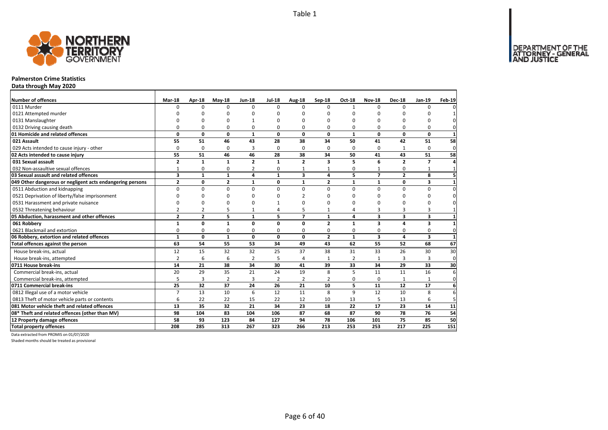

#### **Palmerston Crime Statistics**

**Data through May 2020**

| <b>Number of offences</b>                                 | Mar-18         | Apr-18          | $May-18$       | <b>Jun-18</b>  | <b>Jul-18</b>  | Aug-18         | Sep-18         | Oct-18         | <b>Nov-18</b>  | <b>Dec-18</b>  | Jan-19         | <b>Feb-19</b>  |
|-----------------------------------------------------------|----------------|-----------------|----------------|----------------|----------------|----------------|----------------|----------------|----------------|----------------|----------------|----------------|
| 0111 Murder                                               | $\Omega$       | $\Omega$        | $\Omega$       | $\Omega$       | $\Omega$       | $\Omega$       | 0              | $\mathbf{1}$   | $\Omega$       | $\Omega$       | $\Omega$       | 0              |
| 0121 Attempted murder                                     |                |                 | n              |                |                | n              | O              | O              |                | n              |                | $\mathbf{1}$   |
| 0131 Manslaughter                                         |                | O               | n              |                |                |                | O              | $\Omega$       | O              | $\Omega$       | O              | $\mathbf 0$    |
| 0132 Driving causing death                                | 0              | 0               | 0              | 0              | 0              | $\Omega$       | 0              | 0              | 0              | 0              | 0              | $\mathbf{0}$   |
| 01 Homicide and related offences                          | 0              | 0               | $\mathbf 0$    | $\mathbf{1}$   | 0              | 0              | 0              | $\mathbf{1}$   | 0              | 0              | 0              | $\mathbf{1}$   |
| 021 Assault                                               | 55             | 51              | 46             | 43             | 28             | 38             | 34             | 50             | 41             | 42             | 51             | 58             |
| 029 Acts intended to cause injury - other                 | 0              | $\mathbf 0$     | 0              | 3              | $\Omega$       | $\Omega$       | $\Omega$       | $\Omega$       | 0              |                | $\mathbf 0$    | $\mathbf 0$    |
| 02 Acts intended to cause injury                          | 55             | 51              | 46             | 46             | 28             | 38             | 34             | 50             | 41             | 43             | 51             | 58             |
| 031 Sexual assault                                        | $\overline{2}$ | $\mathbf{1}$    | $\mathbf{1}$   | $\overline{2}$ | $\mathbf{1}$   | $\overline{2}$ | 3              | 5              | 6              | $\overline{2}$ | $\overline{7}$ | 4              |
| 032 Non-assaultive sexual offences                        | $\mathbf{1}$   | $\mathbf 0$     | $\Omega$       | $\overline{2}$ | 0              | 1              |                | 0              |                | 0              | $\mathbf{1}$   | $\mathbf{1}$   |
| 03 Sexual assault and related offences                    | 3              | $\mathbf{1}$    | $\mathbf{1}$   | 4              | $\mathbf{1}$   | 3              | 4              | 5              | $\overline{7}$ | $\overline{2}$ | 8              | 5 <sup>1</sup> |
| 049 Other dangerous or negligent acts endangering persons | $\mathbf{2}$   | 0               | $\overline{2}$ | $\mathbf{1}$   | 0              | $\mathbf{1}$   | $\overline{2}$ | $\mathbf{1}$   | $\mathbf{1}$   | 0              | 3              | $\mathbf{1}$   |
| 0511 Abduction and kidnapping                             | $\Omega$       | $\Omega$        | $\Omega$       | $\Omega$       | $\Omega$       | $\Omega$       | $\Omega$       | $\Omega$       | $\Omega$       | $\Omega$       | 0              | $\pmb{0}$      |
| 0521 Deprivation of liberty/false imprisonment            | n              | O               | n              | n              |                | $\mathcal{P}$  | ŋ              | $\Omega$       | O              | $\Omega$       | $\Omega$       | 0              |
| 0531 Harassment and private nuisance                      | ∩              | $\Omega$        | O              |                |                | $\Omega$       | ŋ              | $\Omega$       | ŋ              | $\Omega$       | $\Omega$       | 0              |
| 0532 Threatening behaviour                                | $\overline{2}$ | $\overline{2}$  | 5              |                | Δ              | 5              |                | 4              | 3              | 3              | 3              | $\mathbf{1}$   |
| 05 Abduction, harassment and other offences               | $\overline{2}$ | $\overline{2}$  | 5              | $\mathbf{1}$   | 5              | $\overline{ }$ | $\mathbf{1}$   | 4              | 3              | 3              | 3              | $\mathbf{1}$   |
| 061 Robbery                                               | $\mathbf{1}$   | 0               | $\mathbf{1}$   | 0              | $\Omega$       | $\Omega$       | $\overline{2}$ | $\mathbf{1}$   | 3              | 4              | 3              | $\mathbf{1}$   |
| 0621 Blackmail and extortion                              | 0              | 0               | 0              | 0              | $\Omega$       | $\Omega$       | 0              | 0              | 0              | 0              | 0              | 0              |
| 06 Robbery, extortion and related offences                | $\mathbf{1}$   | 0               | $\mathbf{1}$   | 0              | 0              | 0              | $\overline{2}$ | $\mathbf{1}$   | 3              | 4              | 3              | $\mathbf{1}$   |
| Total offences against the person                         | 63             | 54              | 55             | 53             | 34             | 49             | 43             | 62             | 55             | 52             | 68             | 67             |
| House break-ins, actual                                   | 12             | 15              | 32             | 32             | 25             | 37             | 38             | 31             | 33             | 26             | 30             | 30             |
| House break-ins, attempted                                | $\overline{2}$ | 6               | 6              | $\overline{2}$ | 5              | $\overline{4}$ |                | $\overline{2}$ | $\mathbf{1}$   |                | $\overline{3}$ | $\mathbf{0}$   |
| 0711 House break-ins                                      | 14             | 21              | 38             | 34             | 30             | 41             | 39             | 33             | 34             | 29             | 33             | 30             |
| Commercial break-ins, actual                              | 20             | 29              | 35             | 21             | 24             | 19             | 8              | 5              | 11             | 11             | 16             | 6              |
| Commercial break-ins, attempted                           | 5              | 3               | $\overline{2}$ | $\overline{3}$ | $\overline{2}$ | $\overline{2}$ | 2              | 0              | $\Omega$       | $\mathbf{1}$   | $\mathbf{1}$   | $\mathbf 0$    |
| 0711 Commercial break-ins                                 | 25             | $\overline{32}$ | 37             | 24             | 26             | 21             | 10             | 5              | 11             | 12             | 17             | 6              |
| 0812 Illegal use of a motor vehicle                       | $\overline{7}$ | 13              | 10             | 6              | 12             | 11             | 8              | $\mathsf{q}$   | 12             | 10             | 8              | 6              |
| 0813 Theft of motor vehicle parts or contents             | 6              | 22              | 22             | 15             | 22             | 12             | 10             | 13             | 5              | 13             | 6              | 5 <sup>1</sup> |
| 081 Motor vehicle theft and related offences              | 13             | 35              | 32             | 21             | 34             | 23             | 18             | 22             | 17             | 23             | 14             | 11             |
| 08* Theft and related offences (other than MV)            | 98             | 104             | 83             | 104            | 106            | 87             | 68             | 87             | 90             | 78             | 76             | 54             |
| 12 Property damage offences                               | 58             | 93              | 123            | 84             | 127            | 94             | 78             | 106            | 101            | 75             | 85             | 50             |
| <b>Total property offences</b>                            | 208            | 285             | 313            | 267            | 323            | 266            | 213            | 253            | 253            | 217            | 225            | 151            |

Data extracted from PROMIS on 01/07/2020

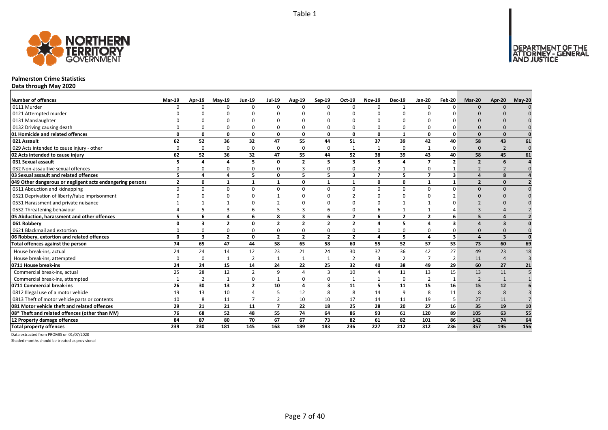

#### **Palmerston Crime Statistics**

**Data through May 2020**

| Number of offences                                        | <b>Mar-19</b>  | Apr-19         | $May-19$       | <b>Jun-19</b>  | <b>Jul-19</b>  | <b>Aug-19</b>  | Sep-19                  | Oct-19                  | <b>Nov-19</b>    | <b>Dec-19</b>  | Jan-20                   | Feb-20                  | Mar-20                   | Apr-20                  | $May-20$       |
|-----------------------------------------------------------|----------------|----------------|----------------|----------------|----------------|----------------|-------------------------|-------------------------|------------------|----------------|--------------------------|-------------------------|--------------------------|-------------------------|----------------|
| 0111 Murder                                               | <sup>n</sup>   | $\Omega$       | $\Omega$       | O              | 0              | $\Omega$       | $\Omega$                | n                       | $\Omega$         | $\mathbf{1}$   | $\Omega$                 | n                       | $\Omega$                 | $\cap$                  |                |
| 0121 Attempted murder                                     |                |                |                |                |                |                |                         |                         |                  |                |                          |                         |                          |                         |                |
| 0131 Manslaughter                                         |                |                |                |                |                |                |                         |                         |                  |                |                          |                         |                          |                         |                |
| 0132 Driving causing death                                |                |                |                | O              | 0              | 0              |                         |                         | $\Omega$         | $\Omega$       |                          |                         |                          |                         |                |
| 01 Homicide and related offences                          | $\Omega$       | 0              | $\Omega$       | 0              | $\mathbf 0$    | 0              | 0                       | $\Omega$                | 0                | $\mathbf{1}$   | $\Omega$                 | $\Omega$                | $\Omega$                 | $\Omega$                | $\Omega$       |
| 021 Assault                                               | 62             | 52             | 36             | 32             | 47             | 55             | 44                      | 51                      | 37               | 39             | 42                       | 40                      | 58                       | 43                      | 61             |
| 029 Acts intended to cause injury - other                 | 0              | 0              | $\Omega$       | 0              | 0              | $\Omega$       | $\Omega$                | 1                       | $\mathbf{1}$     | 0              |                          | $\Omega$                | $\Omega$                 | $\overline{2}$          | $\mathbf{0}$   |
| 02 Acts intended to cause injury                          | 62             | 52             | 36             | 32             | 47             | 55             | 44                      | 52                      | 38               | 39             | 43                       | 40                      | 58                       | 45                      | 61             |
| 031 Sexual assault                                        |                | Δ              |                | 5              | 0              | $\overline{2}$ | 5                       | 3                       | 5                | 4              | $\overline{\phantom{a}}$ | $\overline{2}$          | $\overline{2}$           | -6                      |                |
| 032 Non-assaultive sexual offences                        | $\Omega$       | <sup>0</sup>   | $\Omega$       | $\Omega$       | 0              | 3              | U                       |                         | $\overline{2}$   | $\mathbf{1}$   | $\Omega$                 |                         | $\overline{\phantom{0}}$ |                         |                |
| 03 Sexual assault and related offences                    | 5              | 4              | 4              | 5              | $\mathbf{0}$   | 5              | 5                       | $\overline{\mathbf{3}}$ | $\overline{7}$   | 5              | $\overline{ }$           | $\overline{\mathbf{3}}$ | $\sqrt{ }$               | $\mathbf{g}$            |                |
| 049 Other dangerous or negligent acts endangering persons | $\overline{2}$ | O              | $\mathbf{1}$   | -1             | 1              | 0              | 1                       | $\mathbf{1}$            | 0                | 0              | 1                        | 1                       | $\overline{2}$           | $\Omega$                |                |
| 0511 Abduction and kidnapping                             | $\Omega$       | $\Omega$       | $\Omega$       | $\Omega$       | $\Omega$       | $\Omega$       | $\Omega$                | $\Omega$                | $\Omega$         | $\Omega$       | $\Omega$                 | U                       | $\Omega$                 | $\Omega$                |                |
| 0521 Deprivation of liberty/false imprisonment            |                |                |                |                |                | ŋ              |                         |                         |                  | U              |                          |                         |                          |                         |                |
| 0531 Harassment and private nuisance                      |                |                |                |                |                |                |                         |                         |                  |                |                          |                         |                          |                         |                |
| 0532 Threatening behaviour                                |                |                | 3              | 6              | 5              | 3              | 6                       |                         | 6                | $\mathbf{1}$   |                          |                         |                          |                         |                |
| 05 Abduction, harassment and other offences               | 5.             | 6              | 4              | 6              | 8              | 3              | 6                       | $\overline{2}$          | 6                | $\overline{2}$ | $\overline{2}$           | 6                       | 5                        | $\overline{a}$          |                |
| 061 Robbery                                               | 0              | 3              | $\overline{2}$ | 0              | $\overline{2}$ | $\overline{2}$ | $\overline{2}$          | $\overline{2}$          | $\Delta$         | 5              | 4                        | $\overline{\mathbf{3}}$ |                          | $\mathbf{3}$            |                |
| 0621 Blackmail and extortion                              | 0              | $\Omega$       | $\Omega$       | 0              | 0              | $\Omega$       | 0                       | $\Omega$                | $\Omega$         | 0              | $\Omega$                 |                         | $\Omega$                 |                         |                |
| 06 Robbery, extortion and related offences                | 0              | 3              | $\overline{2}$ | 0              | $\overline{2}$ | $\overline{2}$ | $\overline{2}$          | $\overline{2}$          | $\overline{a}$   | 5              | $\overline{\mathbf{a}}$  | 3                       | $\mathbf{A}$             | $\overline{\mathbf{3}}$ | $\Omega$       |
| Total offences against the person                         | 74             | 65             | 47             | 44             | 58             | 65             | 58                      | 60                      | 55               | 52             | 57                       | 53                      | 73                       | 60                      | 69             |
| House break-ins, actual                                   | 24             | 24             | 14             | 12             | 23             | 21             | 24                      | 30                      | 37               | 36             | 42                       | 27                      | 49                       | 23                      | 18             |
| House break-ins, attempted                                | 0              | 0              | $\mathbf{1}$   | $\overline{2}$ | $\mathbf{1}$   |                | $\mathbf 1$             | $\overline{2}$          | $\overline{3}$   | $\overline{2}$ |                          | $\overline{2}$          | 11                       | $\Delta$                | $\overline{3}$ |
| 0711 House break-ins                                      | 24             | 24             | 15             | 14             | 24             | 22             | 25                      | 32                      | 40               | 38             | 49                       | 29                      | 60                       | 27                      | 21             |
| Commercial break-ins, actual                              | 25             | 28             | 12             | $\overline{2}$ | 9              | Δ              | 3                       | 10                      | $\overline{4}$   | 11             | 13                       | 15                      | 13                       | 11                      |                |
| Commercial break-ins, attempted                           |                | $\overline{2}$ | 1              | 0              | $\mathbf{1}$   | $\Omega$       | <sup>0</sup>            | 1                       |                  | 0              | $\overline{2}$           | -1                      | $\overline{2}$           | $\overline{1}$          |                |
| 0711 Commercial break-ins                                 | 26             | 30             | 13             | $\overline{2}$ | 10             | 4              | $\overline{\mathbf{3}}$ | 11                      | 5                | 11             | 15                       | 16                      | 15                       | 12                      |                |
| 0812 Illegal use of a motor vehicle                       | 19             | 13             | 10             | 4              | 5              | 12             | 8                       | 8                       | 14               | 9              | 8                        | 11                      | 8                        | 8                       |                |
| 0813 Theft of motor vehicle parts or contents             | 10             | 8              | 11             | $\overline{7}$ | $\overline{2}$ | 10             | 10                      | 17                      | 14               | 11             | 19                       | 5                       | 27                       | 11                      |                |
| 081 Motor vehicle theft and related offences              | 29             | 21             | 21             | 11             | $\overline{7}$ | 22             | 18                      | 25                      | 28               | 20             | 27                       | 16                      | 35                       | 19                      | 10             |
| 08* Theft and related offences (other than MV)            | 76             | 68             | 52             | 48             | 55             | 74             | 64                      | 86                      | 93               | 61             | 120                      | 89                      | 105                      | 63                      | 55             |
| 12 Property damage offences                               | 84             | 87             | 80             | 70             | 67             | 67             | 73                      | 82                      | 61               | 82             | 101                      | 86                      | 142                      | 74                      | 64             |
| <b>Total property offences</b>                            | 239            | 230            | 181            | 145            | 163            | 189            | 183                     | 236                     | $\overline{227}$ | 212            | 312                      | 236                     | 357                      | 195                     | 156            |

Data extracted from PROMIS on 01/07/2020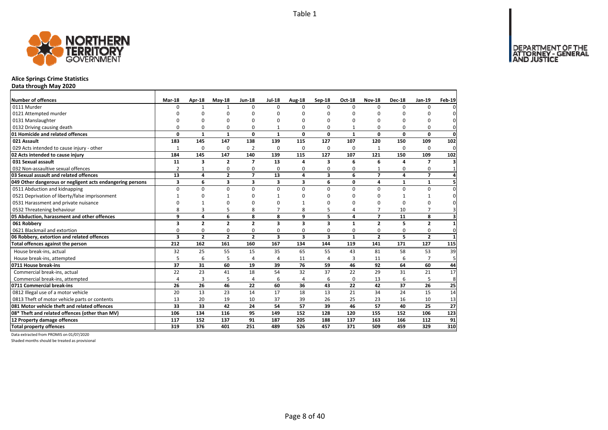DEPARTMENT OF THE<br>ATTORNEY - GENERAL



# **Alice Springs Crime Statistics**

**Data through May 2020**

| Number of offences                                        | <b>Mar-18</b>  | Apr-18         | $Mav-18$       | <b>Jun-18</b>  | <b>Jul-18</b>           | Aug-18         | Sep-18   | Oct-18       | <b>Nov-18</b>  | <b>Dec-18</b> | <b>Jan-19</b>  | <b>Feb-19</b>           |
|-----------------------------------------------------------|----------------|----------------|----------------|----------------|-------------------------|----------------|----------|--------------|----------------|---------------|----------------|-------------------------|
| 0111 Murder                                               | $\Omega$       | $\mathbf{1}$   | $\mathbf{1}$   | $\Omega$       | $\Omega$                | $\Omega$       | $\Omega$ | $\Omega$     | $\Omega$       | $\Omega$      | $\Omega$       | $\Omega$                |
| 0121 Attempted murder                                     |                | O              | 0              | O              |                         | n              | O        | O            | O              |               |                | 0                       |
| 0131 Manslaughter                                         |                | $\Omega$       | 0              | $\Omega$       | n                       | n              | O        | O            | $\Omega$       | $\Omega$      | O              | $\mathbf{0}$            |
| 0132 Driving causing death                                | $\Omega$       | 0              | 0              | 0              |                         | 0              | O        |              | O              | <sup>0</sup>  | 0              | $\mathbf{0}$            |
| 01 Homicide and related offences                          | $\Omega$       | $\mathbf{1}$   | $\mathbf{1}$   | $\mathbf{0}$   | $\mathbf{1}$            | $\Omega$       | 0        | $\mathbf{1}$ | 0              | 0             | 0              | $\mathbf{0}$            |
| 021 Assault                                               | 183            | 145            | 147            | 138            | 139                     | 115            | 127      | 107          | 120            | 150           | 109            | 102                     |
| 029 Acts intended to cause injury - other                 | $\mathbf{1}$   | 0              | 0              | $\overline{2}$ | $\Omega$                | $\Omega$       | 0        | $\Omega$     | 1              | $\Omega$      | 0              | $\mathbf 0$             |
| 02 Acts intended to cause injury                          | 184            | 145            | 147            | 140            | 139                     | 115            | 127      | 107          | 121            | 150           | 109            | 102                     |
| 031 Sexual assault                                        | 11             | 3              | $\overline{2}$ | $\overline{7}$ | 13                      | 4              | 3        | 6            | 6              | 4             | 7              | $\overline{\mathbf{3}}$ |
| 032 Non-assaultive sexual offences                        | $\overline{2}$ | 1              | 0              | 0              | 0                       | 0              | 0        | 0            | 1              | 0             | 0              | $\mathbf{1}$            |
| 03 Sexual assault and related offences                    | 13             | 4              | $\overline{2}$ | $\overline{7}$ | 13                      | 4              | 3        | 6            | $\overline{7}$ | 4             | $\overline{7}$ | $\overline{4}$          |
| 049 Other dangerous or negligent acts endangering persons | 3              | 6              | 3              | 3              | 3                       | 3              | 6        | 0            | 4              | $\mathbf{1}$  | $\mathbf{1}$   | 5                       |
| 0511 Abduction and kidnapping                             | 0              | $\Omega$       | 0              | $\mathbf 0$    | $\Omega$                | $\Omega$       | $\Omega$ | 0            | $\Omega$       | 0             | 0              | $\mathbf 0$             |
| 0521 Deprivation of liberty/false imprisonment            |                | O              | 1              | $\Omega$       |                         | n              | O        | 0            | $\Omega$       | 1             | 1              | $\mathbf 0$             |
| 0531 Harassment and private nuisance                      | $\Omega$       | 1              | 0              | $\Omega$       | n                       |                | $\Omega$ | 0            | $\Omega$       | $\Omega$      | 0              | $\mathbf{0}$            |
| 0532 Threatening behaviour                                | 8              | 3              | 5              | 8              | $\overline{7}$          | 8              | 5        | 4            | $\overline{7}$ | 10            | $\overline{7}$ | $\overline{3}$          |
| 05 Abduction, harassment and other offences               | 9              | 4              | 6              | 8              | 8                       | 9              | 5        | 4            | $\overline{7}$ | 11            | 8              | $\overline{\mathbf{3}}$ |
| 061 Robberv                                               | 3              | $\overline{2}$ | $\overline{2}$ | $\overline{2}$ | 3                       | 3              | 3        | $\mathbf{1}$ | $\overline{2}$ | 5             | $\overline{2}$ | $\mathbf{1}$            |
| 0621 Blackmail and extortion                              | $\Omega$       | 0              | 0              | 0              | 0                       | $\Omega$       | 0        | 0            | 0              | $\Omega$      | 0              | $\mathbf 0$             |
| 06 Robbery, extortion and related offences                | 3              | $\overline{2}$ | $\overline{2}$ | $\overline{2}$ | $\overline{\mathbf{3}}$ | 3              | 3        | $\mathbf{1}$ | $\overline{2}$ | 5             | $\overline{2}$ | $\mathbf{1}$            |
| Total offences against the person                         | 212            | 162            | 161            | 160            | 167                     | 134            | 144      | 119          | 141            | 171           | 127            | 115                     |
| House break-ins, actual                                   | 32             | 25             | 55             | 15             | 35                      | 65             | 55       | 43           | 81             | 58            | 53             | 39                      |
| House break-ins, attempted                                | 5              | 6              | 5              | $\overline{4}$ | 4                       | 11             | 4        | 3            | 11             | 6             | $\overline{7}$ | 5 <sup>1</sup>          |
| 0711 House break-ins                                      | 37             | 31             | 60             | 19             | 39                      | 76             | 59       | 46           | 92             | 64            | 60             | 44                      |
| Commercial break-ins, actual                              | 22             | 23             | 41             | 18             | 54                      | 32             | 37       | 22           | 29             | 31            | 21             | 17                      |
| Commercial break-ins, attempted                           | $\overline{4}$ | 3              | 5              | $\overline{4}$ | 6                       | $\overline{4}$ | 6        | $\mathbf 0$  | 13             | 6             | 5              | 8                       |
| 0711 Commercial break-ins                                 | 26             | 26             | 46             | 22             | 60                      | 36             | 43       | 22           | 42             | 37            | 26             | 25                      |
| 0812 Illegal use of a motor vehicle                       | 20             | 13             | 23             | 14             | 17                      | 18             | 13       | 21           | 34             | 24            | 15             | 14                      |
| 0813 Theft of motor vehicle parts or contents             | 13             | 20             | 19             | 10             | 37                      | 39             | 26       | 25           | 23             | 16            | 10             | 13                      |
| 081 Motor vehicle theft and related offences              | 33             | 33             | 42             | 24             | 54                      | 57             | 39       | 46           | 57             | 40            | 25             | 27                      |
| 08* Theft and related offences (other than MV)            | 106            | 134            | 116            | 95             | 149                     | 152            | 128      | 120          | 155            | 152           | 106            | 123                     |
| 12 Property damage offences                               | 117            | 152            | 137            | 91             | 187                     | 205            | 188      | 137          | 163            | 166           | 112            | 91                      |
| <b>Total property offences</b>                            | 319            | 376            | 401            | 251            | 489                     | 526            | 457      | 371          | 509            | 459           | 329            | 310                     |

Data extracted from PROMIS on 01/07/2020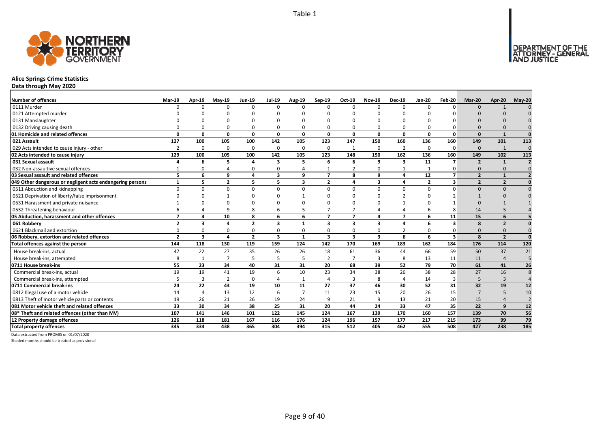

# **Alice Springs Crime Statistics**

**Data through May 2020**

| Number of offences                                        | Mar-19                   | Apr-19                  | $May-19$       | <b>Jun-19</b>  | <b>Jul-19</b>           | Aug-19         | Sep-19                  | Oct-19                   | <b>Nov-19</b>           | <b>Dec-19</b>  | <b>Jan-20</b>  | Feb-20                  | Mar-20                   | Apr-20                  | $May-20$       |
|-----------------------------------------------------------|--------------------------|-------------------------|----------------|----------------|-------------------------|----------------|-------------------------|--------------------------|-------------------------|----------------|----------------|-------------------------|--------------------------|-------------------------|----------------|
| 0111 Murder                                               | n                        | ŋ                       | $\Omega$       | $\Omega$       | $\Omega$                | n              | $\Omega$                | $\Omega$                 | $\Omega$                | $\Omega$       | $\Omega$       | ŋ                       | $\Omega$                 |                         |                |
| 0121 Attempted murder                                     |                          |                         |                |                |                         |                |                         |                          |                         |                |                |                         |                          |                         |                |
| 0131 Manslaughter                                         |                          |                         |                |                |                         |                |                         |                          |                         |                |                |                         |                          |                         |                |
| 0132 Driving causing death                                |                          |                         |                | $\Omega$       | 0                       |                |                         | <sup>0</sup>             | 0                       | 0              |                |                         | $\Omega$                 |                         |                |
| 01 Homicide and related offences                          | $\Omega$                 | 0                       | 0              | 0              | 0                       | $\Omega$       | $\Omega$                | $\Omega$                 | 0                       | 0              | $\Omega$       | $\Omega$                | $\Omega$                 | $\mathbf{1}$            | $\Omega$       |
| 021 Assault                                               | 127                      | 100                     | 105            | 100            | 142                     | 105            | 123                     | 147                      | 150                     | 160            | 136            | 160                     | 149                      | 101                     | 113            |
| 029 Acts intended to cause injury - other                 | $\overline{2}$           | 0                       | $\Omega$       | $\mathbf 0$    | 0                       | 0              | 0                       |                          | 0                       | $\overline{2}$ | $\Omega$       | $\Omega$                | $\Omega$                 | 1                       | $\Omega$       |
| 02 Acts intended to cause injury                          | 129                      | 100                     | 105            | 100            | 142                     | 105            | 123                     | 148                      | 150                     | 162            | 136            | 160                     | 149                      | 102                     | 113            |
| 031 Sexual assault                                        |                          | 6                       | 5              | $\overline{4}$ | 3                       | 5              | 6                       | 6                        | 9                       | 3              | 11             | $\overline{7}$          | $\overline{2}$           | $\mathbf{1}$            |                |
| 032 Non-assaultive sexual offences                        |                          | n                       |                | $\Omega$       | 0                       |                |                         | $\overline{2}$           | $\Omega$                | $\mathbf{1}$   |                |                         | $\Omega$                 | $\Omega$                |                |
| 03 Sexual assault and related offences                    | 5                        | 6                       | 9              | 4              | 3                       | q              | $\overline{\mathbf{z}}$ | 8                        | $\mathbf{q}$            | 4              | 12             | $\overline{7}$          | $\overline{\phantom{a}}$ | $\mathbf{1}$            |                |
| 049 Other dangerous or negligent acts endangering persons | $\mathbf{1}$             | 5                       | $\overline{2}$ | 5              | 5                       | 3              | 2                       | $\mathbf{A}$             | 3                       | 4              | $\overline{2}$ | 3                       | $\overline{2}$           | $\overline{2}$          |                |
| 0511 Abduction and kidnapping                             | $\Omega$                 | <sup>0</sup>            | $\Omega$       | $\Omega$       | $\Omega$                | 0              | $\Omega$                | $\Omega$                 | $\Omega$                | $\Omega$       | $\Omega$       | $\Omega$                | $\Omega$                 | $\Omega$                |                |
| 0521 Deprivation of liberty/false imprisonment            |                          |                         |                |                | $\Omega$                |                |                         | $\Omega$                 |                         |                |                |                         |                          |                         |                |
| 0531 Harassment and private nuisance                      |                          |                         |                |                | O                       |                |                         |                          |                         |                |                |                         |                          |                         |                |
| 0532 Threatening behaviour                                |                          |                         | q              | 8              | 6                       |                |                         |                          |                         | 4              | 6              |                         | 14                       |                         |                |
| 05 Abduction, harassment and other offences               | $\overline{\phantom{a}}$ | 4                       | 10             | 8              | 6                       | 6              | $\overline{\mathbf{z}}$ | $\overline{\phantom{a}}$ | $\overline{\mathbf{a}}$ | $\overline{7}$ | 6              | 11                      | 15                       | 6                       |                |
| 061 Robbery                                               | $\overline{2}$           | 3                       | 4              | $\overline{2}$ | $\overline{\mathbf{3}}$ | $\mathbf{1}$   | $\overline{\mathbf{3}}$ | $\overline{\mathbf{3}}$  | $\overline{\mathbf{3}}$ | 4              | 6              | $\overline{\mathbf{3}}$ | 8                        | $\overline{2}$          |                |
| 0621 Blackmail and extortion                              | $\Omega$                 | 0                       | $\Omega$       | $\Omega$       | 0                       | $\Omega$       | 0                       | $\Omega$                 | 0                       | $\overline{2}$ | $\Omega$       | 0                       | $\Omega$                 | $\Omega$                |                |
| 06 Robbery, extortion and related offences                | $\overline{2}$           | $\overline{\mathbf{3}}$ | 4              | $\overline{2}$ | 3                       | $\mathbf{1}$   | 3                       | 3                        | 3                       | 6              | 6              | $\mathbf{3}$            | $\mathbf{8}$             | $\overline{\mathbf{z}}$ | $\Omega$       |
| Total offences against the person                         | 144                      | 118                     | 130            | 119            | 159                     | 124            | 142                     | 170                      | 169                     | 183            | 162            | 184                     | 176                      | 114                     | 120            |
| House break-ins, actual                                   | 47                       | 22                      | 27             | 35             | 26                      | 26             | 18                      | 61                       | 36                      | 44             | 66             | 59                      | 50                       | 37                      | 21             |
| House break-ins, attempted                                | 8                        |                         | $\overline{7}$ | 5              | 5                       |                | $\overline{2}$          | $\overline{7}$           | $\overline{3}$          | 8              | 13             | 11                      | 11                       | $\overline{4}$          | 5              |
| 0711 House break-ins                                      | 55                       | 23                      | 34             | 40             | 31                      | 31             | 20                      | 68                       | 39                      | 52             | 79             | 70                      | 61                       | 41                      | 26             |
| Commercial break-ins, actual                              | 19                       | 19                      | 41             | 19             | 6                       | 10             | 23                      | 34                       | 38                      | 26             | 38             | 28                      | 27                       | 16                      |                |
| Commercial break-ins, attempted                           |                          | 3                       | $\overline{2}$ | $\Omega$       | 4                       |                | 4                       | 3                        | 8                       | 4              | 14             | 3                       | 5                        | 3                       |                |
| 0711 Commercial break-ins                                 | 24                       | 22                      | 43             | 19             | 10                      | 11             | 27                      | 37                       | 46                      | 30             | 52             | 31                      | 32                       | 19                      | 12             |
| 0812 Illegal use of a motor vehicle                       | 14                       | 4                       | 13             | 12             | 6                       | $\overline{7}$ | 11                      | 23                       | 15                      | 20             | 26             | 15                      | $\overline{7}$           | 5                       | 10             |
| 0813 Theft of motor vehicle parts or contents             | 19                       | 26                      | 21             | 26             | 19                      | 24             | 9                       | 21                       | 9                       | 13             | 21             | 20                      | 15                       |                         | $\overline{2}$ |
| 081 Motor vehicle theft and related offences              | 33                       | 30                      | 34             | 38             | 25                      | 31             | 20                      | 44                       | 24                      | 33             | 47             | 35                      | 22                       | 9                       | 12             |
| 08* Theft and related offences (other than MV)            | 107                      | 141                     | 146            | 101            | 122                     | 145            | 124                     | 167                      | 139                     | 170            | 160            | 157                     | 139                      | 70                      | 56             |
| 12 Property damage offences                               | 126                      | 118                     | 181            | 167            | 116                     | 176            | 124                     | 196                      | 157                     | 177            | 217            | 215                     | 173                      | 99                      | 79             |
| <b>Total property offences</b>                            | 345                      | 334                     | 438            | 365            | 304                     | 394            | 315                     | 512                      | 405                     | 462            | 555            | 508                     | 427                      | 238                     | 185            |

Data extracted from PROMIS on 01/07/2020

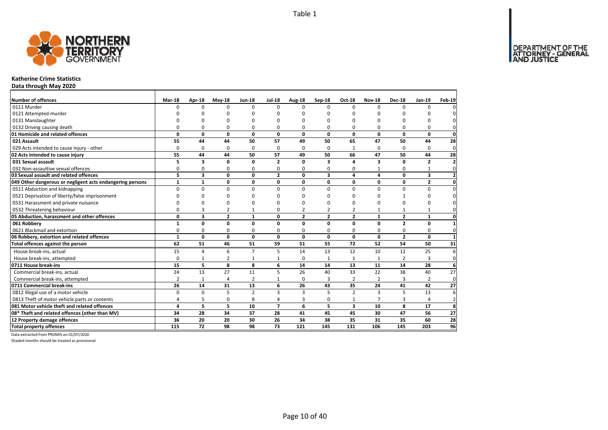

#### **Katherine Crime Statistics**

**Data through May 2020**

| Number of offences                                        | Mar-18         | Apr-18                  | $May-18$       | <b>Jun-18</b>   | <b>Jul-18</b>  | Aug-18         | Sep-18         | <b>Oct-18</b>           | <b>Nov-18</b>   | <b>Dec-18</b>  | Jan-19         | <b>Feb-19</b>    |
|-----------------------------------------------------------|----------------|-------------------------|----------------|-----------------|----------------|----------------|----------------|-------------------------|-----------------|----------------|----------------|------------------|
| 0111 Murder                                               | $\Omega$       | $\Omega$                | $\Omega$       | $\Omega$        | $\Omega$       | $\Omega$       | $\Omega$       | $\Omega$                | $\Omega$        | $\Omega$       | $\Omega$       | $\Omega$         |
| 0121 Attempted murder                                     |                | ŋ                       | n              | $\Omega$        |                | n              | ŋ              | ŋ                       | $\Omega$        |                | n              | $\Omega$         |
| 0131 Manslaughter                                         |                | ŋ                       | n              | n               |                | n              | $\Omega$       | O                       | $\Omega$        | n              | $\Omega$       | $\mathbf{0}$     |
| 0132 Driving causing death                                | $\Omega$       | 0                       | 0              | $\Omega$        | $\Omega$       | 0              | 0              | 0                       | $\Omega$        | $\Omega$       | 0              | $\mathbf{0}$     |
| 01 Homicide and related offences                          | 0              | 0                       | 0              | 0               | 0              | 0              | 0              | 0                       | 0               | 0              | $\mathbf 0$    | $\mathbf{0}$     |
| 021 Assault                                               | 55             | 44                      | 44             | 50              | 57             | 49             | 50             | 65                      | 47              | 50             | 44             | 28               |
| 029 Acts intended to cause injury - other                 | $\Omega$       | 0                       | $\Omega$       | $\Omega$        | $\Omega$       | $\Omega$       | 0              | 1                       | $\Omega$        | $\Omega$       | 0              | $\mathbf 0$      |
| 02 Acts intended to cause injury                          | 55             | 44                      | 44             | 50              | 57             | 49             | 50             | 66                      | 47              | 50             | 44             | 28               |
| 031 Sexual assault                                        | 5              | $\overline{\mathbf{3}}$ | 0              | $\mathbf{0}$    | $\overline{2}$ | $\Omega$       | 3              | 4                       | 3               | $\Omega$       | $\overline{2}$ | $\mathbf{2}$     |
| 032 Non-assaultive sexual offences                        | 0              | 0                       | 0              | $\Omega$        | 0              | $\Omega$       | 0              | 0                       | $\mathbf{1}$    | 0              | $\mathbf{1}$   | $\mathbf 0$      |
| 03 Sexual assault and related offences                    | 5.             | 3                       | $\mathbf 0$    | 0               | $\overline{2}$ | 0              | 3              | 4                       | 4               | 0              | 3              | $\mathbf{2}$     |
| 049 Other dangerous or negligent acts endangering persons | $\mathbf{1}$   | $\mathbf{1}$            | 0              | 0               | 0              | 0              | 0              | 0                       | 0               | 0              | $\mathbf{2}$   | $\mathbf{0}$     |
| 0511 Abduction and kidnapping                             | $\Omega$       | 0                       | $\mathbf 0$    | $\Omega$        | $\Omega$       | $\Omega$       | $\Omega$       | $\Omega$                | $\Omega$        | $\Omega$       | 0              | $\mathbf 0$      |
| 0521 Deprivation of liberty/false imprisonment            | n              | O                       | 0              | n               |                | n              | O              | <sup>0</sup>            | O               |                | 0              | $\mathbf 0$      |
| 0531 Harassment and private nuisance                      | n              | O                       | 0              | n               |                | n              | O              | O                       | O               | $\Omega$       | 0              | 0                |
| 0532 Threatening behaviour                                | $\Omega$       | 3                       | 2              |                 | ŋ              | $\overline{2}$ | 2              | 2                       | $\mathbf 1$     | 1              | 1              | $\mathbf 0$      |
| 05 Abduction, harassment and other offences               | 0              | 3                       | $\overline{2}$ | $\mathbf{1}$    | 0              | $\overline{2}$ | $\overline{2}$ | $\overline{2}$          | $\mathbf{1}$    | $\overline{2}$ | $\mathbf{1}$   | $\mathbf{0}$     |
| 061 Robbery                                               | $\mathbf{1}$   | 0                       | $\mathbf{0}$   | 0               | $\Omega$       | $\Omega$       | $\Omega$       | $\mathbf 0$             | 0               | $\overline{2}$ | $\mathbf 0$    | $\mathbf{1}$     |
| 0621 Blackmail and extortion                              | 0              | 0                       | 0              | 0               | 0              | $\Omega$       | 0              | 0                       | 0               | 0              | 0              | $\mathbf{0}$     |
| 06 Robbery, extortion and related offences                | $\mathbf{1}$   | 0                       | $\mathbf 0$    | 0               | 0              | $\mathbf 0$    | 0              | 0                       | 0               | $\overline{2}$ | $\mathbf 0$    | $\mathbf{1}$     |
| Total offences against the person                         | 62             | 51                      | 46             | $\overline{51}$ | 59             | 51             | 55             | 72                      | $\overline{52}$ | 54             | 50             | $\overline{31}$  |
| House break-ins, actual                                   | 15             | $\overline{4}$          | 6              | $\overline{7}$  | 5              | 14             | 13             | 12                      | 10              | 12             | 25             | 6                |
| House break-ins, attempted                                | $\mathbf 0$    | $\mathbf{1}$            | 2              | $\mathbf{1}$    |                | $\Omega$       | 1              | 1                       | 1               | $\overline{2}$ | 3              | $\mathbf 0$      |
| 0711 House break-ins                                      | 15             | 5                       | 8              | 8               | 6              | 14             | 14             | 13                      | 11              | 14             | 28             | 6                |
| Commercial break-ins, actual                              | 24             | 13                      | 27             | 11              | 5              | 26             | 40             | 33                      | 22              | 38             | 40             | 27               |
| Commercial break-ins, attempted                           | $\overline{2}$ | $\mathbf{1}$            | 4              | $\overline{2}$  | 1              | $\Omega$       | 3              | $\overline{2}$          | $\overline{2}$  | 3              | 2              | $\mathbf{0}$     |
| 0711 Commercial break-ins                                 | 26             | 14                      | 31             | 13              | 6              | 26             | 43             | 35                      | 24              | 41             | 42             | 27               |
| 0812 Illegal use of a motor vehicle                       | $\Omega$       | $\Omega$                | 5              | $\overline{2}$  | 3              | 3              | 5              | $\overline{2}$          | $\overline{3}$  | 5              | 13             | $6 \overline{6}$ |
| 0813 Theft of motor vehicle parts or contents             | 4              | 5                       | 0              | 8               | 4              | 3              | 0              | $\mathbf{1}$            | $\overline{7}$  | 3              | 4              | $\overline{2}$   |
| 081 Motor vehicle theft and related offences              | $\overline{a}$ | 5                       | 5              | 10              | $\overline{ }$ | 6              | 5              | $\overline{\mathbf{3}}$ | 10              | 8              | 17             | 8                |
| 08* Theft and related offences (other than MV)            | 34             | 28                      | 34             | 37              | 28             | 41             | 45             | 45                      | 30              | 47             | 56             | 27               |
| 12 Property damage offences                               | 36             | 20                      | 20             | 30              | 26             | 34             | 38             | 35                      | 31              | 35             | 60             | 28               |
| <b>Total property offences</b>                            | 115            | 72                      | 98             | 98              | 73             | 121            | 145            | 131                     | 106             | 145            | 203            | 96               |

Data extracted from PROMIS on 01/07/2020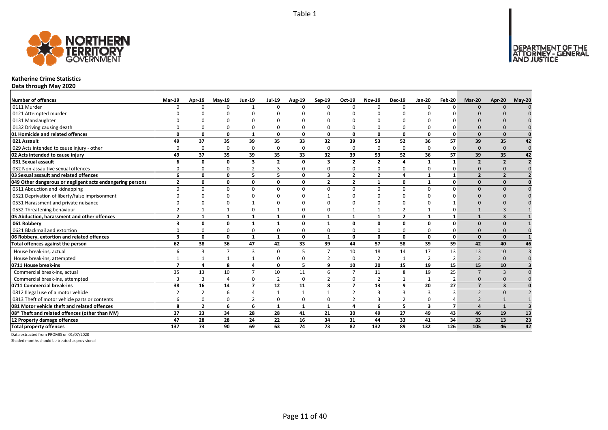

#### **Katherine Crime Statistics**

**Data through May 2020**

| <b>Number of offences</b>                                 | <b>Mar-19</b>            | Apr-19         | $May-19$       | <b>Jun-19</b>           | <b>Jul-19</b>  | <b>Aug-19</b> | Sep-19                  | Oct-19                  | <b>Nov-19</b>    | <b>Dec-19</b>   | <b>Jan-20</b>           | Feb-20         | Mar-20                   | Apr-20                  | $May-20$ |
|-----------------------------------------------------------|--------------------------|----------------|----------------|-------------------------|----------------|---------------|-------------------------|-------------------------|------------------|-----------------|-------------------------|----------------|--------------------------|-------------------------|----------|
| 0111 Murder                                               |                          | n              | $\Omega$       | $\mathbf{1}$            | $\Omega$       |               | $\Omega$                | $\Omega$                | $\Omega$         | $\Omega$        | $\Omega$                | O              | $\Omega$                 | $\Omega$                |          |
| 0121 Attempted murder                                     |                          |                |                |                         |                |               |                         |                         |                  |                 |                         |                |                          |                         |          |
| 0131 Manslaughter                                         |                          |                |                |                         |                |               |                         |                         |                  |                 |                         |                |                          |                         |          |
| 0132 Driving causing death                                |                          |                | O              | $\Omega$                | O              |               |                         | $\Omega$                | $\Omega$         | O               |                         |                |                          |                         |          |
| 01 Homicide and related offences                          | $\Omega$                 | $\Omega$       | 0              | $\mathbf{1}$            | 0              | $\Omega$      | $\mathbf 0$             | 0                       | $\mathbf{0}$     | $\mathbf{0}$    | 0                       | $\mathbf{0}$   | $\Omega$                 | $\Omega$                |          |
| 021 Assault                                               | 49                       | 37             | 35             | 39                      | 35             | 33            | 32                      | 39                      | 53               | 52              | 36                      | 57             | 39                       | 35                      | 42       |
| 029 Acts intended to cause injury - other                 |                          | $\Omega$       | $\Omega$       | $\Omega$                | 0              | $\Omega$      | 0                       | $\Omega$                | $\Omega$         | 0               | $\Omega$                | $\Omega$       | $\Omega$                 | $\Omega$                | $\Omega$ |
| 02 Acts intended to cause injury                          | 49                       | 37             | 35             | 39                      | 35             | 33            | 32                      | 39                      | 53               | $\overline{52}$ | 36                      | 57             | 39                       | 35                      | 42       |
| 031 Sexual assault                                        |                          | O              | O              | $\overline{\mathbf{3}}$ | $\mathbf{2}$   | $\Omega$      | 3                       | $\overline{\mathbf{z}}$ | $\overline{2}$   | 4               | -1                      | $\mathbf{1}$   | $\overline{2}$           | $\overline{\mathbf{z}}$ |          |
| 032 Non-assaultive sexual offences                        |                          | O              | $\Omega$       | $\overline{2}$          | 3              | $\Omega$      | 0                       | $\Omega$                | 0                | 0               | $\Omega$                | 0              | $\Omega$                 | $\Omega$                |          |
| 03 Sexual assault and related offences                    | 6                        | 0              | 0              | 5                       | 5              | $\Omega$      | $\overline{\mathbf{3}}$ | $\overline{2}$          | $\overline{2}$   | 4               | $\mathbf{1}$            | $\mathbf{1}$   | $\overline{2}$           | $\overline{2}$          |          |
| 049 Other dangerous or negligent acts endangering persons | $\overline{2}$           | 0              | 0              | 0                       | 0              | 0             | $\overline{2}$          | $\overline{2}$          | $\mathbf{1}$     | 0               | $\mathbf{1}$            | $\mathbf{0}$   | $\Omega$                 | $\Omega$                |          |
| 0511 Abduction and kidnapping                             | $\Omega$                 | U              | $\Omega$       | $\Omega$                | 0              | $\Omega$      | $\Omega$                | $\Omega$                | $\Omega$         | 0               | $\Omega$                | O              | $\Omega$                 | $\Omega$                |          |
| 0521 Deprivation of liberty/false imprisonment            |                          |                | n              |                         |                |               |                         | <sup>n</sup>            |                  |                 |                         |                |                          |                         |          |
| 0531 Harassment and private nuisance                      |                          |                | ∩              |                         |                |               |                         | n                       |                  |                 |                         |                |                          |                         |          |
| 0532 Threatening behaviour                                |                          |                |                | $\Omega$                | $\mathbf{1}$   |               |                         |                         | $\mathbf{1}$     | $\overline{2}$  |                         |                |                          |                         |          |
| 05 Abduction, harassment and other offences               | $\overline{2}$           | $\mathbf{1}$   | 1              | $\mathbf{1}$            | $\mathbf{1}$   | $\Omega$      | $\mathbf{1}$            | $\mathbf{1}$            | $\mathbf{1}$     | $\mathbf{2}$    | 1                       |                | $\mathbf{1}$             | $\overline{\mathbf{3}}$ |          |
| 061 Robbery                                               |                          | U              | O              | $\mathbf{1}$            | $\mathbf{1}$   | $\Omega$      | $\mathbf{1}$            | n                       | 0                | 0               | $\Omega$                | $\Omega$       | $\Omega$                 | $\Omega$                |          |
| 0621 Blackmail and extortion                              |                          |                | $\Omega$       | $\Omega$                | 0              |               | 0                       | $\Omega$                | $\Omega$         | 0               |                         |                | $\Omega$                 | $\Omega$                |          |
| 06 Robbery, extortion and related offences                | 3                        | 0              | 0              | $\mathbf{1}$            | 1              | 0             | 1                       | 0                       | $\mathbf{0}$     | $\mathbf 0$     | 0                       | $\mathbf{0}$   | $\Omega$                 | $\Omega$                |          |
| Total offences against the person                         | 62                       | 38             | 36             | 47                      | 42             | 33            | 39                      | 44                      | 57               | 58              | 39                      | 59             | 42                       | 40                      | 46       |
| House break-ins, actual                                   | 6                        | 3              | $\overline{7}$ | 3                       | 0              | 5             | $\overline{ }$          | 10                      | 18               | 14              | 17                      | 13             | 13                       | 10                      |          |
| House break-ins, attempted                                |                          |                | 1              | 1                       | 0              | $\Omega$      | $\overline{2}$          | $\Omega$                | $\overline{2}$   | $\mathbf{1}$    | $\overline{2}$          | $\overline{2}$ | $\overline{\phantom{0}}$ | $\Omega$                |          |
| 0711 House break-ins                                      | $\overline{\phantom{a}}$ | Δ              | 8              | $\overline{a}$          | 0              | 5             | 9                       | 10                      | 20               | 15              | 19                      | 15             | 15                       | 10                      |          |
| Commercial break-ins, actual                              | 35                       | 13             | 10             | $\overline{7}$          | 10             | 11            | 6                       | $\overline{7}$          | 11               | 8               | 19                      | 25             | $\overline{7}$           | $\overline{3}$          |          |
| Commercial break-ins, attempted                           |                          |                |                | 0                       | $\overline{2}$ | $\Omega$      |                         | $\Omega$                | $\overline{2}$   | $\mathbf{1}$    |                         | $\overline{2}$ | $\Omega$                 | $\Omega$                |          |
| 0711 Commercial break-ins                                 | 38                       | 16             | 14             | $\overline{7}$          | 12             | 11            | 8                       | $\overline{ }$          | 13               | 9               | 20                      | 27             | $\overline{7}$           | 3                       |          |
| 0812 Illegal use of a motor vehicle                       | 2                        | $\overline{2}$ | 6              | $\overline{4}$          | $\mathbf{1}$   | $\mathbf{1}$  | $\mathbf{1}$            | $\mathcal{P}$           | 3                | 3               | 3                       | ર              | $\overline{\phantom{0}}$ | $\Omega$                |          |
| 0813 Theft of motor vehicle parts or contents             |                          | O              | $\Omega$       | $\overline{2}$          | 0              | $\Omega$      | 0                       | $\overline{2}$          | 3                | $\overline{2}$  | $\Omega$                |                | $\overline{\phantom{0}}$ |                         |          |
| 081 Motor vehicle theft and related offences              | 8                        | $\overline{2}$ | 6              | 6                       | $\mathbf{1}$   | 1             | $\mathbf{1}$            | 4                       | 6                | 5               | $\overline{\mathbf{3}}$ | $\overline{7}$ | $\mathbf{A}$             | $\mathbf{1}$            |          |
| 08* Theft and related offences (other than MV)            | 37                       | 23             | 34             | 28                      | 28             | 41            | 21                      | 30                      | 49               | 27              | 49                      | 43             | 46                       | 19                      | 13       |
| 12 Property damage offences                               | 47                       | 28             | 28             | 24                      | 22             | 16            | 34                      | 31                      | 44               | 33              | 41                      | 34             | 33                       | 13                      | 23       |
| <b>Total property offences</b>                            | 137                      | 73             | 90             | 69                      | 63             | 74            | 73                      | 82                      | $\overline{132}$ | 89              | 132                     | 126            | 105                      | 46                      | 42       |

Data extracted from PROMIS on 01/07/2020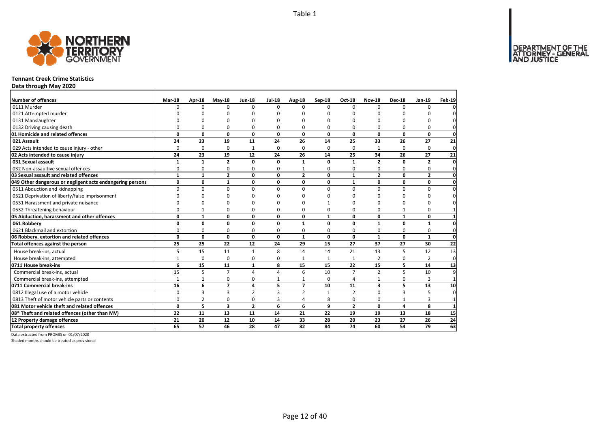

#### **Tennant Creek Crime Statistics**

**Data through May 2020**

| Number of offences                                        | Mar-18       | Apr-18         | $Mav-18$       | <b>Jun-18</b>  | <b>Jul-18</b> | Aug-18         | Sep-18       | Oct-18         | <b>Nov-18</b>           | <b>Dec-18</b>  | Jan-19         | Feb-19          |
|-----------------------------------------------------------|--------------|----------------|----------------|----------------|---------------|----------------|--------------|----------------|-------------------------|----------------|----------------|-----------------|
| 0111 Murder                                               | $\Omega$     | $\Omega$       | 0              | $\Omega$       | $\Omega$      | $\Omega$       | <sup>0</sup> | $\Omega$       | $\Omega$                | $\Omega$       | $\Omega$       |                 |
| 0121 Attempted murder                                     |              | O              | O              | C              |               | ŋ              | n            | ŋ              | O                       |                |                |                 |
| 0131 Manslaughter                                         |              | $\Omega$       | 0              | $\Omega$       |               | O              | ŋ            | 0              | $\Omega$                |                | 0              |                 |
| 0132 Driving causing death                                | 0            | $\Omega$       | 0              | $\Omega$       | O             | 0              | 0            | 0              | $\Omega$                | O              | 0              |                 |
| 01 Homicide and related offences                          | 0            | 0              | 0              | $\mathbf 0$    | $\mathbf 0$   | 0              | 0            | 0              | $\mathbf{0}$            | $\mathbf{0}$   | 0              | $\mathbf 0$     |
| 021 Assault                                               | 24           | 23             | 19             | 11             | 24            | 26             | 14           | 25             | 33                      | 26             | 27             | 21              |
| 029 Acts intended to cause injury - other                 | 0            | 0              | 0              | $\mathbf{1}$   | $\Omega$      | 0              | 0            | 0              | 1                       | $\Omega$       | 0              | $\mathbf{0}$    |
| 02 Acts intended to cause injury                          | 24           | 23             | 19             | 12             | 24            | 26             | 14           | 25             | 34                      | 26             | 27             | 21              |
| 031 Sexual assault                                        | $\mathbf{1}$ | $\mathbf{1}$   | $\overline{2}$ | $\mathbf 0$    | $\Omega$      | 1              | 0            | $\mathbf{1}$   | $\overline{2}$          | O              | $\overline{2}$ | $\mathbf{0}$    |
| 032 Non-assaultive sexual offences                        | 0            | 0              | 0              | $\Omega$       | $\Omega$      |                | 0            | 0              | $\Omega$                | $\Omega$       | 0              | $\Omega$        |
| 03 Sexual assault and related offences                    | $\mathbf{1}$ | $\mathbf{1}$   | $\overline{2}$ | $\mathbf 0$    | $\Omega$      | $\overline{2}$ | $\mathbf{0}$ | $\mathbf{1}$   | $\overline{2}$          | $\Omega$       | $\overline{2}$ | $\mathbf{0}$    |
| 049 Other dangerous or negligent acts endangering persons | 0            | 0              | $\mathbf{1}$   | 0              | 0             | 0              | 0            | 1              | $\mathbf 0$             | 0              | 0              | $\mathbf 0$     |
| 0511 Abduction and kidnapping                             | $\Omega$     | 0              | $\mathbf 0$    | $\mathbf 0$    | $\Omega$      | $\Omega$       | 0            | $\Omega$       | $\mathbf 0$             | $\Omega$       | 0              | $\Omega$        |
| 0521 Deprivation of liberty/false imprisonment            | $\Omega$     | 0              | 0              | $\Omega$       |               | ŋ              | ŋ            | ŋ              | O                       |                | O              |                 |
| 0531 Harassment and private nuisance                      | $\Omega$     | 0              | 0              | $\Omega$       |               | ŋ              |              | 0              | 0                       |                | 0              |                 |
| 0532 Threatening behaviour                                | $\Omega$     | $\mathbf{1}$   | 0              | $\Omega$       | ŋ             | 0              | 0            | 0              | $\mathbf 0$             |                | $\Omega$       |                 |
| 05 Abduction, harassment and other offences               | 0            | $\mathbf{1}$   | 0              | 0              | 0             | 0              | $\mathbf{1}$ | 0              | $\mathbf{0}$            | $\mathbf{1}$   | 0              | $\mathbf{1}$    |
| 061 Robbery                                               | 0            | 0              | 0              | 0              | $\Omega$      | 1              | $\mathbf 0$  | $\mathbf{0}$   | $\mathbf{1}$            | $\Omega$       | $\mathbf{1}$   | $\mathbf{0}$    |
| 0621 Blackmail and extortion                              | $\Omega$     | 0              | 0              | 0              | $\Omega$      | 0              | 0            | 0              | 0                       | 0              | 0              | $\mathbf{0}$    |
| 06 Robbery, extortion and related offences                | $\mathbf{0}$ | 0              | $\mathbf 0$    | $\mathbf 0$    | 0             | $\mathbf{1}$   | 0            | $\mathbf{0}$   | $\mathbf{1}$            | 0              | $\mathbf{1}$   | $\mathbf 0$     |
| Total offences against the person                         | 25           | 25             | 22             | 12             | 24            | 29             | 15           | 27             | 37                      | 27             | 30             | $\overline{22}$ |
| House break-ins, actual                                   | 5            | 15             | 11             | $\mathbf{1}$   | 8             | 14             | 14           | 21             | 13                      | 5              | 12             | 13              |
| House break-ins, attempted                                | $\mathbf{1}$ | 0              | 0              | 0              | O             | 1              | 1            | 1              | $\overline{2}$          | 0              | 2              | $\mathbf 0$     |
| 0711 House break-ins                                      | 6            | 15             | 11             | $\mathbf{1}$   | 8             | 15             | 15           | 22             | 15                      | 5              | 14             | 13              |
| Commercial break-ins, actual                              | 15           | 5              | $\overline{7}$ | $\overline{4}$ |               | 6              | 10           | $\overline{7}$ | $\overline{2}$          | 5              | 10             | q               |
| Commercial break-ins, attempted                           | $\mathbf{1}$ | $\mathbf{1}$   | 0              | 0              |               | 1              | $\Omega$     | 4              | $\mathbf{1}$            | $\Omega$       | 3              |                 |
| 0711 Commercial break-ins                                 | 16           | 6              | $\overline{7}$ | $\overline{a}$ | 5             | $\overline{7}$ | 10           | 11             | $\overline{\mathbf{3}}$ | 5              | 13             | 10              |
| 0812 Illegal use of a motor vehicle                       | $\Omega$     | 3              | 3              | $\overline{2}$ | 3             | $\overline{2}$ | $\mathbf{1}$ | $\overline{2}$ | $\Omega$                | $\overline{3}$ | 5              | $\Omega$        |
| 0813 Theft of motor vehicle parts or contents             | $\Omega$     | $\overline{2}$ | 0              | $\mathbf 0$    | 3             | 4              | 8            | 0              | $\mathbf 0$             | $\mathbf{1}$   | 3              | $\mathbf{1}$    |
| 081 Motor vehicle theft and related offences              | 0            | 5              | 3              | $\overline{2}$ | 6             | 6              | 9            | $\overline{2}$ | $\mathbf{0}$            | 4              | 8              | $\mathbf{1}$    |
| 08* Theft and related offences (other than MV)            | 22           | 11             | 13             | 11             | 14            | 21             | 22           | 19             | 19                      | 13             | 18             | 15              |
| 12 Property damage offences                               | 21           | 20             | 12             | 10             | 14            | 33             | 28           | 20             | 23                      | 27             | 26             | 24              |
| <b>Total property offences</b>                            | 65           | 57             | 46             | 28             | 47            | 82             | 84           | 74             | 60                      | 54             | 79             | 63              |

Data extracted from PROMIS on 01/07/2020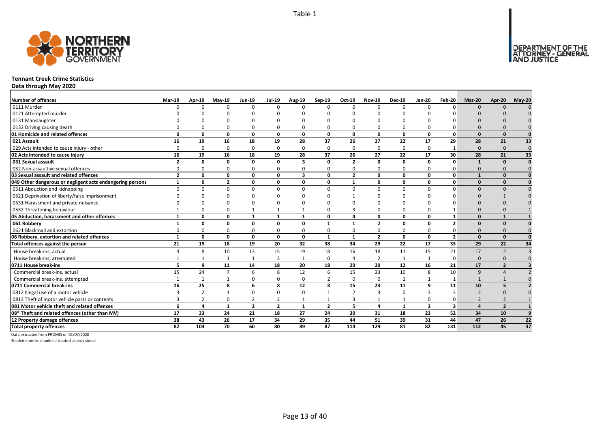

#### **Tennant Creek Crime Statistics**

**Data through May 2020**

| <b>Number of offences</b>                                 | <b>Mar-19</b>  | Apr-19         | $May-19$       | <b>Jun-19</b>  | <b>Jul-19</b>  | Aug-19                  | Sep-19         | Oct-19         | <b>Nov-19</b>  | <b>Dec-19</b> | Jan-20                  | Feb-20                  | Mar-20                   | Apr-20                  | $May-20$        |
|-----------------------------------------------------------|----------------|----------------|----------------|----------------|----------------|-------------------------|----------------|----------------|----------------|---------------|-------------------------|-------------------------|--------------------------|-------------------------|-----------------|
| 0111 Murder                                               | $\Omega$       | $\Omega$       | $\Omega$       | $\Omega$       | $\Omega$       |                         | $\Omega$       | $\Omega$       | $\Omega$       | $\Omega$      | $\Omega$                | n                       | $\Omega$                 | $\Omega$                |                 |
| 0121 Attempted murder                                     |                |                |                |                |                |                         |                |                |                |               |                         |                         |                          |                         |                 |
| 0131 Manslaughter                                         |                |                |                |                | O              |                         |                |                |                |               |                         |                         |                          |                         |                 |
| 0132 Driving causing death                                |                |                |                | O              | $\Omega$       |                         |                | $\Omega$       | $\Omega$       | O             |                         |                         |                          |                         |                 |
| 01 Homicide and related offences                          | $\Omega$       | 0              | $\Omega$       | $\mathbf{0}$   | 0              | $\mathbf{0}$            | $\Omega$       | 0              | $\mathbf{0}$   | $\mathbf{0}$  | $\Omega$                | $\Omega$                | $\Omega$                 | $\Omega$                |                 |
| 021 Assault                                               | 16             | 19             | 16             | 18             | 19             | 28                      | 37             | 26             | 27             | 22            | 17                      | 29                      | 28                       | 21                      | 33              |
| 029 Acts intended to cause injury - other                 | $\Omega$       | $\Omega$       | $\Omega$       | $\Omega$       | $\mathbf 0$    | $\Omega$                | $\Omega$       | $\Omega$       | $\Omega$       | 0             | $\Omega$                |                         | $\Omega$                 | $\Omega$                | $\mathbf 0$     |
| 02 Acts intended to cause injury                          | 16             | 19             | 16             | 18             | 19             | 28                      | 37             | 26             | 27             | 22            | 17                      | 30                      | 28                       | 21                      | 33              |
| 031 Sexual assault                                        | $\overline{2}$ | 0              | $\Omega$       | $\mathbf{0}$   | 0              | $\overline{\mathbf{3}}$ | O              | $\overline{2}$ | $\mathbf{0}$   | 0             | $\Omega$                | $\Omega$                | 1                        | $\Omega$                |                 |
| 032 Non-assaultive sexual offences                        | $\Omega$       | O              | $\Omega$       | $\Omega$       | 0              | $\Omega$                | ŋ              | $\Omega$       | 0              | 0             | $\Omega$                |                         | $\Omega$                 |                         |                 |
| 03 Sexual assault and related offences                    | $\overline{2}$ | $\Omega$       | $\Omega$       | $\mathbf{0}$   | 0              | $\overline{\mathbf{3}}$ | $\Omega$       | $\overline{2}$ | $\mathbf{0}$   | $\mathbf{0}$  | $\Omega$                | 0                       | $\mathbf{1}$             | $\Omega$                |                 |
| 049 Other dangerous or negligent acts endangering persons | $\mathbf{1}$   | 0              | $\overline{2}$ | 0              | 0              | 0                       | O              | $\mathbf{1}$   | 0              | 0             | $\Omega$                | 0                       | $\Omega$                 | $\Omega$                |                 |
| 0511 Abduction and kidnapping                             | $\Omega$       | <sup>0</sup>   | $\Omega$       | $\Omega$       | $\Omega$       | 0                       | $\Omega$       | $\Omega$       | $\Omega$       | $\Omega$      | $\Omega$                | $\Omega$                | $\Omega$                 | $\Omega$                |                 |
| 0521 Deprivation of liberty/false imprisonment            |                |                |                |                | ŋ              |                         |                |                |                | U             |                         |                         | $\Omega$                 |                         |                 |
| 0531 Harassment and private nuisance                      |                |                |                |                | O              |                         |                |                |                |               |                         |                         |                          |                         |                 |
| 0532 Threatening behaviour                                |                |                |                |                | $\mathbf{1}$   |                         |                |                | $\Omega$       | 0             |                         |                         | $\Omega$                 |                         |                 |
| 05 Abduction, harassment and other offences               | 1              | 0              | $\Omega$       | 1              | $\mathbf{1}$   | $\mathbf{1}$            | O              | $\mathbf{A}$   | $\mathbf{0}$   | 0             | $\Omega$                | 1                       | $\Omega$                 | $\mathbf{1}$            |                 |
| 061 Robbery                                               |                | 0              | 0              | 0              | 0              | $\Omega$                | $\mathbf{1}$   | $\mathbf{1}$   | $\overline{2}$ | 0             | 0                       | $\overline{2}$          | $\Omega$                 | $\Omega$                |                 |
| 0621 Blackmail and extortion                              |                | O              | $\Omega$       | 0              | 0              | 0                       | 0              | $\Omega$       | 0              | 0             | $\Omega$                |                         | $\Omega$                 |                         |                 |
| 06 Robbery, extortion and related offences                | $\mathbf{1}$   | 0              | 0              | $\mathbf 0$    | 0              | $\mathbf{0}$            | $\mathbf{1}$   | 1              | $\overline{2}$ | 0             | 0                       | $\overline{2}$          | $\Omega$                 | $\Omega$                |                 |
| Total offences against the person                         | 21             | 19             | 18             | 19             | 20             | 32                      | 38             | 34             | 29             | 22            | 17                      | 33                      | 29                       | 22                      | 34              |
| House break-ins, actual                                   |                | 8              | 10             | 13             | 15             | 19                      | 18             | 16             | 18             | 11            | 15                      | 21                      | 17                       | $\overline{z}$          |                 |
| House break-ins, attempted                                |                |                |                | $\mathbf{1}$   | 3              |                         | $\Omega$       | Δ              | $\overline{2}$ | $\mathbf{1}$  |                         | $\Omega$                | $\Omega$                 | $\Omega$                |                 |
| 0711 House break-ins                                      | 5              | 9              | 11             | 14             | 18             | 20                      | 18             | 20             | 20             | 12            | 16                      | 21                      | 17                       | $\overline{\mathbf{z}}$ |                 |
| Commercial break-ins, actual                              | 15             | 24             | $\overline{7}$ | 6              | 8              | 12                      | 6              | 15             | 23             | 10            | 8                       | 10                      | 9                        |                         |                 |
| Commercial break-ins, attempted                           |                |                |                | 0              | 0              | 0                       |                | $\Omega$       | 0              | $\mathbf{1}$  |                         |                         |                          |                         |                 |
| 0711 Commercial break-ins                                 | 16             | 25             | 8              | 6              | 8              | 12                      | 8              | 15             | 23             | 11            | 9                       | 11                      | 10                       | 5                       |                 |
| 0812 Illegal use of a motor vehicle                       | 3              | $\overline{2}$ |                | 0              | 0              | $\mathbf 0$             | $\mathbf{1}$   | $\overline{2}$ | $\overline{3}$ | 0             | 3                       | ₹                       | $\overline{\phantom{0}}$ | $\Omega$                |                 |
| 0813 Theft of motor vehicle parts or contents             |                |                | $\Omega$       | $\overline{2}$ | 2              |                         |                | 3              | $\mathbf{1}$   | $\mathbf{1}$  | $\Omega$                | O                       | $\overline{\phantom{0}}$ |                         |                 |
| 081 Motor vehicle theft and related offences              | 6              | 4              | $\mathbf 1$    | $\overline{2}$ | $\overline{2}$ | $\mathbf{1}$            | $\overline{2}$ | 5              | $\overline{a}$ | $\mathbf{1}$  | $\overline{\mathbf{3}}$ | $\overline{\mathbf{3}}$ | $\mathbf{A}$             | $\overline{2}$          |                 |
| 08* Theft and related offences (other than MV)            | 17             | 23             | 24             | 21             | 18             | 27                      | 24             | 30             | 31             | 18            | 23                      | 52                      | 34                       | 10                      |                 |
| 12 Property damage offences                               | 38             | 43             | 26             | 17             | 34             | 29                      | 35             | 44             | 51             | 39            | 31                      | 44                      | 47                       | 26                      | 22              |
| <b>Total property offences</b>                            | 82             | 104            | 70             | 60             | 80             | 89                      | 87             | 114            | 129            | 81            | 82                      | 131                     | 112                      | 45                      | $\overline{37}$ |

Data extracted from PROMIS on 01/07/2020

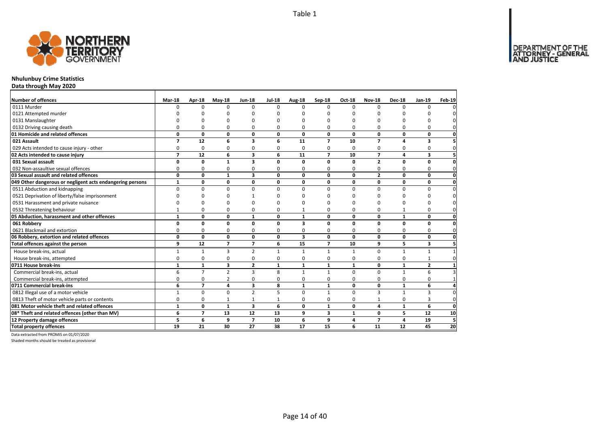

# **Nhulunbuy Crime Statistics**

**Data through May 2020**

| <b>Number of offences</b>                                 | Mar-18         | Apr-18         | $May-18$       | <b>Jun-18</b>           | <b>Jul-18</b> | Aug-18       | Sep-18         | Oct-18       | <b>Nov-18</b>  | <b>Dec-18</b> | <b>Jan-19</b>           | <b>Feb-19</b>  |
|-----------------------------------------------------------|----------------|----------------|----------------|-------------------------|---------------|--------------|----------------|--------------|----------------|---------------|-------------------------|----------------|
| 0111 Murder                                               | O              | $\Omega$       | 0              | $\Omega$                | $\Omega$      | $\Omega$     | $\Omega$       | 0            | $\Omega$       | $\Omega$      | $\Omega$                | $\Omega$       |
| 0121 Attempted murder                                     |                |                |                | ∩                       |               | n            | ŋ              | ŋ            | $\Omega$       |               |                         |                |
| 0131 Manslaughter                                         |                | ŋ              | O              | $\Omega$                |               | n            | n              | 0            | $\Omega$       | ŋ             | n                       | 0              |
| 0132 Driving causing death                                | O              | $\Omega$       | 0              | $\Omega$                | O             | 0            | 0              | 0            | $\Omega$       | $\Omega$      | 0                       | 0l             |
| 01 Homicide and related offences                          | 0              | 0              | 0              | 0                       | 0             | 0            | 0              | 0            | 0              | 0             | 0                       | $\mathbf{0}$   |
| 021 Assault                                               | $\overline{7}$ | 12             | 6              | $\overline{\mathbf{3}}$ | 6             | 11           | $\overline{ }$ | 10           | $\overline{7}$ | 4             | 3                       | 5 <sup>1</sup> |
| 029 Acts intended to cause injury - other                 | $\mathbf 0$    | 0              | 0              | 0                       | 0             | 0            | $\Omega$       | 0            | 0              | 0             | 0                       | $\mathbf 0$    |
| 02 Acts intended to cause injury                          | $\overline{7}$ | 12             | 6              | 3                       | 6             | 11           | $\overline{ }$ | 10           | $\overline{7}$ | 4             | 3                       | 5 <sup>1</sup> |
| 031 Sexual assault                                        | 0              | 0              | $\mathbf{1}$   | $\overline{\mathbf{3}}$ | $\mathbf{0}$  | 0            | 0              | 0            | $\overline{2}$ | 0             | 0                       | $\mathbf{0}$   |
| 032 Non-assaultive sexual offences                        | 0              | 0              | 0              | 0                       | ŋ             | 0            | 0              | 0            | 0              | 0             | 0                       | $\mathbf{0}$   |
| 03 Sexual assault and related offences                    | $\mathbf 0$    | 0              | $\mathbf{1}$   | 3                       | 0             | 0            | 0              | 0            | $\overline{2}$ | 0             | 0                       | $\mathbf{0}$   |
| 049 Other dangerous or negligent acts endangering persons | $\mathbf{1}$   | 0              | 0              | 0                       | 0             | 0            | 0              | 0            | 0              | 0             | 0                       | $\mathbf{0}$   |
| 0511 Abduction and kidnapping                             | $\Omega$       | 0              | $\mathbf 0$    | $\mathbf 0$             | $\Omega$      | 0            | $\Omega$       | $\Omega$     | $\Omega$       | $\Omega$      | 0                       | $\mathbf 0$    |
| 0521 Deprivation of liberty/false imprisonment            | ŋ              | ŋ              | O              |                         |               | ŋ            | n              | <sup>0</sup> | $\Omega$       | $\Omega$      | <sup>0</sup>            | $\mathbf 0$    |
| 0531 Harassment and private nuisance                      | ŋ              | O              | 0              | n                       |               | n            | U              | O            | $\Omega$       | n             | $\Omega$                | $\mathbf{0}$   |
| 0532 Threatening behaviour                                |                | 0              | 0              | $\Omega$                | O             |              | $\Omega$       | 0            | $\Omega$       |               | 0                       | $\mathbf{0}$   |
| 05 Abduction, harassment and other offences               | $\mathbf{1}$   | 0              | 0              | $\mathbf{1}$            | 0             | 1            | 0              | 0            | 0              | $\mathbf{1}$  | 0                       | $\mathbf{0}$   |
| 061 Robbery                                               | 0              | 0              | 0              | 0                       | $\Omega$      | 3            | 0              | 0            | 0              | 0             | 0                       | $\mathbf{0}$   |
| 0621 Blackmail and extortion                              | $\Omega$       | 0              | 0              | 0                       | $\Omega$      | 0            | $\Omega$       | 0            | 0              | $\Omega$      | 0                       | $\mathbf 0$    |
| 06 Robbery, extortion and related offences                | 0              | 0              | 0              | 0                       | 0             | 3            | 0              | 0            | $\mathbf{0}$   | 0             | 0                       | $\mathbf{0}$   |
| Total offences against the person                         | 9              | 12             | $\overline{7}$ | $\overline{7}$          | 6             | 15           | $\overline{ }$ | 10           | 9              | 5.            | 3                       | 5 <sup>1</sup> |
| House break-ins, actual                                   | 1              | $\mathbf{1}$   | 3              | 2                       | 1             | 1            | $\mathbf{1}$   | $\mathbf{1}$ | 0              | $\mathbf{1}$  | 1                       |                |
| House break-ins, attempted                                | 0              | 0              | 0              | $\mathbf 0$             | $\Omega$      | 0            | 0              | 0            | $\mathbf 0$    | 0             |                         | $\mathbf{0}$   |
| 0711 House break-ins                                      | 1              | $\mathbf{1}$   | 3              | $\overline{2}$          | 1             | 1            | 1              | 1            | 0              | 1             | $\overline{\mathbf{c}}$ | $\mathbf{1}$   |
| Commercial break-ins, actual                              | 6              | $\overline{7}$ | $\overline{2}$ | $\overline{3}$          | 8             | $\mathbf{1}$ | $\mathbf{1}$   | $\Omega$     | $\Omega$       | $\mathbf{1}$  | 6                       | $\overline{3}$ |
| Commercial break-ins, attempted                           | 0              | 0              | $\overline{2}$ | $\mathbf 0$             | $\Omega$      | 0            | 0              | 0            | $\mathbf 0$    | 0             | 0                       | $\mathbf{1}$   |
| 0711 Commercial break-ins                                 | 6              | $\overline{7}$ | 4              | 3                       | 8             | $\mathbf{1}$ | $\mathbf{1}$   | 0            | 0              | $\mathbf{1}$  | 6                       | $\overline{4}$ |
| 0812 Illegal use of a motor vehicle                       | $\mathbf{1}$   | 0              | 0              | $\overline{2}$          | 5             | 0            | $\mathbf{1}$   | $\Omega$     | $\overline{3}$ | $\mathbf{1}$  | 3                       | $\mathbf{0}$   |
| 0813 Theft of motor vehicle parts or contents             | 0              | 0              | $\mathbf{1}$   | $\mathbf{1}$            |               | 0            | 0              | 0            | $\mathbf{1}$   | 0             | 3                       | $\mathbf 0$    |
| 081 Motor vehicle theft and related offences              | $\mathbf{1}$   | $\mathbf{0}$   | $\mathbf{1}$   | $\overline{\mathbf{3}}$ | 6             | O            | $\mathbf{1}$   | $\Omega$     | $\overline{a}$ | $\mathbf{1}$  | 6                       | <sub>0</sub>   |
| 08* Theft and related offences (other than MV)            | 6              | $\overline{7}$ | 13             | 12                      | 13            | 9            | 3              | $\mathbf{1}$ | 0              | 5             | 12                      | 10             |
| 12 Property damage offences                               | 5              | 6              | 9              | $\overline{7}$          | 10            | 6            | 9              | 4            | $\overline{7}$ | 4             | 19                      | 5 <sub>l</sub> |
| <b>Total property offences</b>                            | 19             | 21             | 30             | 27                      | 38            | 17           | 15             | 6            | 11             | 12            | 45                      | 20             |

Data extracted from PROMIS on 01/07/2020

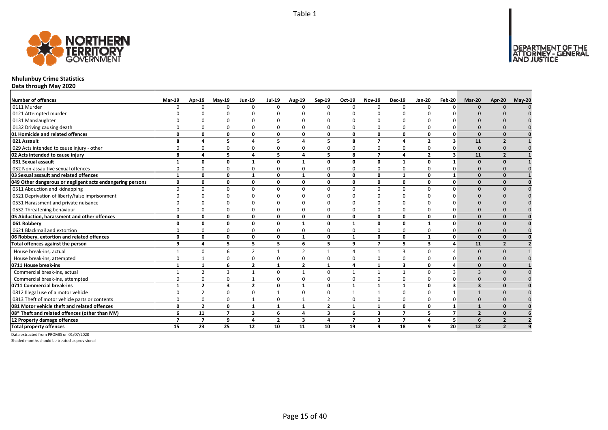

# **Nhulunbuy Crime Statistics**

**Data through May 2020**

| <b>Number of offences</b>                                 | Mar-19                   | Apr-19         | $May-19$                | <b>Jun-19</b>   | <b>Jul-19</b>  |                    | Sep-19         | Oct-19         | <b>Nov-19</b>  | <b>Dec-19</b>   | <b>Jan-20</b>           | Feb-20         | Mar-20         | Apr-20                   | <b>May-20</b> |
|-----------------------------------------------------------|--------------------------|----------------|-------------------------|-----------------|----------------|--------------------|----------------|----------------|----------------|-----------------|-------------------------|----------------|----------------|--------------------------|---------------|
| 0111 Murder                                               |                          | $\Omega$       | $\Omega$                | $\Omega$        | $\Omega$       | <b>Aug-19</b><br>U | $\Omega$       | $\Omega$       | $\Omega$       | $\Omega$        | $\Omega$                | $\Omega$       |                |                          |               |
| 0121 Attempted murder                                     |                          |                |                         |                 |                |                    |                |                |                |                 |                         |                |                |                          |               |
| 0131 Manslaughter                                         |                          |                |                         |                 |                |                    |                |                |                |                 |                         |                |                |                          |               |
| 0132 Driving causing death                                |                          |                |                         | ŋ               | 0              | 0                  |                |                | n              | $\Omega$        |                         |                |                |                          |               |
| 01 Homicide and related offences                          | 0                        | 0              | $\Omega$                | 0               | $\mathbf 0$    | 0                  | 0              | $\Omega$       | 0              | 0               | $\mathbf 0$             | 0              | $\Omega$       | $\Omega$                 |               |
| 021 Assault                                               | 8                        | 4              | 5                       | 4               | 5              | 4                  | 5              | 8              | $\overline{7}$ | 4               | $\overline{2}$          | 3              | 11             | $\overline{2}$           |               |
| 029 Acts intended to cause injury - other                 | 0                        | $\Omega$       | $\Omega$                | 0               | 0              | 0                  | 0              | 0              | $\Omega$       | 0               | $\Omega$                | 0              | $\Omega$       |                          |               |
| 02 Acts intended to cause injury                          | 8                        | 4              | 5                       | 4               | 5              | 4                  | 5              | 8              | $\overline{7}$ | 4               | $\overline{2}$          | 3              | 11             | $\overline{\phantom{a}}$ |               |
| 031 Sexual assault                                        |                          | O              | O                       | -1              | 0              | 1                  | 0              | O              | $\Omega$       | $\mathbf{1}$    | 0                       | $\mathbf{1}$   | $\Omega$       |                          |               |
| 032 Non-assaultive sexual offences                        | 0                        |                | $\Omega$                | O               | 0              | 0                  | O              | $\Omega$       | O              | 0               | 0                       | O              |                |                          |               |
| 03 Sexual assault and related offences                    | $\mathbf{1}$             | 0              | $\mathbf{0}$            | $\mathbf{1}$    | $\mathbf 0$    | 1                  | 0              | $\Omega$       | $\mathbf{0}$   | $\mathbf{1}$    | 0                       | 1              | $\Omega$       | O                        |               |
| 049 Other dangerous or negligent acts endangering persons | 0                        | O              | 0                       | 0               | 0              | 0                  | 0              | 0              | 0              | 0               | 0                       | 0              | $\Omega$       | $\Omega$                 |               |
| 0511 Abduction and kidnapping                             | $\Omega$                 | $\Omega$       | $\Omega$                | $\Omega$        | $\mathbf 0$    | $\mathbf 0$        | $\Omega$       | $\Omega$       | $\Omega$       | 0               | $\mathbf 0$             | <sup>n</sup>   |                | $\Omega$                 | $\Omega$      |
| 0521 Deprivation of liberty/false imprisonment            |                          |                |                         |                 |                |                    |                |                |                |                 |                         |                |                |                          |               |
| 0531 Harassment and private nuisance                      |                          |                |                         |                 |                |                    |                |                |                |                 |                         |                |                |                          |               |
| 0532 Threatening behaviour                                |                          |                |                         | $\Omega$        | $\Omega$       | 0                  |                |                | O              | $\Omega$        | O                       |                |                |                          |               |
| 05 Abduction, harassment and other offences               | 0                        | 0              | $\Omega$                | 0               | $\mathbf 0$    | 0                  | 0              | $\Omega$       | $\mathbf{0}$   | 0               | 0                       | 0              | $\Omega$       | $\Omega$                 | $\mathbf{0}$  |
| 061 Robbery                                               | O                        | O              | O                       | $\Omega$        | $\mathbf 0$    | $\mathbf{1}$       | 0              | $\mathbf{1}$   | 0              | $\mathbf{0}$    | 1                       | 0              |                |                          | $\mathbf{0}$  |
| 0621 Blackmail and extortion                              |                          | <sup>0</sup>   | $\Omega$                | <sup>0</sup>    | 0              | 0                  | O              | $\Omega$       | $\Omega$       | 0               | $\Omega$                | O              | $\Omega$       |                          |               |
| 06 Robbery, extortion and related offences                | 0                        | 0              | $\Omega$                | 0               | $\mathbf 0$    | 1                  | 0              | $\mathbf{1}$   | 0              | 0               | 1                       | 0              | $\Omega$       | $\Omega$                 |               |
| Total offences against the person                         | 9                        | 4              | 5                       | 5               | 5              | 6                  | 5              | 9              | $\overline{7}$ | 5               | $\overline{\mathbf{3}}$ | 4              | 11             | $\overline{2}$           |               |
| House break-ins, actual                                   |                          | $\Omega$       | 6                       | $\overline{2}$  | $\mathbf{1}$   | $\overline{2}$     | $\mathbf{1}$   | $\Lambda$      | $\mathbf{1}$   | 3               | $\Omega$                |                | $\Omega$       | $\Omega$                 |               |
| House break-ins, attempted                                | O                        |                | $\Omega$                | $\Omega$        | $\Omega$       | 0                  | $\Omega$       | $\Omega$       | O              | $\Omega$        | $\Omega$                |                |                |                          |               |
| 0711 House break-ins                                      |                          | $\mathbf{1}$   | 6                       | $\overline{2}$  | $\mathbf{1}$   | $\overline{2}$     | $\mathbf{1}$   | 4              | $\mathbf{1}$   | 3               | 0                       |                | $\Omega$       | O                        |               |
| Commercial break-ins, actual                              |                          | $\overline{2}$ | 3                       | 1               | $\mathbf 0$    | $\mathbf{1}$       | $\Omega$       | $\mathbf{1}$   | $\mathbf{1}$   | $\mathbf{1}$    | $\Omega$                | з              | $\mathbf{3}$   |                          |               |
| Commercial break-ins, attempted                           | 0                        | $\Omega$       | $\Omega$                | $\mathbf{1}$    | 0              | 0                  | O              | n              | $\Omega$       | 0               | 0                       |                |                |                          |               |
| 0711 Commercial break-ins                                 | $\mathbf{1}$             | $\overline{2}$ | $\overline{\mathbf{3}}$ | $\overline{2}$  | $\mathbf 0$    | $\mathbf{1}$       | 0              | $\mathbf{1}$   | $\mathbf{1}$   | $\mathbf{1}$    | $\mathbf 0$             | 3              | $\mathbf{3}$   | $\Omega$                 | $\mathbf{0}$  |
| 0812 Illegal use of a motor vehicle                       | 0                        | $\mathcal{P}$  | $\Omega$                | $\Omega$        | $\mathbf{1}$   | 0                  | $\Omega$       | $\mathbf{1}$   | $\mathbf 1$    | 0               | $\mathbf 0$             | $\mathbf{1}$   |                |                          |               |
| 0813 Theft of motor vehicle parts or contents             | 0                        | $\Omega$       | $\Omega$                | $\mathbf{1}$    | 0              | $\mathbf{1}$       | $\overline{2}$ | $\Omega$       | $\Omega$       | 0               | $\mathbf 0$             | 0              | $\Omega$       |                          | $\Omega$      |
| 081 Motor vehicle theft and related offences              | 0                        | $\overline{2}$ | $\Omega$                | $\mathbf{1}$    | $\mathbf{1}$   | $\mathbf{1}$       | $\overline{2}$ | $\mathbf{1}$   | $\mathbf{1}$   | 0               | $\mathbf{0}$            | $\mathbf{1}$   | $\mathbf{1}$   | $\Omega$                 |               |
| 08* Theft and related offences (other than MV)            | 6                        | 11             | $\overline{ }$          | 3               | 6              | 4                  | 3              | 6              | 3              | $\overline{7}$  | 5                       | $\overline{ }$ | $\overline{2}$ | $\Omega$                 |               |
| 12 Property damage offences                               | $\overline{\phantom{a}}$ | $\overline{7}$ | 9                       | 4               | $\overline{2}$ | 3                  | 4              | $\overline{7}$ | 3              | $\overline{7}$  | 4                       | 5              | 6              | $\overline{2}$           |               |
| <b>Total property offences</b>                            | 15                       | 23             | 25                      | $\overline{12}$ | 10             | 11                 | 10             | 19             | 9              | $\overline{18}$ | 9                       | 20             | 12             | $\overline{2}$           |               |

Data extracted from PROMIS on 01/07/2020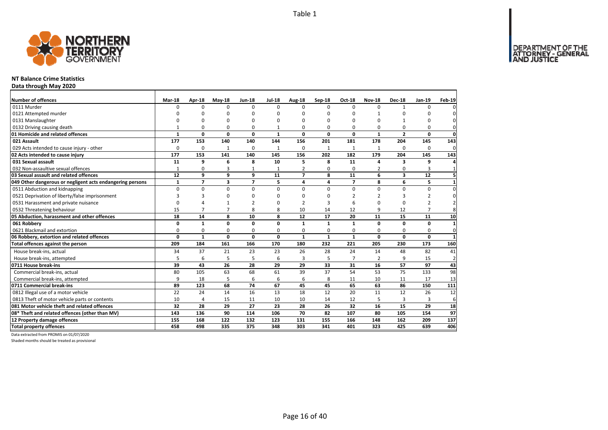

#### **NT Balance Crime Statistics**

**Data through May 2020**

| Number of offences                                        | <b>Mar-18</b> | Apr-18         | $May-18$       | <b>Jun-18</b>  | <b>Jul-18</b> | Aug-18         | Sep-18       | Oct-18         | <b>Nov-18</b>  | <b>Dec-18</b>  | Jan-19         | <b>Feb-19</b>       |
|-----------------------------------------------------------|---------------|----------------|----------------|----------------|---------------|----------------|--------------|----------------|----------------|----------------|----------------|---------------------|
| 0111 Murder                                               | $\Omega$      | <sup>0</sup>   | $\Omega$       | $\Omega$       | $\Omega$      | $\Omega$       | $\Omega$     | $\Omega$       | $\Omega$       |                | $\Omega$       | 0                   |
| 0121 Attempted murder                                     |               | O              | n              | O              | ŋ             | n              | O            | O              |                | O              |                | 0                   |
| 0131 Manslaughter                                         |               | O              | n              | O              | ŋ             | n              | O            | 0              | 0              |                | $\Omega$       | $\mathbf 0$         |
| 0132 Driving causing death                                |               | 0              | 0              | 0              |               | $\Omega$       | 0            | 0              | 0              | 0              | 0              | $\mathbf{0}$        |
| 01 Homicide and related offences                          | $\mathbf{1}$  | 0              | $\mathbf{0}$   | 0              | $\mathbf{1}$  | 0              | 0            | 0              | $\mathbf{1}$   | $\overline{2}$ | $\mathbf{0}$   | $\mathbf{0}$        |
| 021 Assault                                               | 177           | 153            | 140            | 140            | 144           | 156            | 201          | 181            | 178            | 204            | 145            | 143                 |
| 029 Acts intended to cause injury - other                 | 0             | 0              | $\mathbf{1}$   | 0              | $\mathbf{1}$  | 0              | 1            | 1              | 1              | 0              | 0              | $\mathbf 0$         |
| 02 Acts intended to cause injury                          | 177           | 153            | 141            | 140            | 145           | 156            | 202          | 182            | 179            | 204            | 145            | 143                 |
| 031 Sexual assault                                        | 11            | 9              | 6              | 8              | 10            | 5              | 8            | 11             | 4              | 3              | 9              | 4                   |
| 032 Non-assaultive sexual offences                        | $\mathbf{1}$  | 0              | 3              | 1              |               | $\overline{2}$ | 0            | $\Omega$       | $\overline{2}$ | 0              | 3              | $\mathbf{1}$        |
| 03 Sexual assault and related offences                    | 12            | 9              | 9              | 9              | 11            | $\overline{7}$ | 8            | 11             | 6              | 3              | 12             | 5 <sup>1</sup>      |
| 049 Other dangerous or negligent acts endangering persons | $\mathbf{1}$  | $\overline{7}$ | 3              | $\overline{7}$ | 5             | 4              | 4            | $\overline{7}$ | 8              | 6              | 5              | $\mathbf{1}$        |
| 0511 Abduction and kidnapping                             | 0             | $\mathbf 0$    | 0              | 0              | $\mathbf 0$   | 0              | $\Omega$     | 0              | 0              | 0              | 0              | $\pmb{0}$           |
| 0521 Deprivation of liberty/false imprisonment            | 3             | 3              | $\Omega$       | O              | ŋ             | $\Omega$       | O            | $\overline{2}$ | $\overline{2}$ | 3              | $\overline{2}$ | $\mathsf{O}\xspace$ |
| 0531 Harassment and private nuisance                      | $\Omega$      | 4              | $\mathbf{1}$   | $\overline{2}$ | ŋ             | $\overline{2}$ |              | 6              | $\Omega$       | $\Omega$       | $\overline{2}$ | $\overline{2}$      |
| 0532 Threatening behaviour                                | 15            | $\overline{7}$ | $\overline{7}$ | 8              | 8             | 10             | 14           | 12             | 9              | 12             | $\overline{7}$ | 8                   |
| 05 Abduction, harassment and other offences               | 18            | 14             | 8              | 10             | 8             | 12             | 17           | 20             | 11             | 15             | 11             | 10                  |
| 061 Robbery                                               | 0             | $\mathbf{1}$   | $\mathbf{0}$   | $\mathbf{0}$   | $\Omega$      | $\mathbf{1}$   | $\mathbf{1}$ | $\mathbf{1}$   | $\Omega$       | $\mathbf{0}$   | 0              | $\mathbf{1}$        |
| 0621 Blackmail and extortion                              | 0             | $\mathbf 0$    | 0              | $\mathbf 0$    | 0             | 0              | 0            | 0              | 0              | 0              | $\mathbf 0$    | $\mathbf{0}$        |
| 06 Robbery, extortion and related offences                | $\mathbf{0}$  | $\mathbf{1}$   | $\mathbf{0}$   | 0              | 0             | $\mathbf{1}$   | $\mathbf{1}$ | $\mathbf{1}$   | 0              | $\mathbf{0}$   | 0              | $\mathbf{1}$        |
| Total offences against the person                         | 209           | 184            | 161            | 166            | 170           | 180            | 232          | 221            | 205            | 230            | 173            | 160                 |
| House break-ins, actual                                   | 34            | 37             | 21             | 23             | 23            | 26             | 28           | 24             | 14             | 48             | 82             | 41                  |
| House break-ins, attempted                                | 5             | 6              | 5              | 5              | 6             | 3              | 5            | $\overline{7}$ | 2              | 9              | 15             | $\overline{2}$      |
| 0711 House break-ins                                      | 39            | 43             | 26             | 28             | 29            | 29             | 33           | 31             | 16             | 57             | 97             | 43                  |
| Commercial break-ins, actual                              | 80            | 105            | 63             | 68             | 61            | 39             | 37           | 54             | 53             | 75             | 133            | 98                  |
| Commercial break-ins, attempted                           | 9             | 18             | 5              | 6              | 6             | 6              | 8            | 11             | 10             | 11             | 17             | 13                  |
| 0711 Commercial break-ins                                 | 89            | 123            | 68             | 74             | 67            | 45             | 45           | 65             | 63             | 86             | 150            | 111                 |
| 0812 Illegal use of a motor vehicle                       | 22            | 24             | 14             | 16             | 13            | 18             | 12           | 20             | 11             | 12             | 26             | 12                  |
| 0813 Theft of motor vehicle parts or contents             | 10            | 4              | 15             | 11             | 10            | 10             | 14           | 12             | 5              | $\overline{3}$ | 3              | 6                   |
| 081 Motor vehicle theft and related offences              | 32            | 28             | 29             | 27             | 23            | 28             | 26           | 32             | 16             | 15             | 29             | 18                  |
| 08* Theft and related offences (other than MV)            | 143           | 136            | 90             | 114            | 106           | 70             | 82           | 107            | 80             | 105            | 154            | 97                  |
| 12 Property damage offences                               | 155           | 168            | 122            | 132            | 123           | 131            | 155          | 166            | 148            | 162            | 209            | 137                 |
| <b>Total property offences</b>                            | 458           | 498            | 335            | 375            | 348           | 303            | 341          | 401            | 323            | 425            | 639            | 406                 |

Data extracted from PROMIS on 01/07/2020

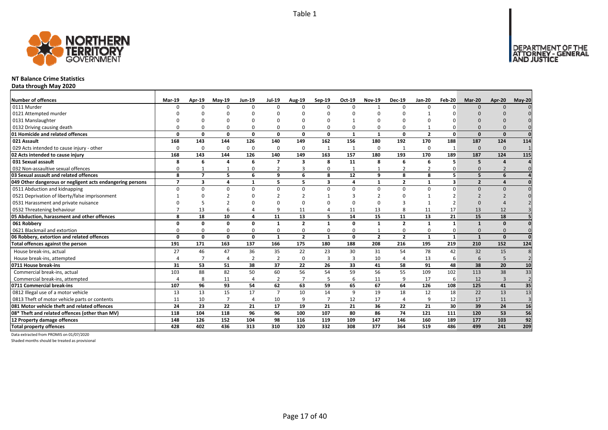

#### **NT Balance Crime Statistics**

**Data through May 2020**

| Number of offences                                        | Mar-19       | Apr-19                   | $May-19$       | <b>Jun-19</b>  | <b>Jul-19</b>  | Aug-19         | Sep-19       | Oct-19         | <b>Nov-19</b>  | <b>Dec-19</b>  | <b>Jan-20</b>  | Feb-20       | Mar-20         | Apr-20         | $May-20$       |
|-----------------------------------------------------------|--------------|--------------------------|----------------|----------------|----------------|----------------|--------------|----------------|----------------|----------------|----------------|--------------|----------------|----------------|----------------|
| 0111 Murder                                               | n            | <sup>n</sup>             | $\Omega$       | $\Omega$       | $\Omega$       | n              | $\Omega$     | $\Omega$       | -1             | $\Omega$       | $\Omega$       | ŋ            | $\Omega$       | $\Omega$       |                |
| 0121 Attempted murder                                     |              |                          |                |                |                |                |              |                |                |                |                |              |                |                |                |
| 0131 Manslaughter                                         |              |                          |                |                | ŋ              |                |              |                |                |                |                |              |                |                |                |
| 0132 Driving causing death                                |              |                          |                | $\Omega$       | $\Omega$       |                |              | $\Omega$       | 0              | 0              |                |              | $\Omega$       |                |                |
| 01 Homicide and related offences                          | n            | 0                        | $\Omega$       | $\mathbf{0}$   | 0              | $\Omega$       | 0            | 1              | $\mathbf{1}$   | $\mathbf 0$    | $\overline{2}$ | $\Omega$     | $\Omega$       | $\Omega$       | $\Omega$       |
| 021 Assault                                               | 168          | 143                      | 144            | 126            | 140            | 149            | 162          | 156            | 180            | 192            | 170            | 188          | 187            | 124            | 114            |
| 029 Acts intended to cause injury - other                 | $\Omega$     | $\Omega$                 | $\Omega$       | 0              | 0              | $\Omega$       | $\mathbf{1}$ |                | 0              | $\mathbf{1}$   | $\Omega$       |              | $\Omega$       | $\Omega$       |                |
| 02 Acts intended to cause injury                          | 168          | 143                      | 144            | 126            | 140            | 149            | 163          | 157            | 180            | 193            | 170            | 189          | 187            | 124            | 115            |
| 031 Sexual assault                                        | 8            | 6                        |                | 6              | 7              | 3              | 8            | 11             | 8              | 6              | 6              | 5            | 5              |                |                |
| 032 Non-assaultive sexual offences                        | $\Omega$     |                          |                | $\Omega$       | 2              |                | n            |                | $\mathbf{1}$   | $\overline{2}$ |                |              | $\Omega$       |                |                |
| 03 Sexual assault and related offences                    | 8            | $\overline{\phantom{a}}$ | 5.             | 6              | 9              | 6              | 8            | 12             | $\mathbf{q}$   | 8              | $\mathbf{R}$   | 5            | 5              | 6              |                |
| 049 Other dangerous or negligent acts endangering persons | 7            | 3                        | 4              | 1              | 5              | 5              | 3            | 4              | $\mathbf{1}$   | $\mathbf{2}$   | -1             | 3            | $\overline{2}$ |                |                |
| 0511 Abduction and kidnapping                             | $\Omega$     | <sup>n</sup>             | $\Omega$       | $\Omega$       | $\Omega$       | 0              | <sup>n</sup> | $\Omega$       | $\Omega$       | $\Omega$       | $\Omega$       | ŋ            | $\Omega$       | $\Omega$       |                |
| 0521 Deprivation of liberty/false imprisonment            |              |                          |                |                |                |                |              |                |                | U              |                |              |                |                |                |
| 0531 Harassment and private nuisance                      |              |                          |                |                | ŋ              |                |              | $\Omega$       | $\cap$         | 3              |                |              | $\Omega$       |                |                |
| 0532 Threatening behaviour                                |              | 13                       |                |                | 9              | 11             |              | 11             | 13             | 8              | 11             | 17           | 13             | 12             |                |
| 05 Abduction, harassment and other offences               | 8            | 18                       | 10             | 4              | 11             | 13             | 5            | 14             | 15             | 11             | 13             | 21           | 15             | 18             |                |
| 061 Robbery                                               | n            | 0                        | $\Omega$       | 0              | $\mathbf{1}$   | $\overline{2}$ | $\mathbf{1}$ | $\Omega$       | $\mathbf{1}$   | $\overline{2}$ | $\mathbf{1}$   | $\mathbf{1}$ | $\mathbf{1}$   | $\Omega$       |                |
| 0621 Blackmail and extortion                              |              | O                        | $\Omega$       | $\Omega$       | 0              | $\Omega$       |              | $\Omega$       |                | 0              | O              |              | $\Omega$       | $\Omega$       | $\mathbf{0}$   |
| 06 Robbery, extortion and related offences                | $\mathbf{0}$ | $\mathbf{0}$             | 0              | $\mathbf{0}$   | $\mathbf{1}$   | $\overline{2}$ | 1            | 0              | $\overline{2}$ | $\overline{2}$ | 1              | 1            | $\mathbf{1}$   | $\mathbf{0}$   | $\mathbf{0}$   |
| Total offences against the person                         | 191          | 171                      | 163            | 137            | 166            | 175            | 180          | 188            | 208            | 216            | 195            | 219          | 210            | 152            | 124            |
| House break-ins, actual                                   | 27           | 46                       | 47             | 36             | 35             | 22             | 23           | 30             | 31             | 54             | 78             | 42           | 32             | 15             | 8              |
| House break-ins, attempted                                |              | $\overline{7}$           | Δ              | $\overline{2}$ | $\overline{2}$ | $\Omega$       | 3            | $\overline{3}$ | 10             | 4              | 13             | 6            | 6              | 5              | $\overline{2}$ |
| 0711 House break-ins                                      | 31           | 53                       | 51             | 38             | 37             | 22             | 26           | 33             | 41             | 58             | 91             | 48           | 38             | 20             | 10             |
| Commercial break-ins, actual                              | 103          | 88                       | 82             | 50             | 60             | 56             | 54           | 59             | 56             | 55             | 109            | 102          | 113            | 38             | 33             |
| Commercial break-ins, attempted                           |              | 8                        | 11             | $\Delta$       | $\overline{2}$ |                | 5            | 6              | 11             | 9              | 17             | 6            | 12             | $\overline{3}$ | $\overline{2}$ |
| 0711 Commercial break-ins                                 | 107          | 96                       | 93             | 54             | 62             | 63             | 59           | 65             | 67             | 64             | 126            | 108          | 125            | 41             | 35             |
| 0812 Illegal use of a motor vehicle                       | 13           | 13                       | 15             | 17             | $\overline{7}$ | 10             | 14           | 9              | 19             | 18             | 12             | 18           | 22             | 13             | 13             |
| 0813 Theft of motor vehicle parts or contents             | 11           | 10                       | $\overline{7}$ | $\overline{4}$ | 10             | q              |              | 12             | 17             | 4              | q              | 12           | 17             | 11             | $\overline{3}$ |
| 081 Motor vehicle theft and related offences              | 24           | 23                       | 22             | 21             | 17             | 19             | 21           | 21             | 36             | 22             | 21             | 30           | 39             | 24             | 16             |
| 08* Theft and related offences (other than MV)            | 118          | 104                      | 118            | 96             | 96             | 100            | 107          | 80             | 86             | 74             | 121            | 111          | 120            | 53             | 56             |
| 12 Property damage offences                               | 148          | 126                      | 152            | 104            | 98             | 116            | 119          | 109            | 147            | 146            | 160            | 189          | 177            | 103            | 92             |
| <b>Total property offences</b>                            | 428          | 402                      | 436            | 313            | 310            | 320            | 332          | 308            | 377            | 364            | 519            | 486          | 499            | 241            | 209            |

Data extracted from PROMIS on 01/07/2020

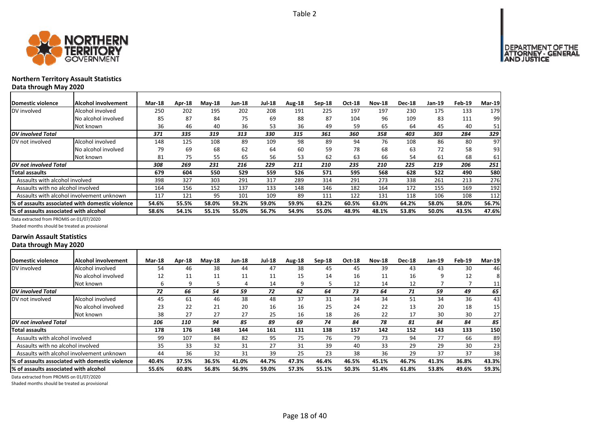

# **Northern Territory Assault Statistics Data through May 2020**

| <b>Domestic violence</b>              | Alcohol involvement                             | <b>Mar-18</b> | Apr-18 | $M$ ay-18 | Jun-18 | <b>Jul-18</b> | Aug-18 | $Sep-18$ | Oct-18 | <b>Nov-18</b> | <b>Dec-18</b> | $Jan-19$ | Feb-19 | $Mar-19$ |
|---------------------------------------|-------------------------------------------------|---------------|--------|-----------|--------|---------------|--------|----------|--------|---------------|---------------|----------|--------|----------|
| DV involved                           | Alcohol involved                                | 250           | 202    | 195       | 202    | 208           | 191    | 225      | 197    | 197           | 230           | 175      | 133    | 179      |
|                                       | No alcohol involved                             | 85            | 87     | 84        | 75     | 69            | 88     | 87       | 104    | 96            | 109           | 83       | 111    | 99       |
|                                       | Not known                                       | 36            | 46     | 40        | 36     | 53            | 36     | 49       | 59     | 65            | 64            | 45       | 40     | 51       |
| <b>DV</b> involved Total              |                                                 | 371           | 335    | 319       | 313    | 330           | 315    | 361      | 360    | 358           | 403           | 303      | 284    | 329      |
| DV not involved                       | Alcohol involved                                | 148           | 125    | 108       | 89     | 109           | 98     | 89       | 94     | 76            | 108           | 86       | 80     | 97       |
|                                       | No alcohol involved                             | 79            | 69     | 68        | 62     | 64            | 60     | 59       | 78     | 68            | 63            | 72       | 58     | 93       |
|                                       | Not known                                       | 81            | 75     | 55        | 65     | 56            | 53     | 62       | 63     | 66            | 54            | 61       | 68     | 61       |
| DV not involved Total                 |                                                 | 308           | 269    | 231       | 216    | 229           | 211    | 210      | 235    | 210           | 225           | 219      | 206    | 251      |
| Total assaults                        |                                                 | 679           | 604    | 550       | 529    | 559           | 526    | 571      | 595    | 568           | 628           | 522      | 490    | 580      |
| Assaults with alcohol involved        |                                                 | 398           | 327    | 303       | 291    | 317           | 289    | 314      | 291    | 273           | 338           | 261      | 213    | 276      |
| Assaults with no alcohol involved     |                                                 | 164           | 156    | 152       | 137    | 133           | 148    | 146      | 182    | 164           | 172           | 155      | 169    | 192      |
|                                       | Assaults with alcohol involvement unknown       | 117           | 121    | 95        | 101    | 109           | 89     | 111      | 122    | 131           | 118           | 106      | 108    | 112      |
|                                       | % of assaults associated with domestic violence | 54.6%         | 55.5%  | 58.0%     | 59.2%  | 59.0%         | 59.9%  | 63.2%    | 60.5%  | 63.0%         | 64.2%         | 58.0%    | 58.0%  | 56.7%    |
| % of assaults associated with alcohol |                                                 | 58.6%         | 54.1%  | 55.1%     | 55.0%  | 56.7%         | 54.9%  | 55.0%    | 48.9%  | 48.1%         | 53.8%         | 50.0%    | 43.5%  | 47.6%    |

Data extracted from PROMIS on 01/07/2020

Shaded months should be treated as provisional

### **Darwin Assault Statistics Data through May 2020**

| Domestic violence                      | <b>Alcohol involvement</b>                       | <b>Mar-18</b> | Apr-18 | $M$ ay-18 | <b>Jun-18</b> | <b>Jul-18</b> | Aug-18 | Sep-18 | Oct-18 | <b>Nov-18</b> | <b>Dec-18</b> | Jan-19 | Feb-19 | <b>Mar-19</b>   |
|----------------------------------------|--------------------------------------------------|---------------|--------|-----------|---------------|---------------|--------|--------|--------|---------------|---------------|--------|--------|-----------------|
| DV involved                            | Alcohol involved                                 | 54            | 46     | 38        | 44            | 47            | 38     | 45     | 45     | 39            | 43            | 43     | 30     | 46              |
|                                        | No alcohol involved                              | 12            | 11     | 11        | 11            | 11            | 15     | 14     | 16     | 11            | 16            | 9      | 12     | 81              |
|                                        | Not known                                        | 6             | 9      |           | 4             | 14            | 9      |        | 12     | 14            | 12            |        |        | 11              |
| DV involved Total                      |                                                  | 72            | 66     | 54        | 59            | 72            | 62     | 64     | 73     | 64            | 71            | 59     | 49     | 65              |
| DV not involved                        | Alcohol involved                                 | 45            | 61     | 46        | 38            | 48            | 37     | 31     | 34     | 34            | 51            | 34     | 36     | 43              |
|                                        | No alcohol involved                              | 23            | 22     | 21        | 20            | 16            | 16     | 25     | 24     | 22            | 13            | 20     | 18     | 15 <sub>l</sub> |
|                                        | Not known                                        | 38            | 27     | 27        | 27            | 25            | 16     | 18     | 26     | 22            | 17            | 30     | 30     | 27              |
| DV not involved Total                  |                                                  | 106           | 110    | 94        | 85            | 89            | 69     | 74     | 84     | 78            | 81            | 84     | 84     | 85              |
| <b>Total assaults</b>                  |                                                  | 178           | 176    | 148       | 144           | 161           | 131    | 138    | 157    | 142           | 152           | 143    | 133    | 150             |
| Assaults with alcohol involved         |                                                  | 99            | 107    | 84        | 82            | 95            | 75     | 76     | 79     | 73            | 94            | 77     | 66     | 89              |
| Assaults with no alcohol involved      |                                                  | 35            | 33     | 32        | 31            | 27            | 31     | 39     | 40     | 33            | 29            | 29     | 30     | 23              |
|                                        | Assaults with alcohol involvement unknown        | 44            | 36     | 32        | 31            | 39            | 25     | 23     | 38     | 36            | 29            | 37     | 37     | 38              |
|                                        | I% of assaults associated with domestic violence | 40.4%         | 37.5%  | 36.5%     | 41.0%         | 44.7%         | 47.3%  | 46.4%  | 46.5%  | 45.1%         | 46.7%         | 41.3%  | 36.8%  | 43.3%           |
| I% of assaults associated with alcohol |                                                  | 55.6%         | 60.8%  | 56.8%     | 56.9%         | 59.0%         | 57.3%  | 55.1%  | 50.3%  | 51.4%         | 61.8%         | 53.8%  | 49.6%  | 59.3%           |

Data extracted from PROMIS on 01/07/2020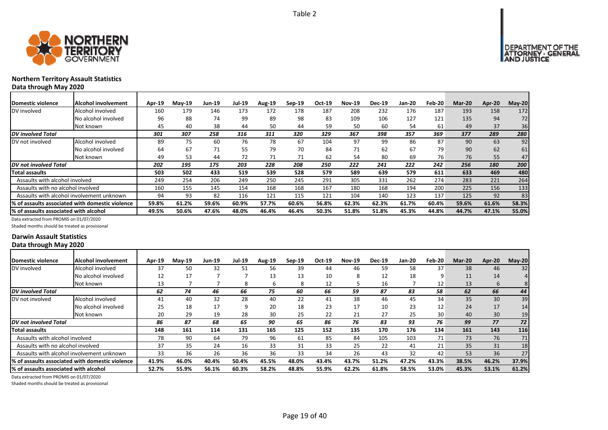



# **Northern Territory Assault Statistics Data through May 2020**

| <b>Domestic violence</b>                  | Alcohol involvement                             | Apr-19 | $Mav-19$ | Jun-19 | Jul-19 | <b>Aug-19</b> | Sep-19 | Oct-19 | <b>Nov-19</b> | <b>Dec-19</b> | Jan-20 | Feb-20 | <b>Mar-20</b> | Apr-20 | $May-20$ |
|-------------------------------------------|-------------------------------------------------|--------|----------|--------|--------|---------------|--------|--------|---------------|---------------|--------|--------|---------------|--------|----------|
| DV involved                               | Alcohol involved                                | 160    | 179      | 146    | 173    | 172           | 178    | 187    | 208           | 232           | 176    | 187    | 193           | 158    | 172      |
|                                           | No alcohol involved                             | 96     | 88       | 74     | 99     | 89            | 98     | 83     | 109           | 106           | 127    | 121    | 135           | 94     | 72       |
|                                           | Not known                                       | 45     | 40       | 38     | 44     | 50            | 44     | 59     | 50            | 60            | 54     | 61     | 49            | 37     | 36       |
| <b>DV</b> involved Total                  |                                                 | 301    | 307      | 258    | 316    | 311           | 320    | 329    | 367           | 398           | 357    | 369    | 377           | 289    | 280      |
| DV not involved                           | Alcohol involved                                | 89     | 75       | 60     | 76     | 78            | 67     | 104    | 97            | 99            | 86     | 87     | 90            | 63     | 92       |
|                                           | No alcohol involved                             | 64     | 67       | 71     | 55     | 79            | 70     | 84     | 71            | 62            | 67     | 79     | 90            | 62     | 61       |
|                                           | Not known                                       | 49     | 53       | 44     | 72     | 71            | 71     | 62     | 54            | 80            | 69     | 76     | 76            | 55     | 47       |
| DV not involved Total                     |                                                 | 202    | 195      | 175    | 203    | 228           | 208    | 250    | 222           | 241           | 222    | 242    | 256           | 180    | 200      |
| <b>Total assaults</b>                     |                                                 | 503    | 502      | 433    | 519    | 539           | 528    | 579    | 589           | 639           | 579    | 611    | 633           | 469    | 480      |
| Assaults with alcohol involved            |                                                 | 249    | 254      | 206    | 249    | 250           | 245    | 291    | 305           | 331           | 262    | 274    | 283           | 221    | 264      |
| Assaults with no alcohol involved         |                                                 | 160    | 155      | 145    | 154    | 168           | 168    | 167    | 180           | 168           | 194    | 200    | 225           | 156    | 133      |
| Assaults with alcohol involvement unknown |                                                 | 94     | 93       | 82     | 116    | 121           | 115    | 121    | 104           | 140           | 123    | 137    | 125           | 92     | 83       |
|                                           | % of assaults associated with domestic violence | 59.8%  | 61.2%    | 59.6%  | 60.9%  | 57.7%         | 60.6%  | 56.8%  | 62.3%         | 62.3%         | 61.7%  | 60.4%  | 59.6%         | 61.6%  | 58.3%    |
| % of assaults associated with alcohol     |                                                 | 49.5%  | 50.6%    | 47.6%  | 48.0%  | 46.4%         | 46.4%  | 50.3%  | 51.8%         | 51.8%         | 45.3%  | 44.8%  | 44.7%         | 47.1%  | 55.0%    |

Data extracted from PROMIS on 01/07/2020

Shaded months should be treated as provisional

### **Darwin Assault Statistics Data through May 2020**

| Domestic violence                     | <b>Alcohol involvement</b>                       | <b>Apr-19</b> | $M$ ay-19 | <b>Jun-19</b> | <b>Jul-19</b> | <b>Aug-19</b> | $Sep-19$ | Oct-19 | <b>Nov-19</b> | <b>Dec-19</b> | <b>Jan-20</b> | Feb-20            | <b>Mar-20</b> | Apr-20 | $May-20$ |
|---------------------------------------|--------------------------------------------------|---------------|-----------|---------------|---------------|---------------|----------|--------|---------------|---------------|---------------|-------------------|---------------|--------|----------|
| DV involved                           | Alcohol involved                                 | 37            | 50        | 32            | 51            | 56            | 39       | 44     | 46            | 59            | 58            | 37                | 38            | 46     | 32       |
|                                       | No alcohol involved                              | 12            | 17        |               |               | 13            | 13       | 10     | ŏ             | 12            | 18            | 9                 | 11            | 14     |          |
|                                       | Not known                                        | 13            |           |               | я             | h             | 8        | 12     |               | 16            |               | $12 \overline{ }$ | 13            | 6      | 8        |
| <b>DV</b> involved Total              |                                                  | 62            | 74        | 46            | 66            | 75            | 60       | 66     | 59            | 87            | 83            | 58                | 62            | 66     | 44       |
| DV not involved                       | Alcohol involved                                 | 41            | 40        | 32            | 28            | 40            | 22       | 41     | 38            | 46            | 45            | 34                | 35            | 30     | 39       |
|                                       | No alcohol involved                              | 25            | 18        | 17            |               | 20            | 18       | 23     | 17            | 10            | 23            | 12                | 24            | 17     | 14       |
|                                       | Not known                                        | 20            | 29        | 19            | 28            | 30            | 25       | 22     | 21            | 27            | 25            | 30                | 40            | 30     | 19       |
| DV not involved Total                 |                                                  | 86            | 87        | 68            | 65            | 90            | 65       | 86     | 76            | 83            | 93            | 76                | 99            | 77     | 72       |
| <b>Total assaults</b>                 |                                                  | 148           | 161       | 114           | 131           | 165           | 125      | 152    | 135           | 170           | 176           | 134               | 161           | 143    | 116      |
| Assaults with alcohol involved        |                                                  | 78            | 90        | 64            | 79            | 96            | 61       | 85     | 84            | 105           | 103           | 71                | 73            | 76     |          |
| Assaults with no alcohol involved     |                                                  | 37            | 35        | 24            | 16            | 33            | 31       | 33     | 25            | 22            | 41            | 21                | 35            | 31     | 18       |
|                                       | Assaults with alcohol involvement unknown        | 33            | 36        | 26            | 36            | 36            | 33       | 34     | 26            | 43            | 32            | 42                | 53            | 36     | 27       |
|                                       | I% of assaults associated with domestic violence | 41.9%         | 46.0%     | 40.4%         | 50.4%         | 45.5%         | 48.0%    | 43.4%  | 43.7%         | 51.2%         | 47.2%         | 43.3%             | 38.5%         | 46.2%  | 37.9%    |
| % of assaults associated with alcohol |                                                  | 52.7%         | 55.9%     | 56.1%         | 60.3%         | 58.2%         | 48.8%    | 55.9%  | 62.2%         | 61.8%         | 58.5%         | 53.0%             | 45.3%         | 53.1%  | 61.2%    |

Data extracted from PROMIS on 01/07/2020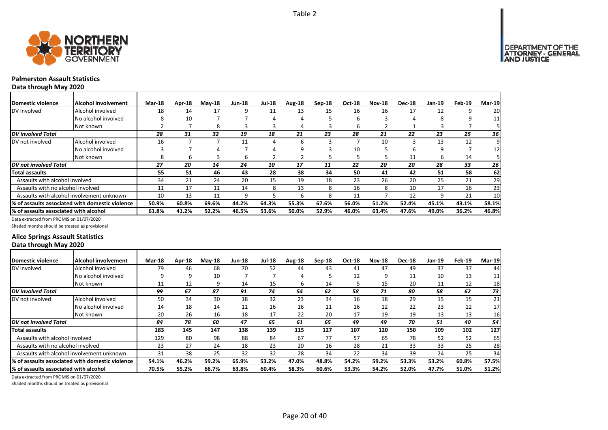

# **Palmerston Assault Statistics**

**Data through May 2020**

| Domestic violence                     | Alcohol involvement                             | <b>Mar-18</b> | Apr-18 | <b>Mav-18</b> | <b>Jun-18</b> | <b>Jul-18</b> | Aug-18 | Sep-18 | <b>Oct-18</b> | <b>Nov-18</b> | <b>Dec-18</b> | Jan-19 | Feb-19 | Mar-19 |
|---------------------------------------|-------------------------------------------------|---------------|--------|---------------|---------------|---------------|--------|--------|---------------|---------------|---------------|--------|--------|--------|
| DV involved                           | Alcohol involved                                | 18            | 14     | 17            | 9             | 11            | 13     | 15     | 16            | 16            | 17            | 12     |        | 20     |
|                                       | No alcohol involved                             | 8             | 10     |               |               | 4             | 4      |        | h             |               | 4             | я      |        | 11     |
|                                       | Not known                                       |               |        | 8             |               |               | 4      |        | b             |               |               |        |        |        |
| <b>DV</b> involved Total              |                                                 | 28            | 31     | 32            | 19            | 18            | 21     | 23     | 28            | 21            | 22            | 23     | 25     | 36     |
| DV not involved                       | Alcohol involved                                | 16            |        |               | 11            | 4             | 6      |        |               | 10            |               | 13     | 12     | 9      |
|                                       | No alcohol involved                             |               |        |               |               |               | 9      |        | 10            |               | h             | 9      |        | 12     |
|                                       | Not known                                       | 8             | ь      | з             | ь             |               |        |        |               |               | 11            | h      | 14     |        |
| DV not involved Total                 |                                                 | 27            | 20     | 14            | 24            | 10            | 17     | 11     | 22            | 20            | 20            | 28     | 33     | 26     |
| <b>Total assaults</b>                 |                                                 | 55            | 51     | 46            | 43            | 28            | 38     | 34     | 50            | 41            | 42            | 51     | 58     | 62     |
| Assaults with alcohol involved        |                                                 | 34            | 21     | 24            | 20            | 15            | 19     | 18     | 23            | 26            | 20            | 25     | 21     | 29     |
| Assaults with no alcohol involved     |                                                 | 11            | 17     | 11            | 14            | 8             | 13     | 8      | 16            | 8             | 10            | 17     | 16     | 23     |
|                                       | Assaults with alcohol involvement unknown       | 10            | 13     | 11            | ٩             |               | b      | 8      | 11            |               | 12            |        | 21     | 10     |
|                                       | % of assaults associated with domestic violence | 50.9%         | 60.8%  | 69.6%         | 44.2%         | 64.3%         | 55.3%  | 67.6%  | 56.0%         | 51.2%         | 52.4%         | 45.1%  | 43.1%  | 58.1%  |
| % of assaults associated with alcohol |                                                 | 61.8%         | 41.2%  | 52.2%         | 46.5%         | 53.6%         | 50.0%  | 52.9%  | 46.0%         | 63.4%         | 47.6%         | 49.0%  | 36.2%  | 46.8%  |

Data extracted from PROMIS on 01/07/2020

Shaded months should be treated as provisional

## **Alice Springs Assault Statistics Data through May 2020**

| <b>Domestic violence</b>              | <b>Alcohol involvement</b>                      | <b>Mar-18</b> | <b>Apr-18</b> | $M$ ay-18 | <b>Jun-18</b> | <b>Jul-18</b> | Aug-18 | $Sep-18$ | <b>Oct-18</b> | <b>Nov-18</b> | <b>Dec-18</b> | Jan-19 | Feb-19 | <b>Mar-19</b>   |
|---------------------------------------|-------------------------------------------------|---------------|---------------|-----------|---------------|---------------|--------|----------|---------------|---------------|---------------|--------|--------|-----------------|
| DV involved                           | Alcohol involved                                | 79            | 46            | 68        | 70            | 52            | 44     | 43       | 41            | 47            | 49            | 37     | 37     | 44              |
|                                       | No alcohol involved                             | 9             | 9             | 10        |               |               | 4      |          | 12            | ٩             | 11            | 10     | 13     | 11              |
|                                       | Not known                                       | 11            | 12            | 9         | 14            | 15            | 6      | 14       |               | 15            | 20            | 11     | 12     | 18              |
| <b>DV</b> involved Total              |                                                 | 99            | 67            | 87        | 91            | 74            | 54     | 62       | 58            | 71            | 80            | 58     | 62     | 73              |
| DV not involved                       | Alcohol involved                                | 50            | 34            | 30        | 18            | 32            | 23     | 34       | 16            | 18            | 29            | 15     | 15     | 21              |
|                                       | No alcohol involved                             | 14            | 18            | 14        | 11            | 16            | 16     | 11       | 16            | 12            | 22            | 23     | 12     | 17              |
|                                       | Not known                                       | 20            | 26            | 16        | 18            | 17            | 22     | 20       | 17            | 19            | 19            | 13     | 13     | 16              |
| DV not involved Total                 |                                                 | 84            | 78            | 60        | 47            | 65            | 61     | 65       | 49            | 49            | 70            | 51     | 40     | 54              |
| <b>Total assaults</b>                 |                                                 | 183           | 145           | 147       | 138           | 139           | 115    | 127      | 107           | 120           | 150           | 109    | 102    | 127             |
| Assaults with alcohol involved        |                                                 | 129           | 80            | 98        | 88            | 84            | 67     | 77       | 57            | 65            | 78            | 52     | 52     | 65              |
| Assaults with no alcohol involved     |                                                 | 23            | 27            | 24        | 18            | 23            | 20     | 16       | 28            | 21            | 33            | 33     | 25     | 28              |
|                                       | Assaults with alcohol involvement unknown       | 31            | 38            | 25        | 32            | 32            | 28     | 34       | 22            | 34            | 39            | 24     | 25     | 34 <sub>1</sub> |
|                                       | % of assaults associated with domestic violence | 54.1%         | 46.2%         | 59.2%     | 65.9%         | 53.2%         | 47.0%  | 48.8%    | 54.2%         | 59.2%         | 53.3%         | 53.2%  | 60.8%  | 57.5%           |
| % of assaults associated with alcohol |                                                 | 70.5%         | 55.2%         | 66.7%     | 63.8%         | 60.4%         | 58.3%  | 60.6%    | 53.3%         | 54.2%         | 52.0%         | 47.7%  | 51.0%  | 51.2%           |

Data extracted from PROMIS on 01/07/2020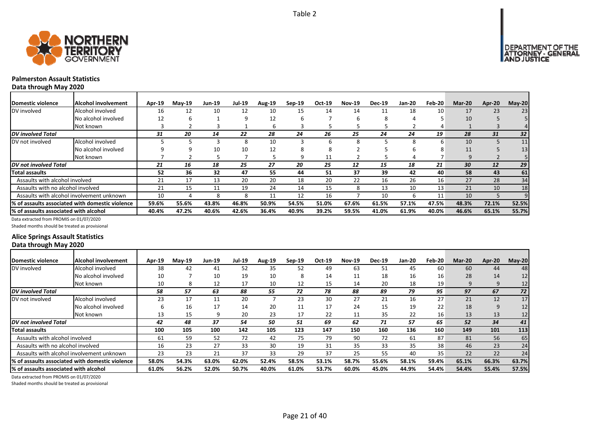



# **Palmerston Assault Statistics**

**Data through May 2020**

| Domestic violence                     | <b>Alcohol involvement</b>                      | Apr-19 | $Mav-19$ | <b>Jun-19</b> | <b>Jul-19</b> | Aug-19 | $Sep-19$ | Oct-19 | <b>Nov-19</b> | <b>Dec-19</b> | <b>Jan-20</b> | <b>Feb-20</b> | <b>Mar-20</b> | Apr-20 | $May-20$ |
|---------------------------------------|-------------------------------------------------|--------|----------|---------------|---------------|--------|----------|--------|---------------|---------------|---------------|---------------|---------------|--------|----------|
| DV involved                           | Alcohol involved                                | 16     | 12       | 10            | 12            | 10     | 15       | 14     | 14            | 11            | 18            | 10            | 17            | 23     | 23       |
|                                       | No alcohol involved                             | 12     | h        |               | q             | 12     | h        |        | h             | 8             |               |               | 10            |        |          |
|                                       | Not known                                       |        |          |               |               | ь      |          |        |               |               |               |               |               |        |          |
| <b>DV</b> involved Total              |                                                 | 31     | 20       | 14            | 22            | 28     | 24       | 26     | 25            | 24            | 24            | 19            | 28            | 31     | 32       |
| DV not involved                       | Alcohol involved                                |        |          |               | 8             | 10     |          | h      | 8             |               | 8             | h             | 10            |        | 11       |
|                                       | No alcohol involved                             |        |          | 10            | 10            | 12     | х        |        |               |               |               |               | 11            |        | 13       |
|                                       | Not known                                       |        |          |               |               |        | q        | 11     |               |               |               |               | 9             |        |          |
| <b>IDV</b> not involved Total         |                                                 | 21     | 16       | 18            | 25            | 27     | 20       | 25     | 12            | 15            | 18            | 21            | 30            | 12     | 29       |
| Total assaults                        |                                                 | 52     | 36       | 32            | 47            | 55     | 44       | 51     | 37            | 39            | 42            | 40            | 58            | 43     | 61       |
| Assaults with alcohol involved        |                                                 | 21     | 17       | 13            | 20            | 20     | 18       | 20     | 22            | 16            | 26            | 16            | 27            | 28     | 34       |
| Assaults with no alcohol involved     |                                                 | 21     | 15       | 11            | 19            | 24     | 14       | 15     | 8             | 13            | 10            | 13            | 21            | 10     | 18       |
|                                       | Assaults with alcohol involvement unknown       | 10     |          |               | 8             | 11     | 12       | 16     |               | 10            | 6             | 11            | 10            |        |          |
|                                       | % of assaults associated with domestic violence | 59.6%  | 55.6%    | 43.8%         | 46.8%         | 50.9%  | 54.5%    | 51.0%  | 67.6%         | 61.5%         | 57.1%         | 47.5%         | 48.3%         | 72.1%  | 52.5%    |
| % of assaults associated with alcohol |                                                 | 40.4%  | 47.2%    | 40.6%         | 42.6%         | 36.4%  | 40.9%    | 39.2%  | 59.5%         | 41.0%         | 61.9%         | 40.0%         | 46.6%         | 65.1%  | 55.7%    |

Data extracted from PROMIS on 01/07/2020

Shaded months should be treated as provisional

## **Alice Springs Assault Statistics Data through May 2020**

| <b>IDomestic violence</b>             | Alcohol involvement                              | Apr-19 | $May-19$ | Jun-19 | <b>Jul-19</b> | <b>Aug-19</b> | Sep-19 | Oct-19 | <b>Nov-19</b> | <b>Dec-19</b> | Jan-20 | Feb-20 | Mar-20 | Apr-20 | $May-20$ |
|---------------------------------------|--------------------------------------------------|--------|----------|--------|---------------|---------------|--------|--------|---------------|---------------|--------|--------|--------|--------|----------|
| DV involved                           | Alcohol involved                                 | 38     | 42       | 41     | 52            | 35            | 52     | 49     | 63            | 51            | 45     | 60     | 60     | 44     | 48       |
|                                       | No alcohol involved                              | 10     |          | 10     | 19            | 10            | 8      | 14     | 11            | 18            | 16     | 16     | 28     | 14     | 12       |
|                                       | Not known                                        | 10     | 8        | 12     | 17            | 10            | 12     | 15     | 14            | 20            | 18     | 19     | 9      | 9      | 12       |
| <b>DV</b> involved Total              |                                                  | 58     | 57       | 63     | 88            | 55            | 72     | 78     | 88            | 89            | 79     | 95     | 97     | 67     | 72       |
| DV not involved                       | Alcohol involved                                 | 23     | 17       | 11     | 20            |               | 23     | 30     | 27            | 21            | 16     | 27     | 21     | 12     | 17       |
|                                       | No alcohol involved                              | b      | 16       | 17     | 14            | 20            | 11     | 17     | 24            | 15            | 19     | 22     | 18     | 9      | 12       |
|                                       | Not known                                        | 13     | 15       |        | 20            | 23            | 17     | 22     | 11            | 35            | 22     | 16     | 13     | 13     | 12       |
| <b>DV</b> not involved Total          |                                                  | 42     | 48       | 37     | 54            | 50            | 51     | 69     | 62            | 71            | 57     | 65     | 52     | 34     | 41       |
| Total assaults                        |                                                  | 100    | 105      | 100    | 142           | 105           | 123    | 147    | 150           | 160           | 136    | 160    | 149    | 101    | 113      |
| Assaults with alcohol involved        |                                                  | 61     | 59       | 52     | 72            | 42            | 75     | 79     | 90            | 72            | 61     | 87     | 81     | 56     | 65       |
| Assaults with no alcohol involved     |                                                  | 16     | 23       | 27     | 33            | 30            | 19     | 31     | 35            | 33            | 35     | 38     | 46     | 23     | 24       |
|                                       | Assaults with alcohol involvement unknown        | 23     | 23       | 21     | 37            | 33            | 29     | 37     | 25            | 55            | 40     | 35     | 22     | 22     | 24       |
|                                       | 1% of assaults associated with domestic violence | 58.0%  | 54.3%    | 63.0%  | 62.0%         | 52.4%         | 58.5%  | 53.1%  | 58.7%         | 55.6%         | 58.1%  | 59.4%  | 65.1%  | 66.3%  | 63.7%    |
| % of assaults associated with alcohol |                                                  | 61.0%  | 56.2%    | 52.0%  | 50.7%         | 40.0%         | 61.0%  | 53.7%  | 60.0%         | 45.0%         | 44.9%  | 54.4%  | 54.4%  | 55.4%  | 57.5%    |

Data extracted from PROMIS on 01/07/2020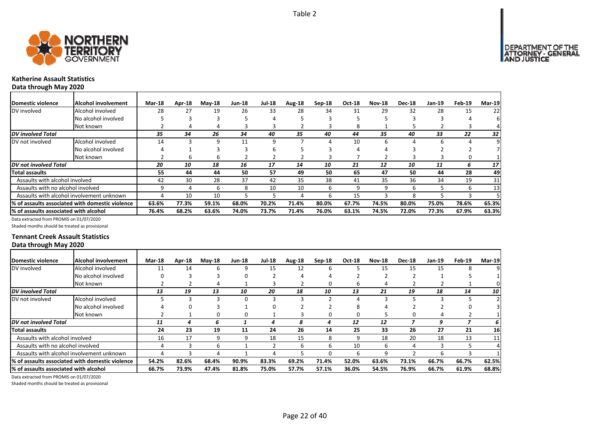

# **Katherine Assault Statistics**

**Data through May 2020**

| Domestic violence                     | IAlcohol involvement                            | <b>Mar-18</b> | Apr-18 | <b>May-18</b> | Jun-18 | <b>Jul-18</b> | Aug-18 | $Sep-18$ | Oct-18 | <b>Nov-18</b> | <b>Dec-18</b> | Jan-19 | Feb-19 | Mar-19 |
|---------------------------------------|-------------------------------------------------|---------------|--------|---------------|--------|---------------|--------|----------|--------|---------------|---------------|--------|--------|--------|
| DV involved                           | Alcohol involved                                | 28            | 27     | 19            | 26     | 33            | 28     | 34       | 31     | 29            | 32            | 28     | 15     | 22     |
|                                       | No alcohol involved                             |               |        |               |        |               |        |          |        |               |               |        |        | 6      |
|                                       | Not known                                       |               |        |               |        |               |        |          | 8      |               |               |        |        |        |
| <b>DV</b> involved Total              |                                                 | 35            | 34     | 26            | 34     | 40            | 35     | 40       | 44     | 35            | 40            | 33     | 22     | 32     |
| DV not involved                       | Alcohol involved                                | 14            |        | 9             | 11     | 9             |        |          | 10     |               |               | h      |        | 9      |
|                                       | No alcohol involved                             |               |        |               |        | ь             |        |          |        |               |               |        |        |        |
|                                       | Not known                                       |               | ь      | b             |        |               |        |          |        |               |               |        |        |        |
| <b>DV</b> not involved Total          |                                                 | 20            | 10     | 18            | 16     | 17            | 14     | 10       | 21     | 12            | 10            | 11     | 6      | 17     |
| <b>Total assaults</b>                 |                                                 | 55            | 44     | 44            | 50     | 57            | 49     | 50       | 65     | 47            | 50            | 44     | 28     | 49     |
| Assaults with alcohol involved        |                                                 | 42            | 30     | 28            | 37     | 42            | 35     | 38       | 41     | 35            | 36            | 34     | 19     | 31     |
| Assaults with no alcohol involved     |                                                 |               | Д      | b             | 8      | 10            | 10     | h        |        |               | h             |        | h      | 13     |
|                                       | Assaults with alcohol involvement unknown       | 4             | 10     | 10            |        |               | 4      | h        | 15     |               |               |        |        |        |
|                                       | % of assaults associated with domestic violence | 63.6%         | 77.3%  | 59.1%         | 68.0%  | 70.2%         | 71.4%  | 80.0%    | 67.7%  | 74.5%         | 80.0%         | 75.0%  | 78.6%  | 65.3%  |
| % of assaults associated with alcohol |                                                 | 76.4%         | 68.2%  | 63.6%         | 74.0%  | 73.7%         | 71.4%  | 76.0%    | 63.1%  | 74.5%         | 72.0%         | 77.3%  | 67.9%  | 63.3%  |

Data extracted from PROMIS on 01/07/2020

Shaded months should be treated as provisional

### **Tennant Creek Assault Statistics Data through May 2020**

| Domestic violence                     | <b>Alcohol involvement</b>                              | <b>Mar-18</b> | Apr-18 | $M$ ay-18 | <b>Jun-18</b> | <b>Jul-18</b> | Aug-18 | $Sep-18$ | <b>Oct-18</b> | <b>Nov-18</b> | <b>Dec-18</b> | Jan-19 | Feb-19 | <b>Mar-19</b> |
|---------------------------------------|---------------------------------------------------------|---------------|--------|-----------|---------------|---------------|--------|----------|---------------|---------------|---------------|--------|--------|---------------|
| DV involved                           | Alcohol involved                                        | 11            | 14     | h         |               | 15            | 12     | b        |               | 15            | 15            | 15     | я      |               |
|                                       | No alcohol involved                                     |               |        |           |               |               |        |          |               |               |               |        |        |               |
|                                       | Not known                                               |               |        |           |               |               |        |          |               |               |               |        |        |               |
| <b>DV</b> involved Total              |                                                         | 13            | 19     | 13        | 10            | 20            | 18     | 10       | 13            | 21            | 19            | 18     | 14     | 10            |
| DV not involved                       | Alcohol involved                                        |               |        |           |               | з             |        |          |               |               |               |        |        |               |
|                                       | No alcohol involved                                     |               |        |           |               |               |        |          |               |               |               |        |        |               |
|                                       | Not known                                               |               |        |           |               |               |        |          |               |               |               |        |        |               |
| DV not involved Total                 |                                                         | 11            |        | 6         |               |               | 8      | 4        | 12            | 12            |               | 9      |        | 6 I           |
| <b>Total assaults</b>                 |                                                         | 24            | 23     | 19        | 11            | 24            | 26     | 14       | 25            | 33            | 26            | 27     | 21     | 16            |
| Assaults with alcohol involved        |                                                         | 16            | 17     | q         |               | 18            | 15     | 8        |               | 18            | 20            | 18     | 13     | 11            |
| Assaults with no alcohol involved     |                                                         |               |        | h         |               |               | 6      | 6        | 10            | h             | Д             |        |        |               |
|                                       | Assaults with alcohol involvement unknown               |               |        |           |               |               |        |          |               |               |               | h      |        |               |
|                                       | <b>1% of assaults associated with domestic violence</b> | 54.2%         | 82.6%  | 68.4%     | 90.9%         | 83.3%         | 69.2%  | 71.4%    | 52.0%         | 63.6%         | 73.1%         | 66.7%  | 66.7%  | 62.5%         |
| % of assaults associated with alcohol |                                                         | 66.7%         | 73.9%  | 47.4%     | 81.8%         | 75.0%         | 57.7%  | 57.1%    | 36.0%         | 54.5%         | 76.9%         | 66.7%  | 61.9%  | 68.8%         |

Data extracted from PROMIS on 01/07/2020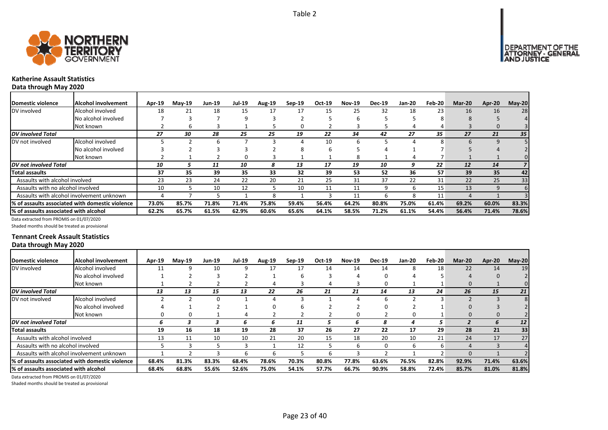



# **Katherine Assault Statistics**

**Data through May 2020**

| Domestic violence                     | Alcohol involvement                              | Apr-19 | $Mav-19$ | Jun-19 | <b>Jul-19</b> | Aug-19 | $Sep-19$ | Oct-19 | <b>Nov-19</b> | <b>Dec-19</b> | <b>Jan-20</b> | Feb-20 | Mar-20       | Apr-20 | $May-20$        |
|---------------------------------------|--------------------------------------------------|--------|----------|--------|---------------|--------|----------|--------|---------------|---------------|---------------|--------|--------------|--------|-----------------|
| DV involved                           | Alcohol involved                                 | 18     |          | 18     | 15            | 17     | 17       | 15     | 25            | 32            | 18            | 23     | 16           | 16     | 28              |
|                                       | No alcohol involved                              |        |          |        | 9             |        |          |        | h             |               |               | 75     | <sub>8</sub> |        |                 |
|                                       | Not known                                        |        |          |        |               |        |          |        |               |               |               |        |              |        |                 |
| DV involved Total                     |                                                  | 27     | 30       | 28     | 25            | 25     | 19       | 22     | 34            | 42            | 27            | 35     | 27           | 21     | 35 <sub>1</sub> |
| DV not involved                       | Alcohol involved                                 |        |          |        |               |        |          | 10     | h             |               |               | я      | 6            | q      |                 |
|                                       | No alcohol involved                              |        |          |        |               |        |          |        |               |               |               |        |              |        |                 |
|                                       | Not known                                        |        |          |        | O             |        |          |        | 8             |               | 4             |        |              |        |                 |
| DV not involved Total                 |                                                  | 10     |          | 11     | 10            |        | 13       | 17     | 19            | 10            | 9             | 22     | 12           | 14     |                 |
| <b>Total assaults</b>                 |                                                  | 37     | 35       | 39     | 35            | 33     | 32       | 39     | 53            | 52            | 36            | 57     | 39           | 35     | 42              |
| Assaults with alcohol involved        |                                                  | 23     | 23       | 24     | 22            | 20     | 21       | 25     | 31            | 37            | 22            | 31     | 22           | 25     | 33              |
| Assaults with no alcohol involved     |                                                  | 10     |          | 10     | 12            |        | 10       | 11     | 11            | 9             | 6             | 15     | 13           | 9      |                 |
|                                       | Assaults with alcohol involvement unknown        |        |          |        |               | Ջ      |          |        | 11            | h             | 8             | 11     |              |        |                 |
|                                       | 1% of assaults associated with domestic violence | 73.0%  | 85.7%    | 71.8%  | 71.4%         | 75.8%  | 59.4%    | 56.4%  | 64.2%         | 80.8%         | 75.0%         | 61.4%  | 69.2%        | 60.0%  | 83.3%           |
| % of assaults associated with alcohol |                                                  | 62.2%  | 65.7%    | 61.5%  | 62.9%         | 60.6%  | 65.6%    | 64.1%  | 58.5%         | 71.2%         | 61.1%         | 54.4%  | 56.4%        | 71.4%  | 78.6%           |

Data extracted from PROMIS on 01/07/2020

Shaded months should be treated as provisional

### **Tennant Creek Assault Statistics Data through May 2020**

| Domestic violence                     | Alcohol involvement                              | Apr-19 | $May-19$ | <b>Jun-19</b> | <b>Jul-19</b> | <b>Aug-19</b> | $Sep-19$ | Oct-19 | <b>Nov-19</b> | <b>Dec-19</b> | <b>Jan-20</b> | Feb-20 | Mar-20       | Apr-20   | $May-20$ |
|---------------------------------------|--------------------------------------------------|--------|----------|---------------|---------------|---------------|----------|--------|---------------|---------------|---------------|--------|--------------|----------|----------|
| DV involved                           | Alcohol involved                                 | 11     |          | 10            |               | 17            | 17       | 14     | 14            | 14            | 8             | 18     | 22           | 14       | 19       |
|                                       | No alcohol involved                              |        |          |               |               |               | h        |        |               | 0             |               |        | 4            | $\Omega$ |          |
|                                       | Not known                                        |        |          |               |               |               |          |        |               | 0             |               |        | 0            |          |          |
| <b>DV</b> involved Total              |                                                  | 13     | 13       | 15            | 13            | 22            | 26       | 21     | 21            | 14            | 13            | 24     | 26           | 15       | 21       |
| DV not involved                       | Alcohol involved                                 |        |          |               |               |               |          |        |               | h             |               |        |              |          | 8        |
|                                       | No alcohol involved                              |        |          |               |               |               |          |        |               | 0             |               |        |              |          |          |
|                                       | Not known                                        |        |          |               |               |               |          |        | O             |               |               |        |              |          |          |
| DV not involved Total                 |                                                  | ь      |          |               |               | n             | 11       |        | n             |               |               | 5.     |              |          | 12       |
| <b>Total assaults</b>                 |                                                  | 19     | 16       | 18            | 19            | 28            | 37       | 26     | 27            | 22            | 17            | 29     | 28           | 21       | 33       |
| Assaults with alcohol involved        |                                                  | 13     | 11       | 10            | 10            | 21            | 20       | 15     | 18            | 20            | 10            | 21     | 24           | 17       | 27       |
| Assaults with no alcohol involved     |                                                  |        |          |               |               |               | 12       |        | b             | 0             | h             | 6      | 4            |          |          |
|                                       | Assaults with alcohol involvement unknown        |        |          |               |               |               |          |        |               |               |               |        | <sup>0</sup> |          |          |
|                                       | I% of assaults associated with domestic violence | 68.4%  | 81.3%    | 83.3%         | 68.4%         | 78.6%         | 70.3%    | 80.8%  | 77.8%         | 63.6%         | 76.5%         | 82.8%  | 92.9%        | 71.4%    | 63.6%    |
| % of assaults associated with alcohol |                                                  | 68.4%  | 68.8%    | 55.6%         | 52.6%         | 75.0%         | 54.1%    | 57.7%  | 66.7%         | 90.9%         | 58.8%         | 72.4%  | 85.7%        | 81.0%    | 81.8%    |

Data extracted from PROMIS on 01/07/2020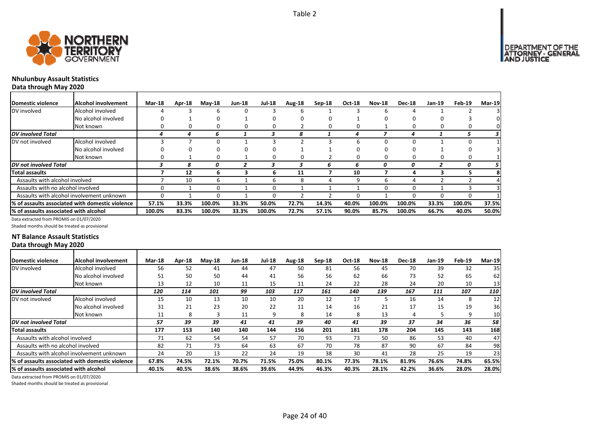

# **Nhulunbuy Assault Statistics**

**Data through May 2020**

| Domestic violence                     | Alcohol involvement                             | <b>Mar-18</b> | Apr-18 | $M$ ay-18 | <b>Jun-18</b> | <b>Jul-18</b> | Aug-18 | $Sep-18$ | Oct-18 | <b>Nov-18</b> | <b>Dec-18</b> | Jan-19 | Feb-19 | Mar-19 |
|---------------------------------------|-------------------------------------------------|---------------|--------|-----------|---------------|---------------|--------|----------|--------|---------------|---------------|--------|--------|--------|
| DV involved                           | Alcohol involved                                |               |        | b         | 0             |               | ь      |          |        |               |               |        |        |        |
|                                       | No alcohol involved                             |               |        | 0         |               | 0             | O      |          |        |               |               |        |        |        |
|                                       | Not known                                       |               | 0      | 0         | 0             | 0             |        |          |        |               |               |        |        |        |
| <b>DV</b> involved Total              |                                                 |               |        | n         |               |               | я      |          |        |               | 4             |        |        |        |
| DV not involved                       | Alcohol involved                                |               |        |           |               |               |        |          |        |               |               |        |        |        |
|                                       | No alcohol involved                             |               | 0      | 0         |               |               |        |          |        |               |               |        |        |        |
|                                       | Not known                                       |               |        | 0         |               | 0             | 0      |          |        |               |               |        | O      |        |
| <b>DV</b> not involved Total          |                                                 |               |        | n         |               |               |        | ь        | h      | 0             | 0             |        | 0      |        |
| <b>Total assaults</b>                 |                                                 |               | 12     | ь         | З             | ь             | 11     |          | 10     |               |               |        |        |        |
| Assaults with alcohol involved        |                                                 |               | 10     | b         |               | b             | 8      |          | q      |               |               |        |        |        |
| Assaults with no alcohol involved     |                                                 |               |        | 0         |               | $\Omega$      |        |          |        |               |               |        |        |        |
|                                       | Assaults with alcohol involvement unknown       | $\Omega$      |        | 0         |               | 0             |        |          |        |               |               |        | 0      |        |
|                                       | % of assaults associated with domestic violence | 57.1%         | 33.3%  | 100.0%    | 33.3%         | 50.0%         | 72.7%  | 14.3%    | 40.0%  | 100.0%        | 100.0%        | 33.3%  | 100.0% | 37.5%  |
| % of assaults associated with alcohol |                                                 | 100.0%        | 83.3%  | 100.0%    | 33.3%         | 100.0%        | 72.7%  | 57.1%    | 90.0%  | 85.7%         | 100.0%        | 66.7%  | 40.0%  | 50.0%  |

Data extracted from PROMIS on 01/07/2020

Shaded months should be treated as provisional

### **NT Balance Assault Statistics Data through May 2020**

| Domestic violence                      | <b>Alcohol involvement</b>                       | <b>Mar-18</b> | Apr-18 | $M$ ay-18 | <b>Jun-18</b> | <b>Jul-18</b> | Aug-18 | Sep-18 | Oct-18 | <b>Nov-18</b> | <b>Dec-18</b> | Jan-19 | Feb-19 | <b>Mar-19</b> |
|----------------------------------------|--------------------------------------------------|---------------|--------|-----------|---------------|---------------|--------|--------|--------|---------------|---------------|--------|--------|---------------|
| DV involved                            | Alcohol involved                                 | 56            | 52     | 41        | 44            | 47            | 50     | 81     | 56     | 45            | 70            | 39     | 32     | 35            |
|                                        | No alcohol involved                              | 51            | 50     | 50        | 44            | 41            | 56     | 56     | 62     | 66            | 73            | 52     | 65     | 62            |
|                                        | Not known                                        | 13            | 12     | 10        | 11            | 15            | 11     | 24     | 22     | 28            | 24            | 20     | 10     | 13            |
| DV involved Total                      |                                                  | 120           | 114    | 101       | 99            | 103           | 117    | 161    | 140    | 139           | 167           | 111    | 107    | 110           |
| DV not involved                        | Alcohol involved                                 | 15            | 10     | 13        | 10            | 10            | 20     | 12     | 17     |               | 16            | 14     | 8      | 12            |
|                                        | No alcohol involved                              | 31            | 21     | 23        | 20            | 22            | 11     | 14     | 16     | 21            | 17            | 15     | 19     | 36            |
|                                        | Not known                                        | 11            | 8      |           | 11            | 9             | 8      | 14     | 8      | 13            | 4             |        | 9      | 10            |
| DV not involved Total                  |                                                  | 57            | 39     | 39        | 41            | 41            | 39     | 40     | 41     | 39            | 37            | 34     | 36     | 58            |
| <b>Total assaults</b>                  |                                                  | 177           | 153    | 140       | 140           | 144           | 156    | 201    | 181    | 178           | 204           | 145    | 143    | 168           |
| Assaults with alcohol involved         |                                                  | 71            | 62     | 54        | 54            | 57            | 70     | 93     | 73     | 50            | 86            | 53     | 40     | 47            |
| Assaults with no alcohol involved      |                                                  | 82            | 71     | 73        | 64            | 63            | 67     | 70     | 78     | 87            | 90            | 67     | 84     | 98            |
|                                        | Assaults with alcohol involvement unknown        | 24            | 20     | 13        | 22            | 24            | 19     | 38     | 30     | 41            | 28            | 25     | 19     | 23            |
|                                        | I% of assaults associated with domestic violence | 67.8%         | 74.5%  | 72.1%     | 70.7%         | 71.5%         | 75.0%  | 80.1%  | 77.3%  | 78.1%         | 81.9%         | 76.6%  | 74.8%  | 65.5%         |
| I% of assaults associated with alcohol |                                                  | 40.1%         | 40.5%  | 38.6%     | 38.6%         | 39.6%         | 44.9%  | 46.3%  | 40.3%  | 28.1%         | 42.2%         | 36.6%  | 28.0%  | 28.0%         |

Data extracted from PROMIS on 01/07/2020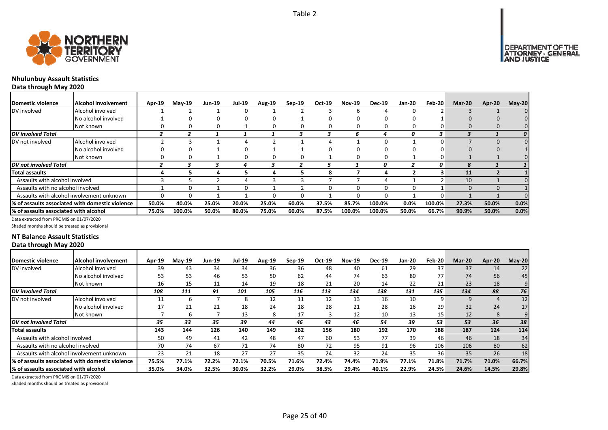



# **Nhulunbuy Assault Statistics**

**Data through May 2020**

| <b>IDomestic violence</b>              | Alcohol involvement                              | Apr-19 | $M$ ay-19 | <b>Jun-19</b> | <b>Jul-19</b> | <b>Aug-19</b> | $Sep-19$ | Oct-19 | <b>Nov-19</b> | <b>Dec-19</b> | Jan-20 | $Feb-20$ | <b>Mar-20</b> | Apr-20 | $May-20$         |
|----------------------------------------|--------------------------------------------------|--------|-----------|---------------|---------------|---------------|----------|--------|---------------|---------------|--------|----------|---------------|--------|------------------|
| DV involved                            | Alcohol involved                                 |        |           |               |               |               |          |        |               |               |        |          |               |        |                  |
|                                        | No alcohol involved                              |        |           | 0             |               |               |          |        |               |               |        |          |               |        |                  |
|                                        | Not known                                        |        |           |               |               |               |          |        |               | n             |        |          |               |        |                  |
| <b>DV</b> involved Total               |                                                  |        |           |               |               |               |          |        | n             | 4             | 0      | 3        |               |        | $\boldsymbol{0}$ |
| DV not involved                        | Alcohol involved                                 |        |           |               |               |               |          |        |               |               |        |          |               |        |                  |
|                                        | No alcohol involved                              |        |           |               |               |               |          |        |               |               |        |          |               |        |                  |
|                                        | Not known                                        |        |           |               |               | 0             | n        |        | 0             | 0             |        | 0        |               |        |                  |
| <b>DV</b> not involved Total           |                                                  |        |           |               |               |               |          |        |               | 0             |        | 0        |               |        |                  |
| <b>Total assaults</b>                  |                                                  |        |           |               |               | 4             |          | 8      |               |               |        |          | 11            |        |                  |
| Assaults with alcohol involved         |                                                  |        |           |               |               |               |          |        |               |               |        |          | 10            |        |                  |
| Assaults with no alcohol involved      |                                                  |        |           |               |               |               |          |        | 0             | n             |        |          | $\Omega$      |        |                  |
|                                        | Assaults with alcohol involvement unknown        |        |           |               |               |               |          |        | $\Omega$      | n             |        | 0        |               |        |                  |
|                                        | 1% of assaults associated with domestic violence | 50.0%  | 40.0%     | 25.0%         | 20.0%         | 25.0%         | 60.0%    | 37.5%  | 85.7%         | 100.0%        | 0.0%   | 100.0%   | 27.3%         | 50.0%  | 0.0%             |
| 1% of assaults associated with alcohol |                                                  | 75.0%  | 100.0%    | 50.0%         | 80.0%         | 75.0%         | 60.0%    | 87.5%  | 100.0%        | 100.0%        | 50.0%  | 66.7%    | 90.9%         | 50.0%  | 0.0%             |

Data extracted from PROMIS on 01/07/2020

Shaded months should be treated as provisional

### **NT Balance Assault Statistics Data through May 2020**

| <b>IDomestic violence</b>             | Alcohol involvement                              | <b>Apr-19</b> | $Mav-19$ | <b>Jun-19</b> | <b>Jul-19</b> | <b>Aug-19</b> | $Sep-19$ | Oct-19 | <b>Nov-19</b> | <b>Dec-19</b> | Jan-20 | Feb-20 | Mar-20 | Apr-20 | $May-20$ |
|---------------------------------------|--------------------------------------------------|---------------|----------|---------------|---------------|---------------|----------|--------|---------------|---------------|--------|--------|--------|--------|----------|
| DV involved                           | Alcohol involved                                 | 39            | 43       | 34            | 34            | 36            | 36       | 48     | 40            | 61            | 29     | 37     | 37     | 14     | 22       |
|                                       | No alcohol involved                              | 53            | 53       | 46            | 53            | 50            | 62       | 44     | 74            | 63            | 80     | 77     | 74     | 56     | 45       |
|                                       | Not known                                        | 16            | 15       | 11            | 14            | 19            | 18       | 21     | 20            | 14            | 22     | 21     | 23     | 18     | 9        |
| <b>DV</b> involved Total              |                                                  | 108           | 111      | 91            | 101           | 105           | 116      | 113    | 134           | 138           | 131    | 135    | 134    | 88     | 76       |
| DV not involved                       | Alcohol involved                                 | 11<br>ᅭ       |          |               | 8             | 12            | 11       | 12     | 13            | 16            | 10     | 9      | 9      | 4      | 12       |
|                                       | No alcohol involved                              | 17            | 21       | 21            | 18            | 24            | 18       | 28     | 21            | 28            | 16     | 29     | 32     | 24     | 17       |
|                                       | Not known                                        |               |          |               | 13            | 8             | 17       |        | 12            | 10            | 13     | 15     | 12     | 8      |          |
| DV not involved Total                 |                                                  | 35            | 33       | 35            | 39            | 44            | 46       | 43     | 46            | 54            | 39     | 53     | 53     | 36     | 38       |
| <b>Total assaults</b>                 |                                                  | 143           | 144      | 126           | 140           | 149           | 162      | 156    | 180           | 192           | 170    | 188    | 187    | 124    | 114      |
| Assaults with alcohol involved        |                                                  | 50            | 49       | 41            | 42            | 48            | 47       | 60     | 53            | 77            | 39     | 46     | 46     | 18     | 34       |
| Assaults with no alcohol involved     |                                                  | 70            | 74       | 67            | 71            | 74            | 80       | 72     | 95            | 91            | 96     | 106    | 106    | 80     | 62       |
|                                       | Assaults with alcohol involvement unknown        | 23            | 21       | 18            | 27            | 27            | 35       | 24     | 32            | 24            | 35     | 36     | 35     | 26     | 18       |
|                                       | 1% of assaults associated with domestic violence | 75.5%         | 77.1%    | 72.2%         | 72.1%         | 70.5%         | 71.6%    | 72.4%  | 74.4%         | 71.9%         | 77.1%  | 71.8%  | 71.7%  | 71.0%  | 66.7%    |
| % of assaults associated with alcohol |                                                  | 35.0%         | 34.0%    | 32.5%         | 30.0%         | 32.2%         | 29.0%    | 38.5%  | 29.4%         | 40.1%         | 22.9%  | 24.5%  | 24.6%  | 14.5%  | 29.8%    |

Data extracted from PROMIS on 01/07/2020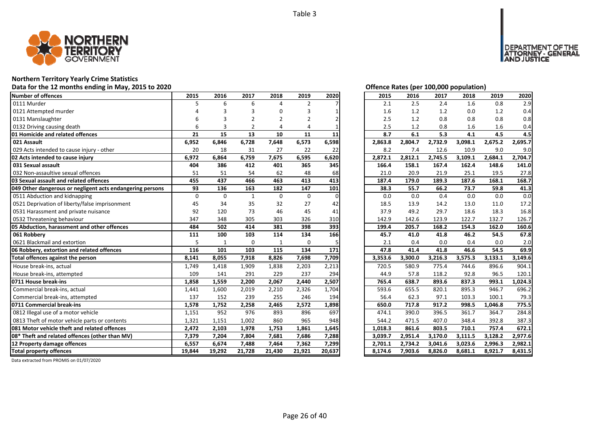

### **Northern Territory Yearly Crime Statistics**

#### **Data for the 12 months ending in May, 2015 to 2020 Offence Rates (per 100,000 population)**

| Number of offences                                        | 2015        | 2016     | 2017           | 2018     | 2019        | 2020     | 2015    | 2016    | 2017    | 2018    | 2019    | 2020    |
|-----------------------------------------------------------|-------------|----------|----------------|----------|-------------|----------|---------|---------|---------|---------|---------|---------|
| 0111 Murder                                               |             | 6        | 6              |          | 2           |          | 2.1     | 2.5     | 2.4     | 1.6     | 0.8     | 2.9     |
| 0121 Attempted murder                                     |             |          |                |          | 3           |          | 1.6     | 1.2     | 1.2     | 0.0     | 1.2     | 0.4     |
| 0131 Manslaughter                                         |             |          |                | 2        | 2           |          | 2.5     | 1.2     | 0.8     | 0.8     | 0.8     | 0.8     |
| 0132 Driving causing death                                | 6           | 3        | $\overline{2}$ |          | 4           |          | 2.5     | 1.2     | 0.8     | 1.6     | 1.6     | 0.4     |
| 01 Homicide and related offences                          | 21          | 15       | 13             | 10       | 11          | 11       | 8.7     | 6.1     | 5.3     | 4.1     | 4.5     | 4.5     |
| 021 Assault                                               | 6,952       | 6,846    | 6,728          | 7,648    | 6,573       | 6,598    | 2,863.8 | 2,804.7 | 2,732.9 | 3,098.1 | 2,675.2 | 2,695.7 |
| 029 Acts intended to cause injury - other                 | 20          | 18       | 31             | 27       | 22          | 22       | 8.2     | 7.4     | 12.6    | 10.9    | 9.0     | 9.0     |
| 02 Acts intended to cause injury                          | 6,972       | 6,864    | 6,759          | 7,675    | 6,595       | 6,620    | 2,872.1 | 2,812.1 | 2,745.5 | 3,109.1 | 2,684.1 | 2,704.7 |
| 031 Sexual assault                                        | 404         | 386      | 412            | 401      | 365         | 345      | 166.4   | 158.1   | 167.4   | 162.4   | 148.6   | 141.0   |
| 032 Non-assaultive sexual offences                        | 51          | 51       | 54             | 62       | 48          | 68       | 21.0    | 20.9    | 21.9    | 25.1    | 19.5    | 27.8    |
| 03 Sexual assault and related offences                    | 455         | 437      | 466            | 463      | 413         | 413      | 187.4   | 179.0   | 189.3   | 187.6   | 168.1   | 168.7   |
| 049 Other dangerous or negligent acts endangering persons | 93          | 136      | 163            | 182      | 147         | 101      | 38.3    | 55.7    | 66.2    | 73.7    | 59.8    | 41.3    |
| 0511 Abduction and kidnapping                             | $\mathbf 0$ | $\Omega$ | $\mathbf{1}$   | $\Omega$ | $\mathbf 0$ | $\Omega$ | 0.0     | 0.0     | 0.4     | 0.0     | 0.0     | 0.0     |
| 0521 Deprivation of liberty/false imprisonment            | 45          | 34       | 35             | 32       | 27          | 42       | 18.5    | 13.9    | 14.2    | 13.0    | 11.0    | 17.2    |
| 0531 Harassment and private nuisance                      | 92          | 120      | 73             | 46       | 45          | 41       | 37.9    | 49.2    | 29.7    | 18.6    | 18.3    | 16.8    |
| 0532 Threatening behaviour                                | 347         | 348      | 305            | 303      | 326         | 310      | 142.9   | 142.6   | 123.9   | 122.7   | 132.7   | 126.7   |
| 05 Abduction, harassment and other offences               | 484         | 502      | 414            | 381      | 398         | 393      | 199.4   | 205.7   | 168.2   | 154.3   | 162.0   | 160.6   |
| 061 Robbery                                               | 111         | 100      | 103            | 114      | 134         | 166      | 45.7    | 41.0    | 41.8    | 46.2    | 54.5    | 67.8    |
| 0621 Blackmail and extortion                              | 5           | 1        | $\mathbf 0$    | 1        | $\Omega$    |          | 2.1     | 0.4     | 0.0     | 0.4     | 0.0     | 2.0     |
| 06 Robbery, extortion and related offences                | 116         | 101      | 103            | 115      | 134         | 171      | 47.8    | 41.4    | 41.8    | 46.6    | 54.5    | 69.9    |
| Total offences against the person                         | 8,141       | 8,055    | 7,918          | 8,826    | 7,698       | 7,709    | 3,353.6 | 3,300.0 | 3,216.3 | 3,575.3 | 3,133.1 | 3,149.6 |
| House break-ins, actual                                   | 1,749       | 1,418    | 1,909          | 1,838    | 2,203       | 2,213    | 720.5   | 580.9   | 775.4   | 744.6   | 896.6   | 904.1   |
| House break-ins, attempted                                | 109         | 141      | 291            | 229      | 237         | 294      | 44.9    | 57.8    | 118.2   | 92.8    | 96.5    | 120.1   |
| 0711 House break-ins                                      | 1.858       | 1,559    | 2,200          | 2,067    | 2,440       | 2,507    | 765.4   | 638.7   | 893.6   | 837.3   | 993.1   | 1,024.3 |
| Commercial break-ins, actual                              | 1,441       | 1,600    | 2,019          | 2,210    | 2,326       | 1,704    | 593.6   | 655.5   | 820.1   | 895.3   | 946.7   | 696.2   |
| Commercial break-ins, attempted                           | 137         | 152      | 239            | 255      | 246         | 194      | 56.4    | 62.3    | 97.1    | 103.3   | 100.1   | 79.3    |
| 0711 Commercial break-ins                                 | 1,578       | 1,752    | 2,258          | 2,465    | 2,572       | 1,898    | 650.0   | 717.8   | 917.2   | 998.5   | 1,046.8 | 775.5   |
| 0812 Illegal use of a motor vehicle                       | 1,151       | 952      | 976            | 893      | 896         | 697      | 474.1   | 390.0   | 396.5   | 361.7   | 364.7   | 284.8   |
| 0813 Theft of motor vehicle parts or contents             | 1,321       | 1,151    | 1,002          | 860      | 965         | 948      | 544.2   | 471.5   | 407.0   | 348.4   | 392.8   | 387.3   |
| 081 Motor vehicle theft and related offences              | 2,472       | 2,103    | 1,978          | 1,753    | 1,861       | 1,645    | 1,018.3 | 861.6   | 803.5   | 710.1   | 757.4   | 672.1   |
| 08* Theft and related offences (other than MV)            | 7,379       | 7,204    | 7,804          | 7,681    | 7,686       | 7,288    | 3,039.7 | 2,951.4 | 3,170.0 | 3,111.5 | 3,128.2 | 2,977.6 |
| 12 Property damage offences                               | 6,557       | 6,674    | 7,488          | 7,464    | 7,362       | 7,299    | 2,701.1 | 2,734.2 | 3,041.6 | 3,023.6 | 2,996.3 | 2,982.1 |
| <b>Total property offences</b>                            | 19,844      | 19,292   | 21,728         | 21,430   | 21,921      | 20,637   | 8,174.6 | 7,903.6 | 8,826.0 | 8,681.1 | 8,921.7 | 8,431.5 |

DEPARTMENT OF THE<br>ATTORNEY - GENERAL<br>AND JUSTICE

| 2015    | 2016    | 2017    | 2018    | 2019    | 2020    |
|---------|---------|---------|---------|---------|---------|
| 2.1     | 2.5     | 2.4     | 1.6     | 0.8     | 2.9     |
| 1.6     | 1.2     | 1.2     | 0.0     | 1.2     | 0.4     |
| 2.5     | 1.2     | 0.8     | 0.8     | 0.8     | 0.8     |
| 2.5     | 1.2     | 0.8     | 1.6     | 1.6     | 0.4     |
| 8.7     | 6.1     | 5.3     | 4.1     | 4.5     | 4.5     |
| 2,863.8 | 2,804.7 | 2,732.9 | 3,098.1 | 2,675.2 | 2,695.7 |
| 8.2     | 7.4     | 12.6    | 10.9    | 9.0     | 9.0     |
| 2,872.1 | 2,812.1 | 2,745.5 | 3,109.1 | 2,684.1 | 2,704.7 |
| 166.4   | 158.1   | 167.4   | 162.4   | 148.6   | 141.0   |
| 21.0    | 20.9    | 21.9    | 25.1    | 19.5    | 27.8    |
| 187.4   | 179.0   | 189.3   | 187.6   | 168.1   | 168.7   |
| 38.3    | 55.7    | 66.2    | 73.7    | 59.8    | 41.3    |
| 0.0     | 0.0     | 0.4     | 0.0     | 0.0     | 0.0     |
| 18.5    | 13.9    | 14.2    | 13.0    | 11.0    | 17.2    |
| 37.9    | 49.2    | 29.7    | 18.6    | 18.3    | 16.8    |
| 142.9   | 142.6   | 123.9   | 122.7   | 132.7   | 126.7   |
| 199.4   | 205.7   | 168.2   | 154.3   | 162.0   | 160.6   |
| 45.7    | 41.0    | 41.8    | 46.2    | 54.5    | 67.8    |
| 2.1     | 0.4     | 0.0     | 0.4     | 0.0     | 2.0     |
| 47.8    | 41.4    | 41.8    | 46.6    | 54.5    | 69.9    |
| 3,353.6 | 3,300.0 | 3,216.3 | 3,575.3 | 3,133.1 | 3,149.6 |
| 720.5   | 580.9   | 775.4   | 744.6   | 896.6   | 904.1   |
| 44.9    | 57.8    | 118.2   | 92.8    | 96.5    | 120.1   |
| 765.4   | 638.7   | 893.6   | 837.3   | 993.1   | 1,024.3 |
| 593.6   | 655.5   | 820.1   | 895.3   | 946.7   | 696.2   |
| 56.4    | 62.3    | 97.1    | 103.3   | 100.1   | 79.3    |
| 650.0   | 717.8   | 917.2   | 998.5   | 1,046.8 | 775.5   |
| 474.1   | 390.0   | 396.5   | 361.7   | 364.7   | 284.8   |
| 544.2   | 471.5   | 407.0   | 348.4   | 392.8   | 387.3   |
| 1,018.3 | 861.6   | 803.5   | 710.1   | 757.4   | 672.1   |
| 3,039.7 | 2,951.4 | 3,170.0 | 3,111.5 | 3,128.2 | 2,977.6 |
| 2,701.1 | 2,734.2 | 3,041.6 | 3,023.6 | 2,996.3 | 2,982.1 |
| 8,174.6 | 7,903.6 | 8,826.0 | 8,681.1 | 8,921.7 | 8,431.5 |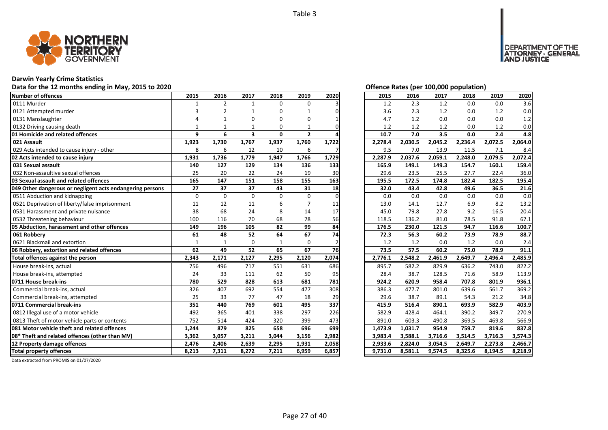

# **Darwin Yearly Crime Statistics**

# Data for the 12 months ending in May, 2015 to 2020<br> **Data for the 12 months ending in May, 2015 to 2020**

| Number of offences                                        | 2015         | 2016           | 2017                    | 2018         | 2019           | 2020  | 2015    | 2016    | 2017    | 2018    | 2019    | 2020    |
|-----------------------------------------------------------|--------------|----------------|-------------------------|--------------|----------------|-------|---------|---------|---------|---------|---------|---------|
| 0111 Murder                                               |              | $\overline{2}$ | $\mathbf{1}$            | 0            | $\Omega$       |       | 1.2     | 2.3     | 1.2     | 0.0     | 0.0     | 3.6     |
| 0121 Attempted murder                                     |              | 2              |                         | 0            |                |       | 3.6     | 2.3     | 1.2     | 0.0     | 1.2     | 0.0     |
| 0131 Manslaughter                                         |              |                | O                       | O            | ი              |       | 4.7     | 1.2     | 0.0     | 0.0     | 0.0     | 1.2     |
| 0132 Driving causing death                                |              |                |                         | 0            |                |       | 1.2     | 1.2     | 1.2     | 0.0     | 1.2     | 0.0     |
| 01 Homicide and related offences                          | 9            | 6              | $\overline{\mathbf{3}}$ | 0            | $\overline{2}$ |       | 10.7    | 7.0     | 3.5     | 0.0     | 2.4     | 4.8     |
| 021 Assault                                               | 1,923        | 1,730          | 1,767                   | 1,937        | 1,760          | 1,722 | 2,278.4 | 2,030.5 | 2,045.2 | 2,236.4 | 2,072.5 | 2,064.0 |
| 029 Acts intended to cause injury - other                 | 8            | 6              | 12                      | 10           | 6              |       | 9.5     | 7.0     | 13.9    | 11.5    | 7.1     | 8.4     |
| 02 Acts intended to cause injury                          | 1,931        | 1,736          | 1,779                   | 1,947        | 1,766          | 1,729 | 2,287.9 | 2,037.6 | 2,059.1 | 2,248.0 | 2,079.5 | 2,072.4 |
| 031 Sexual assault                                        | 140          | 127            | 129                     | 134          | 136            | 133   | 165.9   | 149.1   | 149.3   | 154.7   | 160.1   | 159.4   |
| 032 Non-assaultive sexual offences                        | 25           | 20             | 22                      | 24           | 19             | 30    | 29.6    | 23.5    | 25.5    | 27.7    | 22.4    | 36.0    |
| 03 Sexual assault and related offences                    | 165          | 147            | 151                     | 158          | 155            | 163   | 195.5   | 172.5   | 174.8   | 182.4   | 182.5   | 195.4   |
| 049 Other dangerous or negligent acts endangering persons | 27           | 37             | 37                      | 43           | 31             | 18    | 32.0    | 43.4    | 42.8    | 49.6    | 36.5    | 21.6    |
| 0511 Abduction and kidnapping                             | $\Omega$     | $\Omega$       | $\Omega$                | $\Omega$     | $\Omega$       | U     | 0.0     | 0.0     | 0.0     | 0.0     | 0.0     | 0.0     |
| 0521 Deprivation of liberty/false imprisonment            | 11           | 12             | 11                      | 6            |                | 11    | 13.0    | 14.1    | 12.7    | 6.9     | 8.2     | 13.2    |
| 0531 Harassment and private nuisance                      | 38           | 68             | 24                      | 8            | 14             | 17    | 45.0    | 79.8    | 27.8    | 9.2     | 16.5    | 20.4    |
| 0532 Threatening behaviour                                | 100          | 116            | 70                      | 68           | 78             | 56    | 118.5   | 136.2   | 81.0    | 78.5    | 91.8    | 67.1    |
| 05 Abduction, harassment and other offences               | 149          | 196            | 105                     | 82           | 99             | 84    | 176.5   | 230.0   | 121.5   | 94.7    | 116.6   | 100.7   |
| 061 Robberv                                               | 61           | 48             | 52                      | 64           | 67             | 74    | 72.3    | 56.3    | 60.2    | 73.9    | 78.9    | 88.7    |
| 0621 Blackmail and extortion                              | $\mathbf{1}$ | 1              | $\Omega$                | $\mathbf{1}$ | $\Omega$       |       | 1.2     | 1.2     | 0.0     | 1.2     | 0.0     | 2.4     |
| 06 Robbery, extortion and related offences                | 62           | 49             | 52                      | 65           | 67             | 76    | 73.5    | 57.5    | 60.2    | 75.0    | 78.9    | 91.1    |
| Total offences against the person                         | 2,343        | 2,171          | 2,127                   | 2,295        | 2,120          | 2,074 | 2,776.1 | 2,548.2 | 2,461.9 | 2,649.7 | 2,496.4 | 2,485.9 |
| House break-ins, actual                                   | 756          | 496            | 717                     | 551          | 631            | 686   | 895.7   | 582.2   | 829.9   | 636.2   | 743.0   | 822.2   |
| House break-ins, attempted                                | 24           | 33             | 111                     | 62           | 50             | 95    | 28.4    | 38.7    | 128.5   | 71.6    | 58.9    | 113.9   |
| 0711 House break-ins                                      | 780          | 529            | 828                     | 613          | 681            | 781   | 924.2   | 620.9   | 958.4   | 707.8   | 801.9   | 936.1   |
| Commercial break-ins, actual                              | 326          | 407            | 692                     | 554          | 477            | 308   | 386.3   | 477.7   | 801.0   | 639.6   | 561.7   | 369.2   |
| Commercial break-ins, attempted                           | 25           | 33             | 77                      | 47           | 18             | 29    | 29.6    | 38.7    | 89.1    | 54.3    | 21.2    | 34.8    |
| 0711 Commercial break-ins                                 | 351          | 440            | 769                     | 601          | 495            | 337   | 415.9   | 516.4   | 890.1   | 693.9   | 582.9   | 403.9   |
| 0812 Illegal use of a motor vehicle                       | 492          | 365            | 401                     | 338          | 297            | 226   | 582.9   | 428.4   | 464.1   | 390.2   | 349.7   | 270.9   |
| 0813 Theft of motor vehicle parts or contents             | 752          | 514            | 424                     | 320          | 399            | 473   | 891.0   | 603.3   | 490.8   | 369.5   | 469.8   | 566.9   |
| 081 Motor vehicle theft and related offences              | 1,244        | 879            | 825                     | 658          | 696            | 699   | 1,473.9 | 1,031.7 | 954.9   | 759.7   | 819.6   | 837.8   |
| 08* Theft and related offences (other than MV)            | 3,362        | 3,057          | 3,211                   | 3,044        | 3,156          | 2,982 | 3,983.4 | 3,588.1 | 3,716.6 | 3,514.5 | 3,716.3 | 3,574.3 |
| 12 Property damage offences                               | 2,476        | 2,406          | 2,639                   | 2,295        | 1,931          | 2,058 | 2,933.6 | 2,824.0 | 3,054.5 | 2,649.7 | 2,273.8 | 2,466.7 |
| <b>Total property offences</b>                            | 8,213        | 7,311          | 8,272                   | 7,211        | 6,959          | 6,857 | 9,731.0 | 8,581.1 | 9,574.5 | 8,325.6 | 8,194.5 | 8,218.9 |

|  |  | Offence Rates (per 100.000 population) |  |
|--|--|----------------------------------------|--|
|  |  |                                        |  |

DEPARTMENT OF THE<br>ATTORNEY - GENERAL<br>AND JUSTICE

| 2015    | 2016    | 2017    | 2018    | 2019    | 2020    |
|---------|---------|---------|---------|---------|---------|
| 1.2     | 2.3     | 1.2     | 0.0     | 0.0     | 3.6     |
| 3.6     | 2.3     | 1.2     | 0.0     | 1.2     | 0.0     |
| 4.7     | 1.2     | 0.0     | 0.0     | 0.0     | 1.2     |
| 1.2     | 1.2     | 1.2     | 0.0     | 1.2     | 0.0     |
| 10.7    | 7.0     | 3.5     | 0.0     | 2.4     | 4.8     |
| 2,278.4 | 2,030.5 | 2,045.2 | 2,236.4 | 2,072.5 | 2,064.0 |
| 9.5     | 7.0     | 13.9    | 11.5    | 7.1     | 8.4     |
| 2,287.9 | 2,037.6 | 2,059.1 | 2,248.0 | 2,079.5 | 2,072.4 |
| 165.9   | 149.1   | 149.3   | 154.7   | 160.1   | 159.4   |
| 29.6    | 23.5    | 25.5    | 27.7    | 22.4    | 36.0    |
| 195.5   | 172.5   | 174.8   | 182.4   | 182.5   | 195.4   |
| 32.0    | 43.4    | 42.8    | 49.6    | 36.5    | 21.6    |
| 0.0     | 0.0     | 0.0     | 0.0     | 0.0     | 0.0     |
| 13.0    | 14.1    | 12.7    | 6.9     | 8.2     | 13.2    |
| 45.0    | 79.8    | 27.8    | 9.2     | 16.5    | 20.4    |
| 118.5   | 136.2   | 81.0    | 78.5    | 91.8    | 67.1    |
| 176.5   | 230.0   | 121.5   | 94.7    | 116.6   | 100.7   |
| 72.3    | 56.3    | 60.2    | 73.9    | 78.9    | 88.7    |
| 1.2     | 1.2     | 0.0     | 1.2     | 0.0     | 2.4     |
| 73.5    | 57.5    | 60.2    | 75.0    | 78.9    | 91.1    |
| 2,776.1 | 2,548.2 | 2,461.9 | 2,649.7 | 2,496.4 | 2,485.9 |
| 895.7   | 582.2   | 829.9   | 636.2   | 743.0   | 822.2   |
| 28.4    | 38.7    | 128.5   | 71.6    | 58.9    | 113.9   |
| 924.2   | 620.9   | 958.4   | 707.8   | 801.9   | 936.1   |
| 386.3   | 477.7   | 801.0   | 639.6   | 561.7   | 369.2   |
| 29.6    | 38.7    | 89.1    | 54.3    | 21.2    | 34.8    |
| 415.9   | 516.4   | 890.1   | 693.9   | 582.9   | 403.9   |
| 582.9   | 428.4   | 464.1   | 390.2   | 349.7   | 270.9   |
| 891.0   | 603.3   | 490.8   | 369.5   | 469.8   | 566.9   |
| 1,473.9 | 1,031.7 | 954.9   | 759.7   | 819.6   | 837.8   |
| 3,983.4 | 3,588.1 | 3,716.6 | 3,514.5 | 3,716.3 | 3,574.3 |
| 2,933.6 | 2,824.0 | 3,054.5 | 2,649.7 | 2,273.8 | 2,466.7 |
| 9,731.0 | 8,581.1 | 9,574.5 | 8,325.6 | 8,194.5 | 8,218.9 |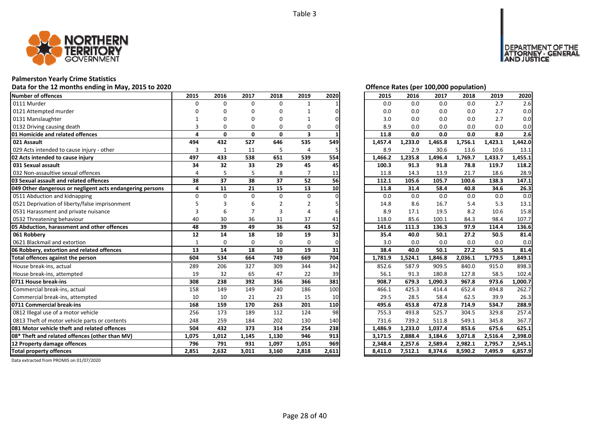

# **Palmerston Yearly Crime Statistics**

# Data for the 12 months ending in May, 2015 to 2020 *Data for the 12 months ending in May, 2015 to 2020 Offence Rates (per 100,000 population)*

| Number of offences                                        | 2015           | 2016         | 2017         | 2018     | 2019           | 2020  | 2015    | 2016    | 2017    | 2018    | 2019    | 2020    |
|-----------------------------------------------------------|----------------|--------------|--------------|----------|----------------|-------|---------|---------|---------|---------|---------|---------|
| 0111 Murder                                               | $\Omega$       | $\Omega$     | $\Omega$     | 0        | 1              |       | 0.0     | 0.0     | 0.0     | 0.0     | 2.7     | 2.6     |
| 0121 Attempted murder                                     |                |              |              | O        |                |       | 0.0     | 0.0     | 0.0     | 0.0     | 2.7     | 0.0     |
| 0131 Manslaughter                                         |                |              | n            | ŋ        |                |       | 3.0     | 0.0     | 0.0     | 0.0     | 2.7     | 0.0     |
| 0132 Driving causing death                                | 3              | O            | O            | $\Omega$ | O              |       | 8.9     | 0.0     | 0.0     | 0.0     | 0.0     | 0.0     |
| 01 Homicide and related offences                          | 4              | $\mathbf{0}$ | $\mathbf{0}$ | 0        | 3              |       | 11.8    | 0.0     | 0.0     | 0.0     | 8.0     | 2.6     |
| 021 Assault                                               | 494            | 432          | 527          | 646      | 535            | 549   | 1,457.4 | 1,233.0 | 1,465.8 | 1,756.1 | 1,423.1 | 1,442.0 |
| 029 Acts intended to cause injury - other                 | 3              | $\mathbf{1}$ | 11           | 5        | $\overline{4}$ |       | 8.9     | 2.9     | 30.6    | 13.6    | 10.6    | 13.1    |
| 02 Acts intended to cause injury                          | 497            | 433          | 538          | 651      | 539            | 554   | 1,466.2 | 1,235.8 | 1,496.4 | 1,769.7 | 1,433.7 | 1,455.1 |
| 031 Sexual assault                                        | 34             | 32           | 33           | 29       | 45             | 45    | 100.3   | 91.3    | 91.8    | 78.8    | 119.7   | 118.2   |
| 032 Non-assaultive sexual offences                        | $\overline{a}$ |              | 5            | 8        |                | 11    | 11.8    | 14.3    | 13.9    | 21.7    | 18.6    | 28.9    |
| 03 Sexual assault and related offences                    | 38             | 37           | 38           | 37       | 52             | 56    | 112.1   | 105.6   | 105.7   | 100.6   | 138.3   | 147.1   |
| 049 Other dangerous or negligent acts endangering persons | 4              | 11           | 21           | 15       | 13             | 10    | 11.8    | 31.4    | 58.4    | 40.8    | 34.6    | 26.3    |
| 0511 Abduction and kidnapping                             | $\Omega$       | $\Omega$     | $\Omega$     | $\Omega$ | $\Omega$       |       | 0.0     | 0.0     | 0.0     | 0.0     | 0.0     | 0.0     |
| 0521 Deprivation of liberty/false imprisonment            |                |              |              |          | $\overline{2}$ |       | 14.8    | 8.6     | 16.7    | 5.4     | 5.3     | 13.1    |
| 0531 Harassment and private nuisance                      |                |              |              |          |                |       | 8.9     | 17.1    | 19.5    | 8.2     | 10.6    | 15.8    |
| 0532 Threatening behaviour                                | 40             | 30           | 36           | 31       | 37             | 41    | 118.0   | 85.6    | 100.1   | 84.3    | 98.4    | 107.7   |
| 05 Abduction, harassment and other offences               | 48             | 39           | 49           | 36       | 43             | 52    | 141.6   | 111.3   | 136.3   | 97.9    | 114.4   | 136.6   |
| 061 Robbery                                               | 12             | 14           | 18           | 10       | 19             | 31    | 35.4    | 40.0    | 50.1    | 27.2    | 50.5    | 81.4    |
| 0621 Blackmail and extortion                              | $\mathbf{1}$   | $\Omega$     | $\Omega$     | $\Omega$ | $\Omega$       | ŋ     | 3.0     | 0.0     | 0.0     | 0.0     | 0.0     | 0.0     |
| 06 Robbery, extortion and related offences                | 13             | 14           | 18           | 10       | 19             | 31    | 38.4    | 40.0    | 50.1    | 27.2    | 50.5    | 81.4    |
| Total offences against the person                         | 604            | 534          | 664          | 749      | 669            | 704   | 1,781.9 | 1,524.1 | 1,846.8 | 2,036.1 | 1,779.5 | 1,849.1 |
| House break-ins, actual                                   | 289            | 206          | 327          | 309      | 344            | 342   | 852.6   | 587.9   | 909.5   | 840.0   | 915.0   | 898.3   |
| House break-ins, attempted                                | 19             | 32           | 65           | 47       | 22             | 39    | 56.1    | 91.3    | 180.8   | 127.8   | 58.5    | 102.4   |
| 0711 House break-ins                                      | 308            | 238          | 392          | 356      | 366            | 381   | 908.7   | 679.3   | 1,090.3 | 967.8   | 973.6   | 1,000.7 |
| Commercial break-ins, actual                              | 158            | 149          | 149          | 240      | 186            | 100   | 466.1   | 425.3   | 414.4   | 652.4   | 494.8   | 262.7   |
| Commercial break-ins, attempted                           | 10             | 10           | 21           | 23       | 15             | 10    | 29.5    | 28.5    | 58.4    | 62.5    | 39.9    | 26.3    |
| 0711 Commercial break-ins                                 | 168            | 159          | 170          | 263      | 201            | 110   | 495.6   | 453.8   | 472.8   | 714.9   | 534.7   | 288.9   |
| 0812 Illegal use of a motor vehicle                       | 256            | 173          | 189          | 112      | 124            | 98    | 755.3   | 493.8   | 525.7   | 304.5   | 329.8   | 257.4   |
| 0813 Theft of motor vehicle parts or contents             | 248            | 259          | 184          | 202      | 130            | 140   | 731.6   | 739.2   | 511.8   | 549.1   | 345.8   | 367.7   |
| 081 Motor vehicle theft and related offences              | 504            | 432          | 373          | 314      | 254            | 238   | 1,486.9 | 1,233.0 | 1,037.4 | 853.6   | 675.6   | 625.1   |
| 08* Theft and related offences (other than MV)            | 1,075          | 1,012        | 1,145        | 1,130    | 946            | 913   | 3,171.5 | 2,888.4 | 3,184.6 | 3,071.8 | 2,516.4 | 2,398.0 |
| 12 Property damage offences                               | 796            | 791          | 931          | 1,097    | 1,051          | 969   | 2,348.4 | 2,257.6 | 2,589.4 | 2,982.1 | 2,795.7 | 2,545.1 |
| <b>Total property offences</b>                            | 2,851          | 2,632        | 3,011        | 3,160    | 2,818          | 2,611 | 8,411.0 | 7,512.1 | 8,374.6 | 8,590.2 | 7,495.9 | 6,857.9 |

DEPARTMENT OF THE<br>ATTORNEY - GENERAL<br>AND JUSTICE

| 2015    | 2016    | 2017    | 2018    | 2019    | 2020    |
|---------|---------|---------|---------|---------|---------|
| 0.0     | 0.0     | 0.0     | 0.0     | 2.7     | 2.6     |
| 0.0     | 0.0     | 0.0     | 0.0     | 2.7     | 0.0     |
| 3.0     | 0.0     | 0.0     | 0.0     | 2.7     | 0.0     |
| 8.9     | 0.0     | 0.0     | 0.0     | 0.0     | 0.0     |
| 11.8    | 0.0     | 0.0     | 0.0     | 8.0     | 2.6     |
| 1,457.4 | 1,233.0 | 1,465.8 | 1,756.1 | 1,423.1 | 1,442.0 |
| 8.9     | 2.9     | 30.6    | 13.6    | 10.6    | 13.1    |
| 1,466.2 | 1,235.8 | 1,496.4 | 1,769.7 | 1,433.7 | 1,455.1 |
| 100.3   | 91.3    | 91.8    | 78.8    | 119.7   | 118.2   |
| 11.8    | 14.3    | 13.9    | 21.7    | 18.6    | 28.9    |
| 112.1   | 105.6   | 105.7   | 100.6   | 138.3   | 147.1   |
| 11.8    | 31.4    | 58.4    | 40.8    | 34.6    | 26.3    |
| 0.0     | 0.0     | 0.0     | 0.0     | 0.0     | 0.0     |
| 14.8    | 8.6     | 16.7    | 5.4     | 5.3     | 13.1    |
| 8.9     | 17.1    | 19.5    | 8.2     | 10.6    | 15.8    |
| 118.0   | 85.6    | 100.1   | 84.3    | 98.4    | 107.7   |
| 141.6   | 111.3   | 136.3   | 97.9    | 114.4   | 136.6   |
|         |         |         |         |         |         |
| 35.4    | 40.0    | 50.1    | 27.2    | 50.5    | 81.4    |
| 3.0     | 0.0     | 0.0     | 0.0     | 0.0     | 0.0     |
| 38.4    | 40.0    | 50.1    | 27.2    | 50.5    | 81.4    |
| 1,781.9 | 1,524.1 | 1,846.8 | 2,036.1 | 1,779.5 | 1,849.1 |
| 852.6   | 587.9   | 909.5   | 840.0   | 915.0   | 898.3   |
| 56.1    | 91.3    | 180.8   | 127.8   | 58.5    | 102.4   |
| 908.7   | 679.3   | 1,090.3 | 967.8   | 973.6   | 1,000.7 |
| 466.1   | 425.3   | 414.4   | 652.4   | 494.8   | 262.7   |
| 29.5    | 28.5    | 58.4    | 62.5    | 39.9    | 26.3    |
| 495.6   | 453.8   | 472.8   | 714.9   | 534.7   | 288.9   |
| 755.3   | 493.8   | 525.7   | 304.5   | 329.8   | 257.4   |
| 731.6   | 739.2   | 511.8   | 549.1   | 345.8   | 367.7   |
| 1,486.9 | 1,233.0 | 1,037.4 | 853.6   | 675.6   | 625.1   |
| 3,171.5 | 2,888.4 | 3,184.6 | 3,071.8 | 2,516.4 | 2,398.0 |
| 2,348.4 | 2,257.6 | 2,589.4 | 2,982.1 | 2,795.7 | 2,545.1 |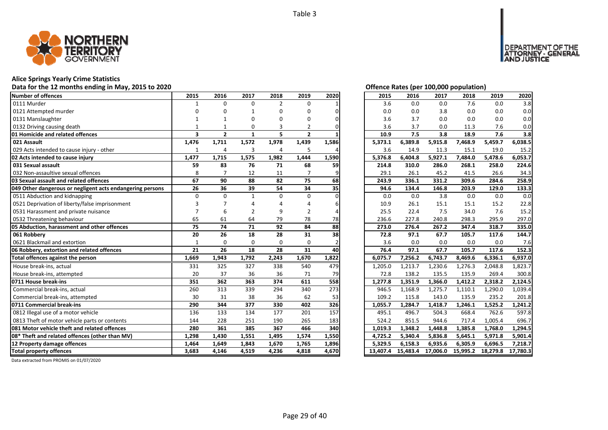

#### **Alice Springs Yearly Crime Statistics**

#### **Data for the 12 months ending in May, 2015 to 2020 Offence Rates (per 100,000 population)**

| Number of offences                                        | 2015                    | 2016           | 2017           | 2018           | 2019           | 2020  | 2015    | 2016    | 2017    | 2018    | 2019    | 2020    |
|-----------------------------------------------------------|-------------------------|----------------|----------------|----------------|----------------|-------|---------|---------|---------|---------|---------|---------|
| 0111 Murder                                               | $\mathbf{1}$            | $\Omega$       | $\Omega$       | $\overline{2}$ | 0              |       | 3.6     | 0.0     | 0.0     | 7.6     | 0.0     | 3.8     |
| 0121 Attempted murder                                     |                         |                |                | O              | O              |       | 0.0     | 0.0     | 3.8     | 0.0     | 0.0     | 0.0     |
| 0131 Manslaughter                                         |                         |                | ŋ              | ŋ              | n              |       | 3.6     | 3.7     | 0.0     | 0.0     | 0.0     | 0.0     |
| 0132 Driving causing death                                |                         |                | O              |                | 2              |       | 3.6     | 3.7     | 0.0     | 11.3    | 7.6     | 0.0     |
| 01 Homicide and related offences                          | $\overline{\mathbf{3}}$ | $\overline{2}$ | $\mathbf{1}$   | 5              | $\overline{2}$ |       | 10.9    | 7.5     | 3.8     | 18.9    | 7.6     | 3.8     |
| 021 Assault                                               | 1,476                   | 1,711          | 1,572          | 1,978          | 1,439          | 1,586 | 5,373.1 | 6,389.8 | 5,915.8 | 7,468.9 | 5,459.7 | 6,038.5 |
| 029 Acts intended to cause injury - other                 |                         | 4              | 3              | 4              | 5              |       | 3.6     | 14.9    | 11.3    | 15.1    | 19.0    | 15.2    |
| 02 Acts intended to cause injury                          | 1,477                   | 1,715          | 1,575          | 1,982          | 1,444          | 1,590 | 5,376.8 | 6,404.8 | 5,927.1 | 7,484.0 | 5,478.6 | 6,053.7 |
| 031 Sexual assault                                        | 59                      | 83             | 76             | 71             | 68             | 59    | 214.8   | 310.0   | 286.0   | 268.1   | 258.0   | 224.6   |
| 032 Non-assaultive sexual offences                        | 8                       | 7              | 12             | 11             |                |       | 29.1    | 26.1    | 45.2    | 41.5    | 26.6    | 34.3    |
| 03 Sexual assault and related offences                    | 67                      | 90             | 88             | 82             | 75             | 68    | 243.9   | 336.1   | 331.2   | 309.6   | 284.6   | 258.9   |
| 049 Other dangerous or negligent acts endangering persons | 26                      | 36             | 39             | 54             | 34             | 35    | 94.6    | 134.4   | 146.8   | 203.9   | 129.0   | 133.3   |
| 0511 Abduction and kidnapping                             | $\Omega$                | $\Omega$       | $\mathbf{1}$   | $\Omega$       | $\Omega$       |       | 0.0     | 0.0     | 3.8     | 0.0     | 0.0     | 0.0     |
| 0521 Deprivation of liberty/false imprisonment            |                         |                |                |                |                |       | 10.9    | 26.1    | 15.1    | 15.1    | 15.2    | 22.8    |
| 0531 Harassment and private nuisance                      |                         | 6              |                | 9              | 2              |       | 25.5    | 22.4    | 7.5     | 34.0    | 7.6     | 15.2    |
| 0532 Threatening behaviour                                | 65                      | 61             | 64             | 79             | 78             | 78    | 236.6   | 227.8   | 240.8   | 298.3   | 295.9   | 297.0   |
| 05 Abduction, harassment and other offences               | 75                      | 74             | 71             | 92             | 84             | 88    | 273.0   | 276.4   | 267.2   | 347.4   | 318.7   | 335.0   |
|                                                           |                         |                |                | 28             |                |       | 72.8    | 97.1    | 67.7    | 105.7   | 117.6   | 144.7   |
| 061 Robberv                                               | 20                      | 26             | 18             |                | 31             | 38    |         |         |         |         |         |         |
| 0621 Blackmail and extortion                              | $\mathbf{1}$            | $\Omega$       | $\Omega$       | $\Omega$       | $\Omega$       |       | 3.6     | 0.0     | 0.0     | 0.0     | 0.0     | 7.6     |
| 06 Robbery, extortion and related offences                | 21                      | 26             | 18             | 28             | 31             | 40    | 76.4    | 97.1    | 67.7    | 105.7   | 117.6   | 152.3   |
| Total offences against the person                         | 1,669                   | 1,943          | 1,792          | 2,243          | 1,670          | 1,822 | 6,075.7 | 7,256.2 | 6,743.7 | 8,469.6 | 6,336.1 | 6,937.0 |
| House break-ins, actual                                   | 331                     | 325            | 327            | 338            | 540            | 479   | 1.205.0 | 1,213.7 | 1,230.6 | 1,276.3 | 2,048.8 | 1,823.7 |
| House break-ins, attempted                                | 20                      | 37             | 36             | 36             | 71             | 79    | 72.8    | 138.2   | 135.5   | 135.9   | 269.4   | 300.8   |
| 0711 House break-ins                                      | 351                     | 362            | 363            | 374            | 611            | 558   | 1,277.8 | 1,351.9 | 1,366.0 | 1,412.2 | 2,318.2 | 2,124.5 |
| Commercial break-ins, actual                              | 260                     | 313            | 339            | 294            | 340            | 273   | 946.5   | 1,168.9 | 1,275.7 | 1,110.1 | 1,290.0 | 1,039.4 |
| Commercial break-ins, attempted                           | 30                      | 31             | 38             | 36             | 62             | 53    | 109.2   | 115.8   | 143.0   | 135.9   | 235.2   | 201.8   |
| 0711 Commercial break-ins                                 | 290                     | 344            | 377            | 330            | 402            | 326   | 1,055.7 | 1,284.7 | 1,418.7 | 1,246.1 | 1,525.2 | 1,241.2 |
| 0812 Illegal use of a motor vehicle                       | 136                     | 133            | 134            | 177            | 201            | 157   | 495.1   | 496.7   | 504.3   | 668.4   | 762.6   | 597.8   |
| 0813 Theft of motor vehicle parts or contents             | 144                     | 228            | 251            | 190            | 265            | 183   | 524.2   | 851.5   | 944.6   | 717.4   | 1,005.4 | 696.7   |
| <b>1081 Motor vehicle theft and related offences</b>      | 280                     | 361            | 385            | 367            | 466            | 340   | 1,019.3 | 1,348.2 | 1,448.8 | 1,385.8 | 1,768.0 | 1,294.5 |
| 08* Theft and related offences (other than MV)            | 1,298                   | 1,430          | 1,551          | 1,495          | 1,574          | 1,550 | 4,725.2 | 5,340.4 | 5,836.8 | 5,645.1 | 5,971.8 | 5,901.4 |
| 12 Property damage offences                               | 1,464<br>3,683          | 1,649          | 1,843<br>4,519 | 1,670<br>4,236 | 1,765<br>4,818 | 1,896 | 5,329.5 | 6,158.3 | 6,935.6 | 6,305.9 | 6,696.5 | 7,218.7 |

DEPARTMENT OF THE<br>ATTORNEY - GENERAL<br>AND JUSTICE

| 2015     | 2016     | 2017     | 2018     | 2019     | 2020     |
|----------|----------|----------|----------|----------|----------|
| 3.6      | 0.0      | 0.0      | 7.6      | 0.0      | 3.8      |
| 0.0      | 0.0      | 3.8      | 0.0      | 0.0      | 0.0      |
| 3.6      | 3.7      | 0.0      | 0.0      | 0.0      | 0.0      |
| 3.6      | 3.7      | 0.0      | 11.3     | 7.6      | 0.0      |
| 10.9     | 7.5      | 3.8      | 18.9     | 7.6      | 3.8      |
| 5,373.1  | 6,389.8  | 5,915.8  | 7,468.9  | 5,459.7  | 6,038.5  |
| 3.6      | 14.9     | 11.3     | 15.1     | 19.0     | 15.2     |
| 5,376.8  | 6,404.8  | 5,927.1  | 7,484.0  | 5,478.6  | 6,053.7  |
| 214.8    | 310.0    | 286.0    | 268.1    | 258.0    | 224.6    |
| 29.1     | 26.1     | 45.2     | 41.5     | 26.6     | 34.3     |
| 243.9    | 336.1    | 331.2    | 309.6    | 284.6    | 258.9    |
| 94.6     | 134.4    | 146.8    | 203.9    | 129.0    | 133.3    |
| 0.0      | 0.0      | 3.8      | 0.0      | 0.0      | 0.0      |
| 10.9     | 26.1     | 15.1     | 15.1     | 15.2     | 22.8     |
| 25.5     | 22.4     | 7.5      | 34.0     | 7.6      | 15.2     |
| 236.6    | 227.8    | 240.8    | 298.3    | 295.9    | 297.0    |
| 273.0    | 276.4    | 267.2    | 347.4    | 318.7    | 335.0    |
| 72.8     | 97.1     | 67.7     | 105.7    | 117.6    | 144.7    |
| 3.6      | 0.0      | 0.0      | 0.0      | 0.0      | 7.6      |
| 76.4     | 97.1     | 67.7     | 105.7    | 117.6    | 152.3    |
| 6,075.7  | 7,256.2  | 6,743.7  | 8,469.6  | 6,336.1  | 6,937.0  |
| 1,205.0  | 1,213.7  | 1,230.6  | 1,276.3  | 2,048.8  | 1,823.7  |
| 72.8     | 138.2    | 135.5    | 135.9    | 269.4    | 300.8    |
| 1,277.8  | 1,351.9  | 1,366.0  | 1,412.2  | 2,318.2  | 2,124.5  |
| 946.5    | 1,168.9  | 1,275.7  | 1,110.1  | 1,290.0  | 1,039.4  |
| 109.2    | 115.8    | 143.0    | 135.9    | 235.2    | 201.8    |
| 1,055.7  | 1,284.7  | 1,418.7  | 1,246.1  | 1,525.2  | 1,241.2  |
| 495.1    | 496.7    | 504.3    | 668.4    | 762.6    | 597.8    |
| 524.2    | 851.5    | 944.6    | 717.4    | 1,005.4  | 696.7    |
| 1,019.3  | 1,348.2  | 1,448.8  | 1,385.8  | 1,768.0  | 1,294.5  |
| 4,725.2  | 5,340.4  | 5,836.8  | 5,645.1  | 5,971.8  | 5,901.4  |
| 5,329.5  | 6,158.3  | 6,935.6  | 6,305.9  | 6,696.5  | 7,218.7  |
| 13,407.4 | 15,483.4 | 17,006.0 | 15,995.2 | 18,279.8 | 17,780.3 |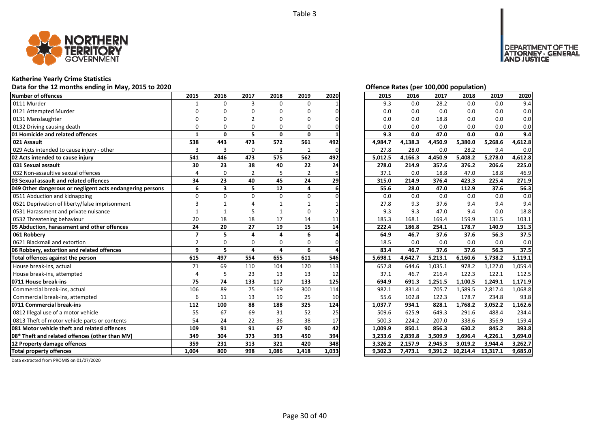

# **Katherine Yearly Crime Statistics**

# Data for the 12 months ending in May, 2015 to 2020 *Data for the 12 months ending in May, 2015 to 2020 Offence Rates (per 100,000 population)*

| Number of offences                                        | 2015           | 2016                    | 2017           | 2018         | 2019           | 2020  | 2015    | 2016    | 2017    | 2018     | 2019     | 2020    |
|-----------------------------------------------------------|----------------|-------------------------|----------------|--------------|----------------|-------|---------|---------|---------|----------|----------|---------|
| 0111 Murder                                               |                | $\Omega$                | 3              | 0            | $\Omega$       |       | 9.3     | 0.0     | 28.2    | 0.0      | 0.0      | 9.4     |
| 0121 Attempted Murder                                     |                |                         | n              | O            | U              |       | 0.0     | 0.0     | 0.0     | 0.0      | 0.0      | 0.0     |
| 0131 Manslaughter                                         |                |                         |                |              | n              |       | 0.0     | 0.0     | 18.8    | 0.0      | 0.0      | 0.0     |
| 0132 Driving causing death                                |                | ŋ                       | $\Omega$       | $\Omega$     | 0              |       | 0.0     | 0.0     | 0.0     | 0.0      | 0.0      | 0.0     |
| 01 Homicide and related offences                          | 1              | $\mathbf{0}$            | 5              | $\mathbf{0}$ | $\mathbf{0}$   |       | 9.3     | 0.0     | 47.0    | 0.0      | 0.0      | 9.4     |
| 021 Assault                                               | 538            | 443                     | 473            | 572          | 561            | 492   | 4,984.7 | 4,138.3 | 4,450.9 | 5,380.0  | 5,268.6  | 4,612.8 |
| 029 Acts intended to cause injury - other                 | 3              | 3                       | $\mathbf 0$    | 3            | $\mathbf{1}$   | 0     | 27.8    | 28.0    | 0.0     | 28.2     | 9.4      | 0.0     |
| 02 Acts intended to cause injury                          | 541            | 446                     | 473            | 575          | 562            | 492   | 5,012.5 | 4,166.3 | 4,450.9 | 5,408.2  | 5,278.0  | 4,612.8 |
| 031 Sexual assault                                        | 30             | 23                      | 38             | 40           | 22             | 24    | 278.0   | 214.9   | 357.6   | 376.2    | 206.6    | 225.0   |
| 032 Non-assaultive sexual offences                        | 4              | $\Omega$                | $\overline{2}$ | 5            | $\overline{2}$ |       | 37.1    | 0.0     | 18.8    | 47.0     | 18.8     | 46.9    |
| 03 Sexual assault and related offences                    | 34             | 23                      | 40             | 45           | 24             | 29    | 315.0   | 214.9   | 376.4   | 423.3    | 225.4    | 271.9   |
| 049 Other dangerous or negligent acts endangering persons | 6              | $\overline{\mathbf{3}}$ | 5              | 12           | 4              |       | 55.6    | 28.0    | 47.0    | 112.9    | 37.6     | 56.3    |
| 0511 Abduction and kidnapping                             | $\Omega$       | $\Omega$                | $\Omega$       | $\Omega$     | $\Omega$       |       | 0.0     | 0.0     | 0.0     | 0.0      | 0.0      | 0.0     |
| 0521 Deprivation of liberty/false imprisonment            |                |                         |                |              |                |       | 27.8    | 9.3     | 37.6    | 9.4      | 9.4      | 9.4     |
| 0531 Harassment and private nuisance                      |                |                         |                |              | O              |       | 9.3     | 9.3     | 47.0    | 9.4      | 0.0      | 18.8    |
| 0532 Threatening behaviour                                | 20             | 18                      | 18             | 17           | 14             | 11    | 185.3   | 168.1   | 169.4   | 159.9    | 131.5    | 103.1   |
| 05 Abduction, harassment and other offences               | 24             | 20                      | 27             | 19           | 15             | 14    | 222.4   | 186.8   | 254.1   | 178.7    | 140.9    | 131.3   |
| 061 Robberv                                               | $\overline{7}$ | 5                       | $\Delta$       | $\Delta$     | 6              |       | 64.9    | 46.7    | 37.6    | 37.6     | 56.3     | 37.5    |
| 0621 Blackmail and extortion                              | $\overline{2}$ | $\Omega$                | $\Omega$       | $\Omega$     | $\Omega$       |       | 18.5    | 0.0     | 0.0     | 0.0      | 0.0      | 0.0     |
| 06 Robbery, extortion and related offences                | 9              | 5                       | 4              | 4            | 6              |       | 83.4    | 46.7    | 37.6    | 37.6     | 56.3     | 37.5    |
| Total offences against the person                         | 615            | 497                     | 554            | 655          | 611            | 546   | 5,698.1 | 4,642.7 | 5,213.1 | 6,160.6  | 5,738.2  | 5,119.1 |
| House break-ins, actual                                   | 71             | 69                      | 110            | 104          | 120            | 113   | 657.8   | 644.6   | 1,035.1 | 978.2    | 1,127.0  | 1,059.4 |
| House break-ins, attempted                                | $\Delta$       | 5                       | 23             | 13           | 13             | 12    | 37.1    | 46.7    | 216.4   | 122.3    | 122.1    | 112.5   |
| 0711 House break-ins                                      | 75             | 74                      | 133            | 117          | 133            | 125   | 694.9   | 691.3   | 1,251.5 | 1,100.5  | 1,249.1  | 1,171.9 |
| Commercial break-ins, actual                              | 106            | 89                      | 75             | 169          | 300            | 114   | 982.1   | 831.4   | 705.7   | 1,589.5  | 2,817.4  | 1,068.8 |
| Commercial break-ins, attempted                           | 6              | 11                      | 13             | 19           | 25             | 10    | 55.6    | 102.8   | 122.3   | 178.7    | 234.8    | 93.8    |
| 0711 Commercial break-ins                                 | 112            | 100                     | 88             | 188          | 325            | 124   | 1,037.7 | 934.1   | 828.1   | 1.768.2  | 3.052.2  | 1,162.6 |
| 0812 Illegal use of a motor vehicle                       | 55             | 67                      | 69             | 31           | 52             | 25    | 509.6   | 625.9   | 649.3   | 291.6    | 488.4    | 234.4   |
| 0813 Theft of motor vehicle parts or contents             | 54             | 24                      | 22             | 36           | 38             | 17    | 500.3   | 224.2   | 207.0   | 338.6    | 356.9    | 159.4   |
| 081 Motor vehicle theft and related offences              | 109            | 91                      | 91             | 67           | 90             | 42    | 1,009.9 | 850.1   | 856.3   | 630.2    | 845.2    | 393.8   |
| 08* Theft and related offences (other than MV)            | 349            | 304                     | 373            | 393          | 450            | 394   | 3,233.6 | 2,839.8 | 3,509.9 | 3,696.4  | 4,226.1  | 3.694.0 |
| 12 Property damage offences                               | 359            | 231                     | 313            | 321          | 420            | 348   | 3,326.2 | 2,157.9 | 2,945.3 | 3,019.2  | 3,944.4  | 3,262.7 |
| <b>Total property offences</b>                            | 1.004          | 800                     | 998            | 1,086        | 1,418          | 1,033 | 9,302.3 | 7,473.1 | 9,391.2 | 10,214.4 | 13,317.1 | 9,685.0 |

DEPARTMENT OF THE<br>ATTORNEY - GENERAL<br>AND JUSTICE

| 2015    | 2016    | 2017    | 2018     | 2019     | 2020    |
|---------|---------|---------|----------|----------|---------|
| 9.3     | 0.0     | 28.2    | 0.0      | 0.0      | 9.4     |
| 0.0     | 0.0     | 0.0     | 0.0      | 0.0      | 0.0     |
| 0.0     | 0.0     | 18.8    | 0.0      | 0.0      | 0.0     |
| 0.0     | 0.0     | 0.0     | 0.0      | 0.0      | 0.0     |
| 9.3     | 0.0     | 47.0    | 0.0      | 0.0      | 9.4     |
| 4,984.7 | 4,138.3 | 4,450.9 | 5,380.0  | 5,268.6  | 4,612.8 |
| 27.8    | 28.0    | 0.0     | 28.2     | 9.4      | 0.0     |
| 5,012.5 | 4,166.3 | 4,450.9 | 5,408.2  | 5,278.0  | 4,612.8 |
| 278.0   | 214.9   | 357.6   | 376.2    | 206.6    | 225.0   |
| 37.1    | 0.0     | 18.8    | 47.0     | 18.8     | 46.9    |
| 315.0   | 214.9   | 376.4   | 423.3    | 225.4    | 271.9   |
| 55.6    | 28.0    | 47.0    | 112.9    | 37.6     | 56.3    |
| 0.0     | 0.0     | 0.0     | 0.0      | 0.0      | 0.0     |
| 27.8    | 9.3     | 37.6    | 9.4      | 9.4      | 9.4     |
| 9.3     | 9.3     | 47.0    | 9.4      | 0.0      | 18.8    |
| 185.3   | 168.1   | 169.4   | 159.9    | 131.5    | 103.1   |
| 222.4   | 186.8   | 254.1   | 178.7    | 140.9    | 131.3   |
| 64.9    | 46.7    | 37.6    | 37.6     | 56.3     | 37.5    |
| 18.5    | 0.0     | 0.0     | 0.0      | 0.0      | 0.0     |
| 83.4    | 46.7    | 37.6    | 37.6     | 56.3     | 37.5    |
| 5,698.1 | 4,642.7 | 5,213.1 | 6,160.6  | 5,738.2  | 5,119.1 |
| 657.8   | 644.6   | 1,035.1 | 978.2    | 1,127.0  | 1,059.4 |
| 37.1    | 46.7    | 216.4   | 122.3    | 122.1    | 112.5   |
| 694.9   | 691.3   | 1,251.5 | 1,100.5  | 1,249.1  | 1,171.9 |
| 982.1   | 831.4   | 705.7   | 1,589.5  | 2,817.4  | 1,068.8 |
| 55.6    | 102.8   | 122.3   | 178.7    | 234.8    | 93.8    |
| 1,037.7 | 934.1   | 828.1   | 1,768.2  | 3,052.2  | 1,162.6 |
| 509.6   | 625.9   | 649.3   | 291.6    | 488.4    | 234.4   |
| 500.3   | 224.2   | 207.0   | 338.6    | 356.9    | 159.4   |
| 1,009.9 | 850.1   | 856.3   | 630.2    | 845.2    | 393.8   |
| 3,233.6 | 2,839.8 | 3,509.9 | 3,696.4  | 4,226.1  | 3,694.0 |
| 3,326.2 | 2,157.9 | 2,945.3 | 3,019.2  | 3,944.4  | 3,262.7 |
| 9,302.3 | 7,473.1 | 9,391.2 | 10,214.4 | 13,317.1 | 9,685.0 |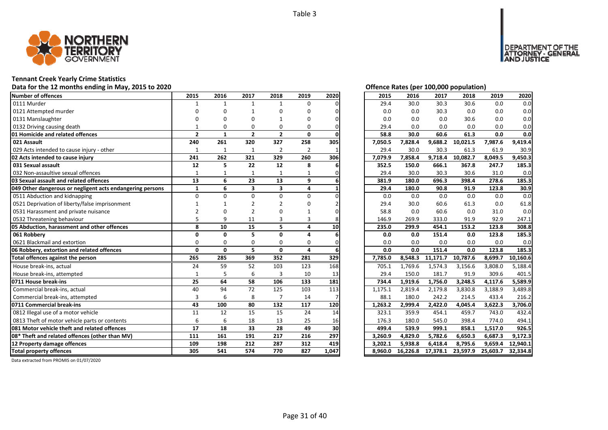

# **Tennant Creek Yearly Crime Statistics**

# Data for the 12 months ending in May, 2015 to 2020<br> **Data for the 12 months ending in May, 2015 to 2020**

| <b>Number of offences</b>                                 | 2015           | 2016         | 2017           | 2018                    | 2019           | 2020  | 2015    | 2016     | 2017     | 2018     | 2019     | 2020     |
|-----------------------------------------------------------|----------------|--------------|----------------|-------------------------|----------------|-------|---------|----------|----------|----------|----------|----------|
| 0111 Murder                                               | $\mathbf 1$    | $\mathbf{1}$ | $\mathbf{1}$   | $\mathbf{1}$            | 0              |       | 29.4    | 30.0     | 30.3     | 30.6     | 0.0      | 0.0      |
| 0121 Attempted murder                                     |                | ŋ            |                | ŋ                       | O              |       | 0.0     | 0.0      | 30.3     | 0.0      | 0.0      | 0.0      |
| 0131 Manslaughter                                         |                | ŋ            | O              |                         | O              |       | 0.0     | 0.0      | 0.0      | 30.6     | 0.0      | 0.0      |
| 0132 Driving causing death                                |                | $\Omega$     | $\Omega$       | O                       | O              |       | 29.4    | 0.0      | 0.0      | 0.0      | 0.0      | 0.0      |
| 01 Homicide and related offences                          | $\overline{2}$ | $\mathbf{1}$ | $\overline{2}$ | $\overline{2}$          | 0              |       | 58.8    | 30.0     | 60.6     | 61.3     | 0.0      | 0.0      |
| 021 Assault                                               | 240            | 261          | 320            | 327                     | 258            | 305   | 7,050.5 | 7,828.4  | 9,688.2  | 10,021.5 | 7,987.6  | 9,419.4  |
| 029 Acts intended to cause injury - other                 | $\mathbf{1}$   | 1            | 1              | $\overline{2}$          | $\overline{2}$ |       | 29.4    | 30.0     | 30.3     | 61.3     | 61.9     | 30.9     |
| 02 Acts intended to cause injury                          | 241            | 262          | 321            | 329                     | 260            | 306   | 7,079.9 | 7,858.4  | 9,718.4  | 10,082.7 | 8,049.5  | 9,450.3  |
| 031 Sexual assault                                        | 12             | 5.           | 22             | 12                      | 8              |       | 352.5   | 150.0    | 666.1    | 367.8    | 247.7    | 185.3    |
| 032 Non-assaultive sexual offences                        |                |              |                |                         |                |       | 29.4    | 30.0     | 30.3     | 30.6     | 31.0     | 0.0      |
| 03 Sexual assault and related offences                    | 13             | 6            | 23             | 13                      | 9              |       | 381.9   | 180.0    | 696.3    | 398.4    | 278.6    | 185.3    |
| 049 Other dangerous or negligent acts endangering persons | $\mathbf{1}$   | 6            | 3              | $\overline{\mathbf{3}}$ | 4              |       | 29.4    | 180.0    | 90.8     | 91.9     | 123.8    | 30.9     |
| 0511 Abduction and kidnapping                             | $\Omega$       | $\Omega$     | $\Omega$       | $\Omega$                | $\Omega$       |       | 0.0     | 0.0      | 0.0      | 0.0      | 0.0      | 0.0      |
| 0521 Deprivation of liberty/false imprisonment            |                |              | $\mathfrak{p}$ | $\mathfrak{p}$          | ŋ              |       | 29.4    | 30.0     | 60.6     | 61.3     | 0.0      | 61.8     |
| 0531 Harassment and private nuisance                      |                |              | $\overline{2}$ |                         |                |       | 58.8    | 0.0      | 60.6     | 0.0      | 31.0     | 0.0      |
| 0532 Threatening behaviour                                |                | q            | 11             | 3                       | 3              |       | 146.9   | 269.9    | 333.0    | 91.9     | 92.9     | 247.1    |
| 05 Abduction, harassment and other offences               | 8              | 10           | 15             | 5                       | 4              | 10    | 235.0   | 299.9    | 454.1    | 153.2    | 123.8    | 308.8    |
| 061 Robbery                                               | $\Omega$       | $\mathbf{0}$ | 5.             | $\Omega$                | 4              |       | 0.0     | 0.0      | 151.4    | 0.0      | 123.8    | 185.3    |
| 0621 Blackmail and extortion                              | $\Omega$       | $\Omega$     | $\Omega$       | $\Omega$                | 0              |       | 0.0     | 0.0      | 0.0      | 0.0      | 0.0      | 0.0      |
| 06 Robbery, extortion and related offences                | 0              | $\Omega$     | 5              | $\Omega$                | 4              | 6     | 0.0     | 0.0      | 151.4    | 0.0      | 123.8    | 185.3    |
| Total offences against the person                         | 265            | 285          | 369            | 352                     | 281            | 329   | 7,785.0 | 8,548.3  | 11,171.7 | 10,787.6 | 8,699.7  | 10,160.6 |
| House break-ins, actual                                   | 24             | 59           | 52             | 103                     | 123            | 168   | 705.1   | 1,769.6  | 1,574.3  | 3,156.6  | 3,808.0  | 5,188.4  |
| House break-ins, attempted                                | $\mathbf{1}$   | 5            | 6              | 3                       | 10             | 13    | 29.4    | 150.0    | 181.7    | 91.9     | 309.6    | 401.5    |
| 0711 House break-ins                                      | 25             | 64           | 58             | 106                     | 133            | 181   | 734.4   | 1,919.6  | 1,756.0  | 3,248.5  | 4,117.6  | 5,589.9  |
| Commercial break-ins, actual                              | 40             | 94           | 72             | 125                     | 103            | 113   | 1,175.1 | 2,819.4  | 2,179.8  | 3,830.8  | 3,188.9  | 3,489.8  |
| Commercial break-ins, attempted                           | 3              | 6            | 8              |                         | 14             |       | 88.1    | 180.0    | 242.2    | 214.5    | 433.4    | 216.2    |
| 0711 Commercial break-ins                                 | 43             | 100          | 80             | 132                     | 117            | 120   | 1,263.2 | 2,999.4  | 2,422.0  | 4,045.4  | 3,622.3  | 3,706.0  |
| 0812 Illegal use of a motor vehicle                       | 11             | 12           | 15             | 15                      | 24             | 14    | 323.1   | 359.9    | 454.1    | 459.7    | 743.0    | 432.4    |
| 0813 Theft of motor vehicle parts or contents             | 6              | 6            | 18             | 13                      | 25             | 16    | 176.3   | 180.0    | 545.0    | 398.4    | 774.0    | 494.1    |
| 081 Motor vehicle theft and related offences              | 17             | 18           | 33             | 28                      | 49             | 30    | 499.4   | 539.9    | 999.1    | 858.1    | 1,517.0  | 926.5    |
| 08* Theft and related offences (other than MV)            | 111            | 161          | 191            | 217                     | 216            | 297   | 3,260.9 | 4,829.0  | 5,782.6  | 6,650.3  | 6,687.3  | 9,172.3  |
| 12 Property damage offences                               | 109            | 198          | 212            | 287                     | 312            | 419   | 3.202.1 | 5,938.8  | 6,418.4  | 8,795.6  | 9.659.4  | 12,940.1 |
| <b>Total property offences</b>                            | 305            | 541          | 574            | 770                     | 827            | 1,047 | 8,960.0 | 16,226.8 | 17,378.1 | 23,597.9 | 25,603.7 | 32,334.8 |

DEPARTMENT OF THE<br>ATTORNEY - GENERAL ÜSTICE

| 2015    | 2016    | 2017     | 2018     | 2019    | 2020                 |
|---------|---------|----------|----------|---------|----------------------|
| 29.4    | 30.0    | 30.3     | 30.6     | 0.0     | 0.0                  |
| 0.0     | 0.0     | 30.3     | 0.0      | 0.0     | 0.0                  |
| 0.0     | 0.0     | 0.0      | 30.6     | 0.0     | 0.0                  |
| 29.4    | 0.0     | 0.0      | 0.0      | 0.0     | 0.0                  |
| 58.8    | 30.0    | 60.6     | 61.3     | 0.0     | 0.0                  |
| 7,050.5 | 7,828.4 | 9,688.2  | 10,021.5 | 7,987.6 | 9,419.4              |
| 29.4    | 30.0    | 30.3     | 61.3     | 61.9    | 30.9                 |
| 7,079.9 | 7,858.4 | 9,718.4  | 10,082.7 | 8,049.5 | 9,450.3              |
| 352.5   | 150.0   | 666.1    | 367.8    | 247.7   | 185.3                |
| 29.4    | 30.0    | 30.3     | 30.6     | 31.0    | 0.0                  |
| 381.9   | 180.0   | 696.3    | 398.4    | 278.6   | 185.3                |
| 29.4    | 180.0   | 90.8     | 91.9     | 123.8   | 30.9                 |
| 0.0     | 0.0     | 0.0      | 0.0      | 0.0     | 0.0                  |
| 29.4    | 30.0    | 60.6     | 61.3     | 0.0     | 61.8                 |
| 58.8    | 0.0     | 60.6     | 0.0      | 31.0    | 0.0                  |
| 146.9   | 269.9   | 333.0    | 91.9     | 92.9    | 247.1                |
|         |         |          |          |         |                      |
| 235.0   | 299.9   | 454.1    | 153.2    | 123.8   | 308.8                |
| 0.0     | 0.0     | 151.4    | 0.0      | 123.8   | 185.3                |
| 0.0     | 0.0     | 0.0      | 0.0      | 0.0     | 0.0                  |
| 0.0     | 0.0     | 151.4    | 0.0      | 123.8   | 185.3                |
| 7,785.0 | 8,548.3 | 11,171.7 | 10,787.6 | 8,699.7 | 10,160.6             |
| 705.1   | 1,769.6 | 1,574.3  | 3,156.6  | 3,808.0 | 5,188.4              |
| 29.4    | 150.0   | 181.7    | 91.9     | 309.6   | 401.5                |
| 734.4   | 1,919.6 | 1,756.0  | 3,248.5  | 4,117.6 | 5,589.9              |
| 1,175.1 | 2,819.4 | 2,179.8  | 3,830.8  | 3,188.9 | 3,489.8              |
| 88.1    | 180.0   | 242.2    | 214.5    | 433.4   | 216.2                |
| 1,263.2 | 2,999.4 | 2,422.0  | 4,045.4  | 3,622.3 | 3,706.0              |
| 323.1   | 359.9   | 454.1    | 459.7    | 743.0   | 432.4                |
| 176.3   | 180.0   | 545.0    | 398.4    | 774.0   | 494.1                |
| 499.4   | 539.9   | 999.1    | 858.1    | 1,517.0 | 926.5                |
| 3,260.9 | 4,829.0 | 5,782.6  | 6,650.3  | 6,687.3 | 9,172.3              |
| 3,202.1 | 5,938.8 | 6,418.4  | 8,795.6  | 9,659.4 | 12,940.1<br>32,334.8 |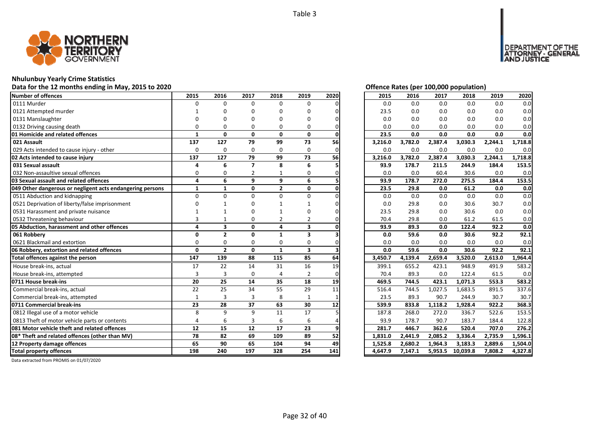

#### **Nhulunbuy Yearly Crime Statistics**

#### **Data for the 12 months ending in May, 2015 to 2020 Offence Rates (per 100,000 population)**

| Number of offences                                        | 2015         | 2016           | 2017                    | 2018           | 2019                    | 2020 | 2015    | 2016    | 2017    | 2018     | 2019    | 2020    |
|-----------------------------------------------------------|--------------|----------------|-------------------------|----------------|-------------------------|------|---------|---------|---------|----------|---------|---------|
| 0111 Murder                                               | 0            | 0              | $\Omega$                | 0              | 0                       |      | 0.0     | 0.0     | 0.0     | 0.0      | 0.0     | 0.0     |
| 0121 Attempted murder                                     |              |                |                         |                | በ                       |      | 23.5    | 0.0     | 0.0     | 0.0      | 0.0     | 0.0     |
| 0131 Manslaughter                                         |              |                |                         |                | n                       |      | 0.0     | 0.0     | 0.0     | 0.0      | 0.0     | 0.0     |
| 0132 Driving causing death                                |              |                | O                       | 0              | O                       |      | 0.0     | 0.0     | 0.0     | 0.0      | 0.0     | 0.0     |
| 01 Homicide and related offences                          | $\mathbf{1}$ | $\mathbf{0}$   | $\mathbf{0}$            | 0              | 0                       |      | 23.5    | 0.0     | 0.0     | 0.0      | 0.0     | 0.0     |
| 021 Assault                                               | 137          | 127            | 79                      | 99             | 73                      | 56   | 3,216.0 | 3,782.0 | 2,387.4 | 3,030.3  | 2,244.1 | 1,718.8 |
| 029 Acts intended to cause injury - other                 | $\Omega$     | $\Omega$       | $\Omega$                | $\Omega$       | $\Omega$                | ი    | 0.0     | 0.0     | 0.0     | 0.0      | 0.0     | 0.0     |
| 02 Acts intended to cause injury                          | 137          | 127            | 79                      | 99             | 73                      | 56   | 3,216.0 | 3,782.0 | 2,387.4 | 3,030.3  | 2,244.1 | 1,718.8 |
| 031 Sexual assault                                        | Δ            | 6              | $\overline{\mathbf{z}}$ | 8              | 6                       |      | 93.9    | 178.7   | 211.5   | 244.9    | 184.4   | 153.5   |
| 032 Non-assaultive sexual offences                        | $\Omega$     | $\Omega$       |                         |                | 0                       |      | 0.0     | 0.0     | 60.4    | 30.6     | 0.0     | 0.0     |
| 03 Sexual assault and related offences                    | 4            | 6              | 9                       | 9              | 6                       |      | 93.9    | 178.7   | 272.0   | 275.5    | 184.4   | 153.5   |
| 049 Other dangerous or negligent acts endangering persons | $\mathbf{1}$ | $\mathbf{1}$   | $\mathbf 0$             | $\overline{2}$ | 0                       |      | 23.5    | 29.8    | 0.0     | 61.2     | 0.0     | 0.0     |
| 0511 Abduction and kidnapping                             | $\Omega$     | $\Omega$       | $\Omega$                | $\Omega$       | $\Omega$                |      | 0.0     | 0.0     | 0.0     | 0.0      | 0.0     | 0.0     |
| 0521 Deprivation of liberty/false imprisonment            |              |                |                         |                |                         |      | 0.0     | 29.8    | 0.0     | 30.6     | 30.7    | 0.0     |
| 0531 Harassment and private nuisance                      |              |                |                         |                |                         |      | 23.5    | 29.8    | $0.0\,$ | 30.6     | 0.0     | 0.0     |
| 0532 Threatening behaviour                                |              |                | O                       | 2              | 2                       |      | 70.4    | 29.8    | 0.0     | 61.2     | 61.5    | 0.0     |
| 05 Abduction, harassment and other offences               | 4            | 3              | $\mathbf{0}$            | 4              | 3                       |      | 93.9    | 89.3    | 0.0     | 122.4    | 92.2    | 0.0     |
| 061 Robbery                                               | $\Omega$     | $\overline{2}$ | 0                       | $\mathbf{1}$   | 3                       |      | 0.0     | 59.6    | 0.0     | 30.6     | 92.2    | 92.1    |
| 0621 Blackmail and extortion                              | $\Omega$     | $\Omega$       | $\Omega$                | $\Omega$       | $\Omega$                |      | 0.0     | 0.0     | 0.0     | 0.0      | 0.0     | 0.0     |
| 06 Robbery, extortion and related offences                | $\Omega$     | $\overline{2}$ | $\Omega$                | $\mathbf{1}$   | $\overline{\mathbf{3}}$ |      | 0.0     | 59.6    | 0.0     | 30.6     | 92.2    | 92.1    |
| Total offences against the person                         | 147          | 139            | 88                      | 115            | 85                      | 64   | 3,450.7 | 4,139.4 | 2,659.4 | 3,520.0  | 2,613.0 | 1,964.4 |
| House break-ins, actual                                   | 17           | 22             | 14                      | 31             | 16                      | 19   | 399.1   | 655.2   | 423.1   | 948.9    | 491.9   | 583.2   |
| House break-ins, attempted                                | 3            | 3              | $\Omega$                | 4              | $\overline{2}$          |      | 70.4    | 89.3    | 0.0     | 122.4    | 61.5    | 0.0     |
| 0711 House break-ins                                      | 20           | 25             | 14                      | 35             | 18                      | 19   | 469.5   | 744.5   | 423.1   | 1,071.3  | 553.3   | 583.2   |
| Commercial break-ins, actual                              | 22           | 25             | 34                      | 55             | 29                      | 11   | 516.4   | 744.5   | 1,027.5 | 1,683.5  | 891.5   | 337.6   |
| Commercial break-ins, attempted                           | $\mathbf{1}$ | 3              | 3                       | 8              | 1                       |      | 23.5    | 89.3    | 90.7    | 244.9    | 30.7    | 30.7    |
| 0711 Commercial break-ins                                 | 23           | 28             | 37                      | 63             | 30                      | 12   | 539.9   | 833.8   | 1,118.2 | 1,928.4  | 922.2   | 368.3   |
| 0812 Illegal use of a motor vehicle                       | 8            | 9              | $\mathbf{q}$            | 11             | 17                      |      | 187.8   | 268.0   | 272.0   | 336.7    | 522.6   | 153.5   |
| 0813 Theft of motor vehicle parts or contents             | $\Delta$     | 6              | 3                       | 6              | 6                       |      | 93.9    | 178.7   | 90.7    | 183.7    | 184.4   | 122.8   |
| 081 Motor vehicle theft and related offences              | 12           | 15             | 12                      | 17             | 23                      |      | 281.7   | 446.7   | 362.6   | 520.4    | 707.0   | 276.2   |
| 08* Theft and related offences (other than MV)            | 78           | 82             | 69                      | 109            | 89                      | 52   | 1.831.0 | 2,441.9 | 2.085.2 | 3,336.4  | 2,735.9 | 1,596.1 |
| 12 Property damage offences                               | 65           | 90             | 65                      | 104            | 94                      | 49   | 1,525.8 | 2,680.2 | 1,964.3 | 3,183.3  | 2,889.6 | 1,504.0 |
| <b>Total property offences</b>                            | 198          | 240            | 197                     | 328            | 254                     | 141  | 4,647.9 | 7,147.1 | 5,953.5 | 10,039.8 | 7,808.2 | 4,327.8 |

DEPARTMENT OF THE<br>ATTORNEY - GENERAL<br>AND JUSTICE

| 2015    | 2016    | 2017                 | 2018     | 2019    | 2020    |
|---------|---------|----------------------|----------|---------|---------|
| 0.0     | 0.0     | 0.0                  | 0.0      | 0.0     | 0.0     |
| 23.5    | 0.0     | 0.0                  | 0.0      | 0.0     | 0.0     |
| 0.0     | 0.0     | 0.0                  | 0.0      | 0.0     | 0.0     |
| 0.0     | 0.0     | 0.0                  | 0.0      | 0.0     | 0.0     |
| 23.5    | 0.0     | 0.0                  | 0.0      | 0.0     | 0.0     |
| 3,216.0 | 3,782.0 | 2,387.4              | 3,030.3  | 2,244.1 | 1,718.8 |
| 0.0     | 0.0     | 0.0                  | 0.0      | 0.0     | 0.0     |
| 3,216.0 | 3,782.0 | 2,387.4              | 3,030.3  | 2,244.1 | 1,718.8 |
| 93.9    | 178.7   | 211.5                | 244.9    | 184.4   | 153.5   |
| 0.0     | 0.0     | 60.4                 | 30.6     | 0.0     | 0.0     |
| 93.9    | 178.7   | 272.0                | 275.5    | 184.4   | 153.5   |
| 23.5    | 29.8    | 0.0                  | 61.2     | 0.0     | 0.0     |
| 0.0     | 0.0     | 0.0                  | 0.0      | 0.0     | 0.0     |
| 0.0     | 29.8    | 0.0                  | 30.6     | 30.7    | 0.0     |
| 23.5    | 29.8    | 0.0                  | 30.6     | 0.0     | 0.0     |
| 70.4    | 29.8    | 0.0                  | 61.2     | 61.5    | 0.0     |
| 93.9    | 89.3    | 0.0                  | 122.4    | 92.2    | 0.0     |
| 0.0     | 59.6    | 0.0                  | 30.6     | 92.2    | 92.1    |
| 0.0     | 0.0     | 0.0                  | 0.0      | 0.0     | 0.0     |
| 0.0     | 59.6    | 0.0                  | 30.6     | 92.2    | 92.1    |
| 3,450.7 | 4,139.4 | 2,659.4              | 3,520.0  | 2,613.0 | 1,964.4 |
| 399.1   | 655.2   | 423.1                | 948.9    | 491.9   | 583.2   |
| 70.4    | 89.3    | 0.0                  | 122.4    | 61.5    | 0.0     |
| 469.5   | 744.5   | 423.1                | 1,071.3  | 553.3   | 583.2   |
| 516.4   | 744.5   | 1,027.5              | 1,683.5  | 891.5   | 337.6   |
| 23.5    | 89.3    | 90.7                 | 244.9    | 30.7    | 30.7    |
| 539.9   | 833.8   | $\overline{1,}118.2$ | 1,928.4  | 922.2   | 368.3   |
| 187.8   | 268.0   | 272.0                | 336.7    | 522.6   | 153.5   |
| 93.9    | 178.7   | 90.7                 | 183.7    | 184.4   | 122.8   |
| 281.7   | 446.7   | 362.6                | 520.4    | 707.0   | 276.2   |
| 1,831.0 | 2,441.9 | 2,085.2              | 3,336.4  | 2,735.9 | 1,596.1 |
| 1,525.8 | 2,680.2 | 1,964.3              | 3,183.3  | 2,889.6 | 1,504.0 |
| 4,647.9 | 7,147.1 | 5,953.5              | 10,039.8 | 7,808.2 | 4,327.8 |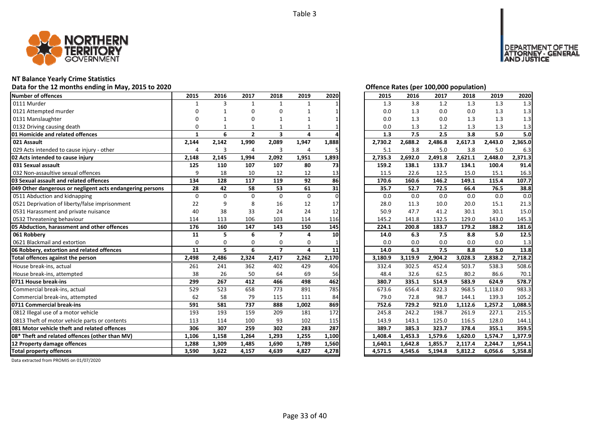

#### **NT Balance Yearly Crime Statistics**

#### **Data for the 12 months ending in May, 2015 to 2020 Offence Rates (per 100,000 population)**

| Number of offences                                        | 2015         | 2016     | 2017           | 2018                     | 2019         | 2020     | 2015    | 2016    | 2017    | 2018    | 2019    | 2020    |
|-----------------------------------------------------------|--------------|----------|----------------|--------------------------|--------------|----------|---------|---------|---------|---------|---------|---------|
| 0111 Murder                                               | $\mathbf{1}$ | 3        | $\mathbf{1}$   | $\mathbf{1}$             | $\mathbf{1}$ |          | 1.3     | 3.8     | 1.2     | 1.3     | 1.3     | 1.3     |
| 0121 Attempted murder                                     |              |          | O              | 0                        |              |          | 0.0     | 1.3     | 0.0     | 0.0     | 1.3     | 1.3     |
| 0131 Manslaughter                                         |              |          | $\Omega$       | 1                        |              |          | 0.0     | 1.3     | 0.0     | 1.3     | 1.3     | 1.3     |
| 0132 Driving causing death                                | $\Omega$     |          |                |                          |              |          | 0.0     | 1.3     | 1.2     | 1.3     | 1.3     | 1.3     |
| 01 Homicide and related offences                          | $\mathbf{1}$ | 6        | $\overline{2}$ | 3                        | 4            |          | 1.3     | 7.5     | 2.5     | 3.8     | 5.0     | 5.0     |
| 021 Assault                                               | 2,144        | 2,142    | 1,990          | 2,089                    | 1,947        | 1,888    | 2,730.2 | 2,688.2 | 2,486.8 | 2,617.3 | 2,443.0 | 2,365.0 |
| 029 Acts intended to cause injury - other                 | 4            | 3        | $\overline{4}$ | 3                        | 4            |          | 5.1     | 3.8     | 5.0     | 3.8     | 5.0     | 6.3     |
| 02 Acts intended to cause injury                          | 2,148        | 2,145    | 1,994          | 2,092                    | 1,951        | 1,893    | 2,735.3 | 2,692.0 | 2,491.8 | 2,621.1 | 2,448.0 | 2,371.3 |
| 031 Sexual assault                                        | 125          | 110      | 107            | 107                      | 80           | 73       | 159.2   | 138.1   | 133.7   | 134.1   | 100.4   | 91.4    |
| 032 Non-assaultive sexual offences                        | q            | 18       | 10             | 12                       | 12           | 13       | 11.5    | 22.6    | 12.5    | 15.0    | 15.1    | 16.3    |
| 03 Sexual assault and related offences                    | 134          | 128      | 117            | 119                      | 92           | 86       | 170.6   | 160.6   | 146.2   | 149.1   | 115.4   | 107.7   |
| 049 Other dangerous or negligent acts endangering persons | 28           | 42       | 58             | 53                       | 61           | 31       | 35.7    | 52.7    | 72.5    | 66.4    | 76.5    | 38.8    |
| 0511 Abduction and kidnapping                             | $\Omega$     | $\Omega$ | $\Omega$       | $\Omega$                 | $\Omega$     | $\Omega$ | 0.0     | 0.0     | 0.0     | 0.0     | 0.0     | 0.0     |
| 0521 Deprivation of liberty/false imprisonment            | 22           | 9        | 8              | 16                       | 12           | 17       | 28.0    | 11.3    | 10.0    | 20.0    | 15.1    | 21.3    |
| 0531 Harassment and private nuisance                      | 40           | 38       | 33             | 24                       | 24           | 12       | 50.9    | 47.7    | 41.2    | 30.1    | 30.1    | 15.0    |
| 0532 Threatening behaviour                                | 114          | 113      | 106            | 103                      | 114          | 116      | 145.2   | 141.8   | 132.5   | 129.0   | 143.0   | 145.3   |
| 05 Abduction, harassment and other offences               | 176          | 160      | 147            | 143                      | 150          | 145      | 224.1   | 200.8   | 183.7   | 179.2   | 188.2   | 181.6   |
| 061 Robbery                                               | 11           | 5        | 6              | $\overline{\phantom{a}}$ | 4            | 10       | 14.0    | 6.3     | 7.5     | 8.8     | 5.0     | 12.5    |
| 0621 Blackmail and extortion                              | $\Omega$     | 0        | $\Omega$       | 0                        | 0            |          | 0.0     | 0.0     | 0.0     | 0.0     | 0.0     | 1.3     |
| 06 Robbery, extortion and related offences                | 11           | 5        | 6              | $\overline{ }$           | 4            | 11       | 14.0    | 6.3     | 7.5     | 8.8     | 5.0     | 13.8    |
| Total offences against the person                         | 2,498        | 2,486    | 2,324          | 2,417                    | 2,262        | 2,170    | 3,180.9 | 3,119.9 | 2,904.2 | 3,028.3 | 2,838.2 | 2,718.2 |
| House break-ins, actual                                   | 261          | 241      | 362            | 402                      | 429          | 406      | 332.4   | 302.5   | 452.4   | 503.7   | 538.3   | 508.6   |
| House break-ins, attempted                                | 38           | 26       | 50             | 64                       | 69           | 56       | 48.4    | 32.6    | 62.5    | 80.2    | 86.6    | 70.1    |
| 0711 House break-ins                                      | 299          | 267      | 412            | 466                      | 498          | 462      | 380.7   | 335.1   | 514.9   | 583.9   | 624.9   | 578.7   |
| Commercial break-ins, actual                              | 529          | 523      | 658            | 773                      | 891          | 785      | 673.6   | 656.4   | 822.3   | 968.5   | 1,118.0 | 983.3   |
| Commercial break-ins, attempted                           | 62           | 58       | 79             | 115                      | 111          | 84       | 79.0    | 72.8    | 98.7    | 144.1   | 139.3   | 105.2   |
| 0711 Commercial break-ins                                 | 591          | 581      | 737            | 888                      | 1,002        | 869      | 752.6   | 729.2   | 921.0   | 1,112.6 | 1,257.2 | 1,088.5 |
| 0812 Illegal use of a motor vehicle                       | 193          | 193      | 159            | 209                      | 181          | 172      | 245.8   | 242.2   | 198.7   | 261.9   | 227.1   | 215.5   |
| 0813 Theft of motor vehicle parts or contents             | 113          | 114      | 100            | 93                       | 102          | 115      | 143.9   | 143.1   | 125.0   | 116.5   | 128.0   | 144.1   |
| <b>1081 Motor vehicle theft and related offences</b>      | 306          | 307      | 259            | 302                      | 283          | 287      | 389.7   | 385.3   | 323.7   | 378.4   | 355.1   | 359.5   |
| 08* Theft and related offences (other than MV)            | 1,106        | 1,158    | 1,264          | 1,293                    | 1,255        | 1,100    | 1,408.4 | 1,453.3 | 1,579.6 | 1,620.0 | 1,574.7 | 1,377.9 |
| 12 Property damage offences                               | 1,288        | 1,309    | 1,485          | 1,690                    | 1,789        | 1,560    | 1,640.1 | 1,642.8 | 1,855.7 | 2,117.4 | 2,244.7 | 1,954.1 |
| <b>Total property offences</b>                            | 3,590        | 3,622    | 4,157          | 4,639                    | 4,827        | 4,278    | 4,571.5 | 4,545.6 | 5,194.8 | 5,812.2 | 6,056.6 | 5,358.8 |

| Offence Rates (per 100.000 population) |  |  |  |
|----------------------------------------|--|--|--|

DEPARTMENT OF THE<br>ATTORNEY - GENERAL<br>AND JUSTICE

| 2015    | 2016    | 2017    | 2018    | 2019    | 2020    |
|---------|---------|---------|---------|---------|---------|
| 1.3     | 3.8     | 1.2     | 1.3     | 1.3     | 1.3     |
| 0.0     | 1.3     | 0.0     | 0.0     | 1.3     | 1.3     |
| 0.0     | 1.3     | 0.0     | 1.3     | 1.3     | 1.3     |
| 0.0     | 1.3     | 1.2     | 1.3     | 1.3     | 1.3     |
| 1.3     | 7.5     | 2.5     | 3.8     | 5.0     | 5.0     |
| 2,730.2 | 2,688.2 | 2,486.8 | 2,617.3 | 2,443.0 | 2,365.0 |
| 5.1     | 3.8     | 5.0     | 3.8     | 5.0     | 6.3     |
| 2,735.3 | 2,692.0 | 2,491.8 | 2,621.1 | 2,448.0 | 2,371.3 |
| 159.2   | 138.1   | 133.7   | 134.1   | 100.4   | 91.4    |
| 11.5    | 22.6    | 12.5    | 15.0    | 15.1    | 16.3    |
| 170.6   | 160.6   | 146.2   | 149.1   | 115.4   | 107.7   |
| 35.7    | 52.7    | 72.5    | 66.4    | 76.5    | 38.8    |
| 0.0     | 0.0     | 0.0     | 0.0     | 0.0     | 0.0     |
| 28.0    | 11.3    | 10.0    | 20.0    | 15.1    | 21.3    |
| 50.9    | 47.7    | 41.2    | 30.1    | 30.1    | 15.0    |
| 145.2   | 141.8   | 132.5   | 129.0   | 143.0   | 145.3   |
| 224.1   | 200.8   | 183.7   | 179.2   | 188.2   | 181.6   |
| 14.0    | 6.3     | 7.5     | 8.8     | 5.0     | 12.5    |
| 0.0     | 0.0     | 0.0     | 0.0     | 0.0     | 1.3     |
| 14.0    | 6.3     | 7.5     | 8.8     | 5.0     | 13.8    |
| 3,180.9 | 3,119.9 | 2,904.2 | 3,028.3 | 2,838.2 | 2,718.2 |
| 332.4   | 302.5   | 452.4   | 503.7   | 538.3   | 508.6   |
| 48.4    | 32.6    | 62.5    | 80.2    | 86.6    | 70.1    |
| 380.7   | 335.1   | 514.9   | 583.9   | 624.9   | 578.7   |
| 673.6   | 656.4   | 822.3   | 968.5   | 1,118.0 | 983.3   |
| 79.0    | 72.8    | 98.7    | 144.1   | 139.3   | 105.2   |
| 752.6   | 729.2   | 921.0   | 1,112.6 | 1,257.2 | 1,088.5 |
| 245.8   | 242.2   | 198.7   | 261.9   | 227.1   | 215.5   |
| 143.9   | 143.1   | 125.0   | 116.5   | 128.0   | 144.1   |
| 389.7   | 385.3   | 323.7   | 378.4   | 355.1   | 359.5   |
| 1,408.4 | 1,453.3 | 1,579.6 | 1,620.0 | 1,574.7 | 1,377.9 |
| 1,640.1 | 1,642.8 | 1,855.7 | 2,117.4 | 2,244.7 | 1,954.1 |
| 4,571.5 | 4,545.6 | 5,194.8 | 5,812.2 | 6,056.6 | 5,358.8 |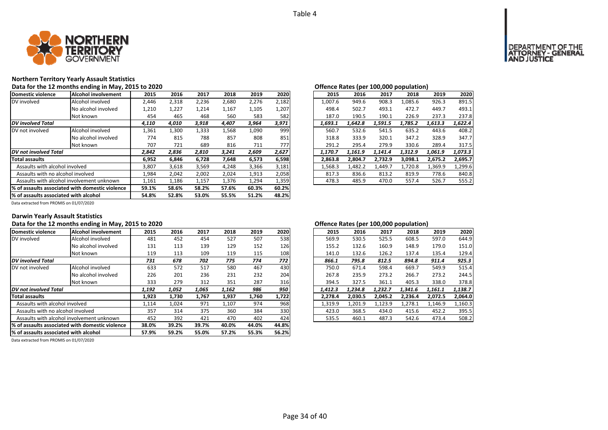

# **Northern Territory Yearly Assault Statistics**

|                                       | Data for the 12 months ending in May, 2015 to 2020 |       |       |       |       |       |       | Offence Rates (per 100,000 population)                         |
|---------------------------------------|----------------------------------------------------|-------|-------|-------|-------|-------|-------|----------------------------------------------------------------|
| Domestic violence                     | <b>Alcohol involvement</b>                         | 2015  | 2016  | 2017  | 2018  | 2019  | 2020  | 2020<br>2019<br>2015<br>2016<br>2017<br>2018                   |
| DV involved                           | Alcohol involved                                   | 2,446 | 2,318 | 2,236 | 2,680 | 2,276 | 2,182 | 908.3<br>926.3<br>891.5<br>1.007.6<br>949.6<br>1,085.6         |
|                                       | No alcohol involved                                | 1,210 | 1,227 | 1,214 | 1,167 | 1,105 | 1,207 | 493.1<br>498.4<br>502.7<br>493.1<br>472.7<br>449.7             |
|                                       | Not known                                          | 454   | 465   | 468   | 560   | 583   | 582   | 237.8<br>187.0<br>237.3<br>226.9<br>190.5<br>190.1             |
| <b>DV</b> involved Total              |                                                    | 4,110 | 4,010 | 3,918 | 4,407 | 3,964 | 3,971 | 1,622.4<br>1,693.1<br>1,642.8<br>1,591.5<br>1,785.2<br>1,613.3 |
| DV not involved                       | Alcohol involved                                   | 1,361 | 1,300 | 1,333 | 1,568 | 1,090 | 999   | 408.2<br>560.7<br>532.6<br>635.2<br>443.6<br>541.5             |
|                                       | No alcohol involved                                | 774   | 815   | 788   | 857   | 808   | 851   | 347.7<br>333.9<br>347.2<br>328.9<br>318.8<br>320.1             |
|                                       | Not known                                          | 707   | 721   | 689   | 816   | 711   | 777   | 317.5<br>291.2<br>295.4<br>279.9<br>330.6<br>289.4             |
| DV not involved Total                 |                                                    | 2,842 | 2,836 | 2,810 | 3,241 | 2,609 | 2,627 | 1,073.3<br>1.161.9<br>1,312.9<br>1,170.7<br>1.141.4<br>1,061.9 |
| <b>Total assaults</b>                 |                                                    | 6,952 | 6,846 | 6,728 | 7,648 | 6,573 | 6,598 | 2,695.7<br>2,863.8<br>2,804.7<br>2,675.2<br>2,732.9<br>3,098.1 |
| Assaults with alcohol involved        |                                                    | 3,807 | 3,618 | 3,569 | 4,248 | 3,366 | 3,181 | 1,299.6<br>1,568.3<br>1,482.2<br>1,720.8<br>1,369.9<br>1.449.7 |
| Assaults with no alcohol involved     |                                                    | 1,984 | 2,042 | 2,002 | 2,024 | 1,913 | 2,058 | 778.6<br>817.3<br>836.6<br>813.2<br>819.9<br>840.8             |
|                                       | Assaults with alcohol involvement unknown          | 1,161 | 1,186 | 1,157 | 1,376 | 1,294 | 1,359 | 526.7<br>555.2<br>557.4<br>478.3<br>485.9<br>470.0             |
|                                       | % of assaults associated with domestic violence    | 59.1% | 58.6% | 58.2% | 57.6% | 60.3% | 60.2% |                                                                |
| % of assaults associated with alcohol |                                                    | 54.8% | 52.8% | 53.0% | 55.5% | 51.2% | 48.2% |                                                                |

|                                       | Offence Rates (per 100,000 population) |         |         |         |         |         |
|---------------------------------------|----------------------------------------|---------|---------|---------|---------|---------|
| 2020                                  | 2015                                   | 2016    | 2017    | 2018    | 2019    | 2020    |
| 182                                   | 1,007.6                                | 949.6   | 908.3   | 1.085.6 | 926.3   | 891.5   |
| .,207                                 | 498.4                                  | 502.7   | 493.1   | 472.7   | 449.7   | 493.1   |
| 582                                   | 187.0                                  | 190.5   | 190.1   | 226.9   | 237.3   | 237.8   |
| .971                                  | 1,693.1                                | 1,642.8 | 1,591.5 | 1,785.2 | 1,613.3 | 1,622.4 |
| 999                                   | 560.7                                  | 532.6   | 541.5   | 635.2   | 443.6   | 408.2   |
| 851                                   | 318.8                                  | 333.9   | 320.1   | 347.2   | 328.9   | 347.7   |
| 777                                   | 291.2                                  | 295.4   | 279.9   | 330.6   | 289.4   | 317.5   |
|                                       | 1.170.7                                | 1.161.9 | 1.141.4 | 1,312.9 | 1.061.9 | 1,073.3 |
|                                       | 2,863.8                                | 2.804.7 | 2.732.9 | 3.098.1 | 2,675.2 | 2,695.7 |
|                                       | 1,568.3                                | 1,482.2 | 1,449.7 | 1,720.8 | 1,369.9 | 1,299.6 |
|                                       | 817.3                                  | 836.6   | 813.2   | 819.9   | 778.6   | 840.8   |
|                                       | 478.3                                  | 485.9   | 470.0   | 557.4   | 526.7   | 555.2   |
| ,627<br>598,<br>,181<br>,058<br>.,359 |                                        |         |         |         |         |         |

Data extracted from PROMIS on 01/07/2020

#### **Darwin Yearly Assault Statistics**

# Data for the 12 months ending in May, 2015 to 2020<br>**Data for the 12 months ending in May, 2015 to 2020** *Depending to the Community Community Community Community Community Community Community Community Community Community*

| Domestic violence                     | Alcohol involvement                             | 2015  | 2016  | 2017  | 2018  | 2019  | 2020  | 2015    | 2016    | 2017    | 2018    | 2019    | 2020    |
|---------------------------------------|-------------------------------------------------|-------|-------|-------|-------|-------|-------|---------|---------|---------|---------|---------|---------|
| DV involved                           | Alcohol involved                                | 481   | 452   | 454   | 527   | 507   | 538   | 569.9   | 530.5   | 525.5   | 608.5   | 597.0   | 644.9   |
|                                       | No alcohol involved                             | 131   | 113   | 139   | 129   | 152   | 126   | 155.2   | 132.6   | 160.9   | 148.9   | 179.0   | 151.0   |
|                                       | Not known                                       | 119   | 113   | 109   | 119   | 115   | 108   | 141.0   | 132.6   | 126.2   | 137.4   | 135.4   | 129.4   |
| <b>DV</b> involved Total              |                                                 | 731   | 678   | 702   | 775   | 774   | 772   | 866.1   | 795.8   | 812.5   | 894.8   | 911.4   | 925.3   |
| DV not involved                       | Alcohol involved                                | 633   | 572   | 517   | 580   | 467   | 430   | 750.0   | 671.4   | 598.4   | 669.7   | 549.9   | 515.4   |
|                                       | No alcohol involved                             | 226   | 201   | 236   | 231   | 232   | 204   | 267.8   | 235.9   | 273.2   | 266.7   | 273.2   | 244.5   |
|                                       | Not known                                       | 333   | 279   | 312   | 351   | 287   | 316   | 394.5   | 327.5   | 361.1   | 405.3   | 338.0   | 378.8   |
| DV not involved Total                 |                                                 | 1,192 | 1,052 | 1,065 | 1,162 | 986   | 950   | 1.412.3 | 1.234.8 | 1.232.7 | 1.341.6 | 1,161.1 | 1,138.7 |
| <b>Total assaults</b>                 |                                                 | 1,923 | 1,730 | 1,767 | 1,937 | 1,760 | 1,722 | 2.278.4 | 2,030.5 | 2.045.2 | 2,236.4 | 2,072.5 | 2.064.0 |
| Assaults with alcohol involved        |                                                 | 1,114 | 1,024 | 971   | 1,107 | 974   | 968   | 1,319.9 | 1,201.9 | 1,123.9 | 1,278.1 | 1,146.9 | 1,160.3 |
| Assaults with no alcohol involved     |                                                 | 357   | 314   | 375   | 360   | 384   | 330   | 423.0   | 368.5   | 434.0   | 415.6   | 452.2   | 395.5   |
|                                       | Assaults with alcohol involvement unknown       | 452   | 392   | 421   | 470   | 402   | 424   | 535.5   | 460.1   | 487.3   | 542.6   | 473.4   | 508.2   |
|                                       | % of assaults associated with domestic violence | 38.0% | 39.2% | 39.7% | 40.0% | 44.0% | 44.8% |         |         |         |         |         |         |
| % of assaults associated with alcohol |                                                 | 57.9% | 59.2% | 55.0% | 57.2% | 55.3% | 56.2% |         |         |         |         |         |         |

Data extracted from PROMIS on 01/07/2020

| 2015    | 2016    | 2017    | 2018    | 2019    | 2020    |
|---------|---------|---------|---------|---------|---------|
| 569.9   | 530.5   | 525.5   | 608.5   | 597.0   | 644.9   |
| 155.2   | 132.6   | 160.9   | 148.9   | 179.0   | 151.0   |
| 141.0   | 132.6   | 126.2   | 137.4   | 135.4   | 129.4   |
| 866.1   | 795.8   | 812.5   | 894.8   | 911.4   | 925.3   |
| 750.0   | 671.4   | 598.4   | 669.7   | 549.9   | 515.4   |
| 267.8   | 235.9   | 273.2   | 266.7   | 273.2   | 244.5   |
| 394.5   | 327.5   | 361.1   | 405.3   | 338.0   | 378.8   |
| 1.412.3 | 1.234.8 | 1.232.7 | 1.341.6 | 1.161.1 | 1.138.7 |
| 2,278.4 | 2,030.5 | 2,045.2 | 2,236.4 | 2,072.5 | 2,064.0 |
| 1,319.9 | 1,201.9 | 1.123.9 | 1,278.1 | 1,146.9 | 1,160.3 |
| 423.0   | 368.5   | 434.0   | 415.6   | 452.2   | 395.5   |
| 535.5   | 460.1   | 487.3   | 542.6   | 473.4   | 508.2   |
|         |         |         |         |         |         |

# T OF THE<br>GENERAL DEPAR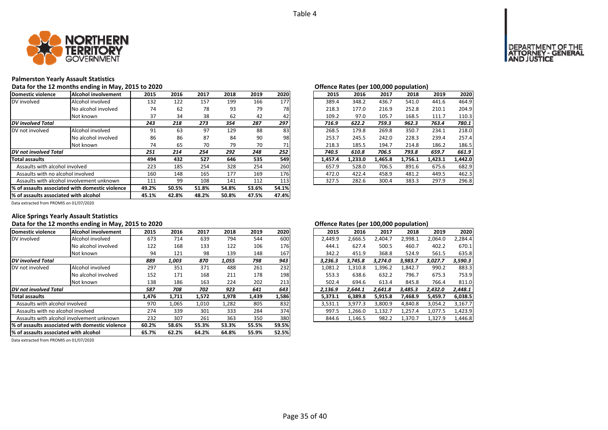

## **Palmerston Yearly Assault Statistics**

#### **Data for the 12 months ending in May, 2015 to 2020 Offence Rates (per 100,000 population)**

| Domestic violence                      | Alcohol involvement                              | 2015  | 2016  | 2017  | 2018  | 2019  | 2020  | 2015    | 2016    | 2017    | 2018    | 2019    | 2020    |
|----------------------------------------|--------------------------------------------------|-------|-------|-------|-------|-------|-------|---------|---------|---------|---------|---------|---------|
| DV involved                            | Alcohol involved                                 | 132   | 122   | 157   | 199   | 166   | 177   | 389.4   | 348.2   | 436.7   | 541.0   | 441.6   | 464.9   |
|                                        | No alcohol involved                              | 74    | 62    | 78    | 93    | 79    | 78    | 218.3   | 177.0   | 216.9   | 252.8   | 210.1   | 204.9   |
|                                        | Not known                                        | 37    | 34    | 38    | 62    | 42    | 42    | 109.2   | 97.0    | 105.7   | 168.5   | 111.7   | 110.3   |
| <b>DV</b> involved Total               |                                                  | 243   | 218   | 273   | 354   | 287   | 297   | 716.9   | 622.2   | 759.3   | 962.3   | 763.4   | 780.1   |
| DV not involved                        | Alcohol involved                                 | 91    | 63    | 97    | 129   | 88    | 83    | 268.5   | 179.8   | 269.8   | 350.7   | 234.1   | 218.0   |
|                                        | No alcohol involved                              | 86    | 86    | 87    | 84    | 90    | 98    | 253.7   | 245.5   | 242.0   | 228.3   | 239.4   | 257.4   |
|                                        | Not known                                        | 74    | 65    | 70    | 79    | 70    | 71    | 218.3   | 185.5   | 194.7   | 214.8   | 186.2   | 186.5   |
| DV not involved Total                  |                                                  | 251   | 214   | 254   | 292   | 248   | 252   | 740.5   | 610.8   | 706.5   | 793.8   | 659.7   | 661.9   |
| <b>Total assaults</b>                  |                                                  | 494   | 432   | 527   | 646   | 535   | 549   | 1.457.4 | 1.233.0 | 1.465.8 | 1.756.1 | 1.423.1 | 1.442.0 |
| Assaults with alcohol involved         |                                                  | 223   | 185   | 254   | 328   | 254   | 260   | 657.9   | 528.0   | 706.5   | 891.6   | 675.6   | 682.9   |
| Assaults with no alcohol involved      |                                                  | 160   | 148   | 165   | 177   | 169   | 176   | 472.0   | 422.4   | 458.9   | 481.2   | 449.5   | 462.3   |
|                                        | Assaults with alcohol involvement unknown        | 111   | 99    | 108   | 141   | 112   | 113   | 327.5   | 282.6   | 300.4   | 383.3   | 297.9   | 296.8   |
|                                        | 1% of assaults associated with domestic violence | 49.2% | 50.5% | 51.8% | 54.8% | 53.6% | 54.1% |         |         |         |         |         |         |
| 1% of assaults associated with alcohol |                                                  | 45.1% | 42.8% | 48.2% | 50.8% | 47.5% | 47.4% |         |         |         |         |         |         |

Data extracted from PROMIS on 01/07/2020

# **Alice Springs Yearly Assault Statistics**

| Domestic violence                 | Alcohol involvement                             | 2015  | 2016  | 2017  | 2018  | 2019  | 2020  | 2015    | 2016    | 2017    | 2018    | 2019    | 2020    |
|-----------------------------------|-------------------------------------------------|-------|-------|-------|-------|-------|-------|---------|---------|---------|---------|---------|---------|
| DV involved                       | Alcohol involved                                | 673   | 714   | 639   | 794   | 544   | 600   | 2,449.9 | 2,666.5 | 2,404.7 | 2,998.1 | 2,064.0 | 2,284.4 |
|                                   | No alcohol involved                             | 122   | 168   | 133   | 122   | 106   | 176   | 444.1   | 627.4   | 500.5   | 460.7   | 402.2   | 670.1   |
|                                   | Not known                                       | 94    | 121   | 98    | 139   | 148   | 167   | 342.2   | 451.9   | 368.8   | 524.9   | 561.5   | 635.8   |
| <b>DV</b> involved Total          |                                                 | 889   | 1,003 | 870   | 1,055 | 798   | 943   | 3,236.3 | 3.745.8 | 3.274.0 | 3,983.7 | 3,027.7 | 3,590.3 |
| DV not involved                   | Alcohol involved                                | 297   | 351   | 371   | 488   | 261   | 232   | 1,081.2 | 1,310.8 | 1,396.2 | 1,842.7 | 990.2   | 883.3   |
|                                   | No alcohol involved                             | 152   | 171   | 168   | 211   | 178   | 198   | 553.3   | 638.6   | 632.2   | 796.7   | 675.3   | 753.9   |
|                                   | Not known                                       | 138   | 186   | 163   | 224   | 202   | 213   | 502.4   | 694.6   | 613.4   | 845.8   | 766.4   | 811.0   |
| DV not involved Total             |                                                 | 587   | 708   | 702   | 923   | 641   | 643   | 2,136.9 | 2,644.1 | 2,641.8 | 3,485.3 | 2,432.0 | 2,448.1 |
| <b>Total assaults</b>             |                                                 | 1,476 | 1,711 | 1,572 | 1,978 | 1,439 | 1,586 | 5,373.1 | 6.389.8 | 5,915.8 | 7,468.9 | 5,459.7 | 6,038.5 |
| Assaults with alcohol involved    |                                                 | 970   | 1,065 | 1.010 | 1,282 | 805   | 832   | 3,531.1 | 3.977.3 | 3.800.9 | 4,840.8 | 3.054.2 | 3,167.7 |
| Assaults with no alcohol involved |                                                 | 274   | 339   | 301   | 333   | 284   | 374   | 997.5   | 1,266.0 | 1,132.7 | 1,257.4 | 1,077.5 | 1,423.9 |
|                                   | Assaults with alcohol involvement unknown       | 232   | 307   | 261   | 363   | 350   | 380   | 844.6   | 1,146.5 | 982.2   | 1,370.7 | 1,327.9 | 1,446.8 |
|                                   | % of assaults associated with domestic violence | 60.2% | 58.6% | 55.3% | 53.3% | 55.5% | 59.5% |         |         |         |         |         |         |
|                                   | % of assaults associated with alcohol           |       | 62.2% | 64.2% | 64.8% | 55.9% | 52.5% |         |         |         |         |         |         |

Data extracted from PROMIS on 01/07/2020

#### **Data for the 12 months ending in May, 2015 to 2020 Offence Rates (per 100,000 population)**

|    |       |       |       |       |       |         |         |         | . .     |         |         |
|----|-------|-------|-------|-------|-------|---------|---------|---------|---------|---------|---------|
| .5 | 2016  | 2017  | 2018  | 2019  | 2020  | 2015    | 2016    | 2017    | 2018    | 2019    | 2020    |
| '3 | 714   | 639   | 794   | 544   | 600   | 2.449.9 | 2,666.5 | 2,404.7 | 2,998.1 | 2.064.0 | 2,284.4 |
| :2 | 168   | 133   | 122   | 106   | 176   | 444.1   | 627.4   | 500.5   | 460.7   | 402.2   | 670.1   |
| 14 | 121   | 98    | 139   | 148   | 167   | 342.2   | 451.9   | 368.8   | 524.9   | 561.5   | 635.8   |
| 9  | 1,003 | 870   | 1.055 | 798   | 943   | 3.236.3 | 3.745.8 | 3.274.0 | 3.983.7 | 3.027.7 | 3,590.3 |
| 17 | 351   | 371   | 488   | 261   | 232   | 1.081.2 | 1.310.8 | 1.396.2 | 1.842.7 | 990.2   | 883.3   |
| 52 | 171   | 168   | 211   | 178   | 198   | 553.3   | 638.6   | 632.2   | 796.7   | 675.3   | 753.9   |
| 18 | 186   | 163   | 224   | 202   | 213   | 502.4   | 694.6   | 613.4   | 845.8   | 766.4   | 811.0   |
| 7  | 708   | 702   | 923   | 641   | 643   | 2.136.9 | 2.644.1 | 2.641.8 | 3.485.3 | 2.432.0 | 2.448.1 |
| Έ. | 1,711 | 1.572 | 1,978 | 1,439 | 1,586 | 5.373.1 | 6.389.8 | 5,915.8 | 7.468.9 | 5,459.7 | 6,038.5 |
| 'n | 1.065 | 1.010 | 1,282 | 805   | 832   | 3.531.1 | 3.977.3 | 3.800.9 | 4.840.8 | 3.054.2 | 3,167.7 |
| 14 | 339   | 301   | 333   | 284   | 374   | 997.5   | 1.266.0 | 1.132.7 | 1,257.4 | 1.077.5 | 1.423.9 |
| 12 | 307   | 261   | 363   | 350   | 380   | 844.6   | 1,146.5 | 982.2   | 1,370.7 | 1,327.9 | 1,446.8 |
|    |       |       |       |       |       |         |         |         |         |         |         |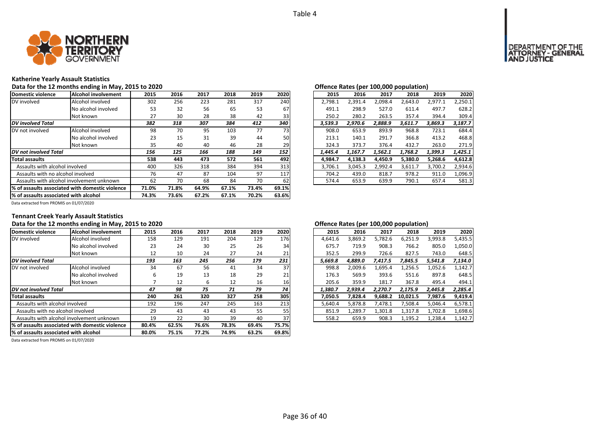

# **Katherine Yearly Assault Statistics**

#### Data for the 12 months ending in May, 2015 to 2020<br>**Data for the 12 months ending in May, 2015 to 2020 Community** and the community offence Rates (per 100,000 population)

| Domestic violence                     | Alcohol involvement                              | 2015  | 2016  | 2017  | 2018  | 2019  | 2020  | 2015    | 2016    | 2017    | 2018    | 2019    | 2020    |
|---------------------------------------|--------------------------------------------------|-------|-------|-------|-------|-------|-------|---------|---------|---------|---------|---------|---------|
| DV involved                           | Alcohol involved                                 | 302   | 256   | 223   | 281   | 317   | 240   | 2,798.1 | 2,391.4 | 2,098.4 | 2,643.0 | 2,977.1 | 2,250.1 |
|                                       | No alcohol involved                              | 53    | 32    | 56    | 65    | 53    | 67    | 491.1   | 298.9   | 527.0   | 611.4   | 497.7   | 628.2   |
|                                       | Not known                                        | 27    | 30    | 28    | 38    | 42    | 33    | 250.2   | 280.2   | 263.5   | 357.4   | 394.4   | 309.4   |
| <b>DV</b> involved Total              |                                                  | 382   | 318   | 307   | 384   | 412   | 340   | 3,539.3 | 2.970.6 | 2.888.9 | 3,611.7 | 3.869.3 | 3,187.7 |
| DV not involved                       | Alcohol involved                                 | 98    | 70    | 95    | 103   | 77    | 73    | 908.0   | 653.9   | 893.9   | 968.8   | 723.1   | 684.4   |
|                                       | No alcohol involved                              | 23    | 15    | 31    | 39    | 44    | 50    | 213.1   | 140.1   | 291.7   | 366.8   | 413.2   | 468.8   |
|                                       | Not known                                        | 35    | 40    | 40    | 46    | 28    | 29    | 324.3   | 373.7   | 376.4   | 432.7   | 263.0   | 271.9   |
| <b>DV</b> not involved Total          |                                                  | 156   | 125   | 166   | 188   | 149   | 152   | 1,445.4 | 1,167.7 | 1.562.1 | 1,768.2 | 1,399.3 | 1,425.1 |
| Total assaults                        |                                                  | 538   | 443   | 473   | 572   | 561   | 492   | 4.984.7 | 4,138.3 | 4.450.9 | 5,380.0 | 5,268.6 | 4,612.8 |
| Assaults with alcohol involved        |                                                  | 400   | 326   | 318   | 384   | 394   | 313   | 3.706.1 | 3,045.3 | 2,992.4 | 3,611.7 | 3,700.2 | 2,934.6 |
| Assaults with no alcohol involved     |                                                  | 76    | 47    | 87    | 104   | 97    | 117   | 704.2   | 439.0   | 818.7   | 978.2   | 911.0   | 1,096.9 |
|                                       | Assaults with alcohol involvement unknown        | 62    | 70    | 68    | 84    | 70    | 62    | 574.4   | 653.9   | 639.9   | 790.1   | 657.4   | 581.3   |
|                                       | 1% of assaults associated with domestic violence | 71.0% | 71.8% | 64.9% | 67.1% | 73.4% | 69.1% |         |         |         |         |         |         |
| % of assaults associated with alcohol |                                                  | 74.3% | 73.6% | 67.2% | 67.1% | 70.2% | 63.6% |         |         |         |         |         |         |

| .5             | 2016 | 2017 | 2018 | 2019 | 2020 | 2015    | 2016    | 2017    | 2018    | 2019    | 2020    |
|----------------|------|------|------|------|------|---------|---------|---------|---------|---------|---------|
| 12             | 256  | 223  | 281  | 317  | 240  | 2.798.1 | 2.391.4 | 2.098.4 | 2.643.0 | 2.977.1 | 2,250.1 |
| 53             | 32   | 56   | 65   | 53   | 67   | 491.1   | 298.9   | 527.0   | 611.4   | 497.7   | 628.2   |
|                | 30   | 28   | 38   | 42   | 33   | 250.2   | 280.2   | 263.5   | 357.4   | 394.4   | 309.4   |
| 2              | 318  | 307  | 384  | 412  | 340  | 3,539.3 | 2,970.6 | 2,888.9 | 3,611.7 | 3,869.3 | 3,187.7 |
| 18             | 70   | 95   | 103  | 77   | 73   | 908.0   | 653.9   | 893.9   | 968.8   | 723.1   | 684.4   |
| :3             | 15   | 31   | 39   | 44   | 50   | 213.1   | 140.1   | 291.7   | 366.8   | 413.2   | 468.8   |
| 15             | 40   | 40   | 46   | 28   | 29   | 324.3   | 373.7   | 376.4   | 432.7   | 263.0   | 271.9   |
| 6              | 125  | 166  | 188  | 149  | 152  | 1.445.4 | 1.167.7 | 1.562.1 | 1.768.2 | 1.399.3 | 1.425.1 |
| 18             | 443  | 473  | 572  | 561  | 492  | 4.984.7 | 4.138.3 | 4.450.9 | 5.380.0 | 5.268.6 | 4,612.8 |
| Ю              | 326  | 318  | 384  | 394  | 313  | 3,706.1 | 3,045.3 | 2,992.4 | 3,611.7 | 3,700.2 | 2,934.6 |
| 6'             | 47   | 87   | 104  | 97   | 117  | 704.2   | 439.0   | 818.7   | 978.2   | 911.0   | 1,096.9 |
| $\overline{2}$ | 70   | 68   | 84   | 70   | 62   | 574.4   | 653.9   | 639.9   | 790.1   | 657.4   | 581.3   |

Data extracted from PROMIS on 01/07/2020

# **Tennant Creek Yearly Assault Statistics**

| Domestic violence                     | Alcohol involvement                             | 2015  | 2016  | 2017  | 2018  | 2019  | 2020  | 2015    | 2016    | 2017    | 2018     | 2019    | 2020    |
|---------------------------------------|-------------------------------------------------|-------|-------|-------|-------|-------|-------|---------|---------|---------|----------|---------|---------|
| DV involved                           | Alcohol involved                                | 158   | 129   | 191   | 204   | 129   | 176   | 4,641.6 | 3,869.2 | 5,782.6 | 6,251.9  | 3,993.8 | 5,435.5 |
|                                       | No alcohol involved                             | 23    | 24    | 30    | 25    | 26    | 34    | 675.7   | 719.9   | 908.3   | 766.2    | 805.0   | 1,050.0 |
|                                       | Not known                                       | 12    | 10    | 24    | 27    | 24    | 21    | 352.5   | 299.9   | 726.6   | 827.5    | 743.0   | 648.5   |
| <b>DV</b> involved Total              |                                                 | 193   | 163   | 245   | 256   | 179   | 231   | 5.669.8 | 4.889.0 | 7,417.5 | 7,845.5  | 5,541.8 | 7,134.0 |
| DV not involved                       | Alcohol involved                                | 34    | 67    | 56    | 41    | 34    | 37    | 998.8   | 2,009.6 | 1,695.4 | .256.5   | 1,052.6 | 1,142.7 |
|                                       | No alcohol involved                             | 6     | 19    | 13    | 18    | 29    | 21    | 176.3   | 569.9   | 393.6   | 551.6    | 897.8   | 648.5   |
|                                       | Not known                                       |       | 12    | b     | 12    | 16    | 16    | 205.6   | 359.9   | 181.7   | 367.8    | 495.4   | 494.1   |
| DV not involved Total                 |                                                 | 47    | 98    | 75    | 71    | 79    | 74    | 1.380.7 | 2.939.4 | 2.270.7 | 2,175.9  | 2,445.8 | 2,285.4 |
| <b>Total assaults</b>                 |                                                 | 240   | 261   | 320   | 327   | 258   | 305   | 7,050.5 | 7.828.4 | 9,688.2 | 10.021.5 | 7,987.6 | 9,419.4 |
| Assaults with alcohol involved        |                                                 | 192   | 196   | 247   | 245   | 163   | 213   | 5,640.4 | 5.878.8 | 7,478.1 | 7,508.4  | 5,046.4 | 6,578.1 |
| Assaults with no alcohol involved     |                                                 | 29    | 43    | 43    | 43    | 55    | 55    | 851.9   | L,289.7 | 1,301.8 | 1,317.8  | 1.702.8 | 1,698.6 |
|                                       | Assaults with alcohol involvement unknown       | 19    | 22    | 30    | 39    | 40    | 37    | 558.2   | 659.9   | 908.3   | 1,195.2  | 1,238.4 | 1,142.7 |
|                                       | % of assaults associated with domestic violence | 80.4% | 62.5% | 76.6% | 78.3% | 69.4% | 75.7% |         |         |         |          |         |         |
| % of assaults associated with alcohol |                                                 | 80.0% | 75.1% | 77.2% | 74.9% | 63.2% | 69.8% |         |         |         |          |         |         |

Data extracted from PROMIS on 01/07/2020

# Data for the 12 months ending in May, 2015 to 2020<br> **Data for the 12 months ending in May, 2015 to 2020**

| .5 | 2016 | 2017 | 2018 | 2019 | 2020            | 2015    | 2016    | 2017    | 2018     | 2019    | 2020    |
|----|------|------|------|------|-----------------|---------|---------|---------|----------|---------|---------|
| 58 | 129  | 191  | 204  | 129  | 176             | 4.641.6 | 3,869.2 | 5,782.6 | 6,251.9  | 3,993.8 | 5,435.5 |
| !3 | 24   | 30   | 25   | 26   | 34              | 675.7   | 719.9   | 908.3   | 766.2    | 805.0   | 1,050.0 |
| .2 | 10   | 24   | 27   | 24   | 21              | 352.5   | 299.9   | 726.6   | 827.5    | 743.0   | 648.5   |
| 3  | 163  | 245  | 256  | 179  | 231             | 5.669.8 | 4.889.0 | 7,417.5 | 7.845.5  | 5.541.8 | 7,134.0 |
| ١4 | 67   | 56   | 41   | 34   | 37              | 998.8   | 2.009.6 | 1,695.4 | 1,256.5  | 1,052.6 | 1,142.7 |
| 6  | 19   | 13   | 18   | 29   | 21              | 176.3   | 569.9   | 393.6   | 551.6    | 897.8   | 648.5   |
| 7  | 12   | 6    | 12   | 16   | 16 <sup>1</sup> | 205.6   | 359.9   | 181.7   | 367.8    | 495.4   | 494.1   |
| 7  | 98   | 75   | 71   | 79   | 74              | 1.380.7 | 2.939.4 | 2.270.7 | 2.175.9  | 2.445.8 | 2,285.4 |
| 10 | 261  | 320  | 327  | 258  | 305             | 7.050.5 | 7.828.4 | 9.688.2 | 10.021.5 | 7.987.6 | 9,419.4 |
| 12 | 196  | 247  | 245  | 163  | 213             | 5.640.4 | 5.878.8 | 7.478.1 | 7.508.4  | 5.046.4 | 6,578.1 |
| و. | 43   | 43   | 43   | 55   | 55              | 851.9   | 1.289.7 | 1.301.8 | 1.317.8  | 1.702.8 | 1,698.6 |
| 9. | 22   | 30   | 39   | 40   | 37              | 558.2   | 659.9   | 908.3   | 1,195.2  | 1.238.4 | 1,142.7 |
|    |      |      |      |      |                 |         |         |         |          |         |         |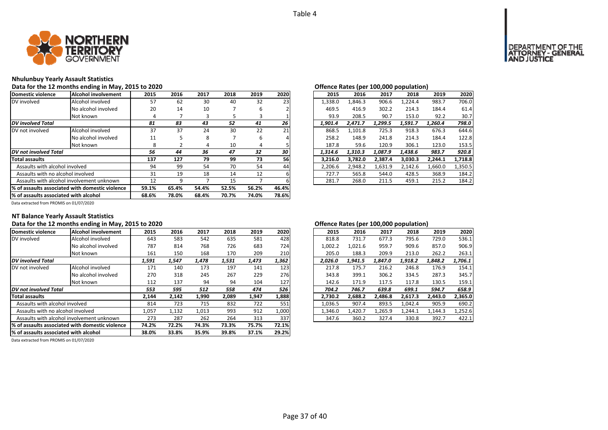

# **Nhulunbuy Yearly Assault Statistics**

# Data for the 12 months ending in May, 2015 to 2020<br> **Data for the 12 months ending in May, 2015 to 2020**

| Domestic violence                     | Alcohol involvement                                               | 2015  | 2016    | 2017  | 2018  | 2019  | 2020  | 2015    | 2016    | 2017    | 2018    | 2019    | 2020    |
|---------------------------------------|-------------------------------------------------------------------|-------|---------|-------|-------|-------|-------|---------|---------|---------|---------|---------|---------|
| DV involved                           | Alcohol involved                                                  | 57    | 62      | 30    | 40    | 32    | 23    | 1,338.0 | 1.846.3 | 906.6   | 1,224.4 | 983.7   | 706.0   |
|                                       | No alcohol involved                                               | 20    | 14      | 10    |       | 6     |       | 469.5   | 416.9   | 302.2   | 214.3   | 184.4   | 61.4    |
|                                       | Not known                                                         | 4     |         |       |       | З     |       | 93.9    | 208.5   | 90.7    | 153.0   | 92.2    | 30.7    |
| <b>DV</b> involved Total              |                                                                   | 81    | 83      | 43    | 52    | 41    | 26    | 1,901.4 | 2,471.7 | 1,299.5 | 1,591.7 | 1,260.4 | 798.0   |
| DV not involved                       | Alcohol involved                                                  | 37    | 37      | 24    | 30    | 22    | 21    | 868.5   | 1.101.8 | 725.3   | 918.3   | 676.3   | 644.6   |
|                                       | No alcohol involved                                               | 11    |         | 8     |       | 6     |       | 258.2   | 148.9   | 241.8   | 214.3   | 184.4   | 122.8   |
|                                       | Not known                                                         | 8     |         | 4     | 10    | 4     |       | 187.8   | 59.6    | 120.9   | 306.1   | 123.0   | 153.5   |
| DV not involved Total                 | 32<br>30<br>56<br>36<br>47<br>44<br>1.314.6<br>1,310.3<br>1.087.9 |       | 1.438.6 | 983.7 | 920.8 |       |       |         |         |         |         |         |         |
| Total assaults                        |                                                                   | 137   | 127     | 79    | 99    | 73    | 56    | 3.216.0 | 3.782.0 | 2.387.4 | 3,030.3 | 2,244.1 | 1,718.8 |
| Assaults with alcohol involved        |                                                                   | 94    | 99      | 54    | 70    | 54    | 44    | 2.206.6 | 2,948.2 | 1,631.9 | 2,142.6 | 1,660.0 | 1,350.5 |
| Assaults with no alcohol involved     |                                                                   | 31    | 19      | 18    | 14    | 12    |       | 727.7   | 565.8   | 544.0   | 428.5   | 368.9   | 184.2   |
|                                       | Assaults with alcohol involvement unknown                         | 12    | 9       |       | 15    |       |       | 281.7   | 268.0   | 211.5   | 459.1   | 215.2   | 184.2   |
|                                       | 1% of assaults associated with domestic violence                  | 59.1% | 65.4%   | 54.4% | 52.5% | 56.2% | 46.4% |         |         |         |         |         |         |
| % of assaults associated with alcohol | 68.6%                                                             | 78.0% | 68.4%   | 70.7% | 74.0% | 78.6% |       |         |         |         |         |         |         |

|            |      |      |      |      |      |         | $\mathbf{r}$ |         |         |         |         |
|------------|------|------|------|------|------|---------|--------------|---------|---------|---------|---------|
| .5         | 2016 | 2017 | 2018 | 2019 | 2020 | 2015    | 2016         | 2017    | 2018    | 2019    | 2020    |
| 57         | 62   | 30   | 40   | 32   | 23   | 1.338.0 | 1.846.3      | 906.6   | 1.224.4 | 983.7   | 706.0   |
| :0         | 14   | 10   |      | 6    |      | 469.5   | 416.9        | 302.2   | 214.3   | 184.4   | 61.4    |
| 4          |      | 3    | 5    | 3    |      | 93.9    | 208.5        | 90.7    | 153.0   | 92.2    | 30.7    |
|            | 83   | 43   | 52   | 41   | 26   | 1.901.4 | 2,471.7      | 1,299.5 | 1,591.7 | 1.260.4 | 798.0   |
| :7         | 37   | 24   | 30   | 22   | 21   | 868.5   | 1,101.8      | 725.3   | 918.3   | 676.3   | 644.6   |
|            | 5    | 8    |      | 6    | 4    | 258.2   | 148.9        | 241.8   | 214.3   | 184.4   | 122.8   |
| 8          |      | 4    | 10   | 4    |      | 187.8   | 59.6         | 120.9   | 306.1   | 123.0   | 153.5   |
| 6          | 44   | 36   | 47   | 32   | 30   | 1.314.6 | 1.310.3      | 1.087.9 | 1.438.6 | 983.7   | 920.8   |
| 7          | 127  | 79   | 99   | 73   | 56   | 3.216.0 | 3,782.0      | 2.387.4 | 3,030.3 | 2.244.1 | 1,718.8 |
| 14         | 99   | 54   | 70   | 54   | 44   | 2,206.6 | 2,948.2      | 1,631.9 | 2.142.6 | 1,660.0 | 1,350.5 |
| $1 \times$ | 19   | 18   | 14   | 12   | 6    | 727.7   | 565.8        | 544.0   | 428.5   | 368.9   | 184.2   |
|            | 9    |      | 15   |      | 6    | 281.7   | 268.0        | 211.5   | 459.1   | 215.2   | 184.2   |
|            |      |      |      |      |      |         |              |         |         |         |         |

Data extracted from PROMIS on 01/07/2020

# **NT Balance Yearly Assault Statistics**

| Domestic violence                      | <b>Alcohol involvement</b>                      | 2015  | 2016  | 2017  | 2018  | 2019  | 2020  | 2015    | 2016    | 2017    | 2018    | 2019    | 2020    |
|----------------------------------------|-------------------------------------------------|-------|-------|-------|-------|-------|-------|---------|---------|---------|---------|---------|---------|
| DV involved                            | Alcohol involved                                | 643   | 583   | 542   | 635   | 581   | 428   | 818.8   | 731.7   | 677.3   | 795.6   | 729.0   | 536.1   |
|                                        | No alcohol involved                             | 787   | 814   | 768   | 726   | 683   | 724   | 1,002.2 | 1.021.6 | 959.7   | 909.6   | 857.0   | 906.9   |
|                                        | Not known                                       | 161   | 150   | 168   | 170   | 209   | 210   | 205.0   | 188.3   | 209.9   | 213.0   | 262.2   | 263.1   |
| <b>DV</b> involved Total               |                                                 | 1,591 | 1,547 | 1,478 | 1,531 | 1,473 | 1,362 | 2,026.0 | 1,941.5 | 1,847.0 | 1,918.2 | 1,848.2 | 1,706.1 |
| <b>IDV</b> not involved                | Alcohol involved                                | 171   | 140   | 173   | 197   | 141   | 123   | 217.8   | 175.7   | 216.2   | 246.8   | 176.9   | 154.1   |
|                                        | No alcohol involved                             | 270   | 318   | 245   | 267   | 229   | 276   | 343.8   | 399.1   | 306.2   | 334.5   | 287.3   | 345.7   |
|                                        | Not known                                       | 112   | 137   | 94    | 94    | 104   | 127   | 142.6   | 171.9   | 117.5   | 117.8   | 130.5   | 159.1   |
| <b>DV</b> not involved Total           |                                                 | 553   | 595   | 512   | 558   | 474   | 526   | 704.2   | 746.7   | 639.8   | 699.1   | 594.7   | 658.9   |
| <b>Total assaults</b>                  |                                                 | 2,144 | 2,142 | 1,990 | 2,089 | 1,947 | 1,888 | 2,730.2 | 2,688.2 | 2,486.8 | 2,617.3 | 2,443.0 | 2,365.0 |
| Assaults with alcohol involved         |                                                 | 814   | 723   | 715   | 832   | 722   | 551   | 1,036.5 | 907.4   | 893.5   | 1,042.4 | 905.9   | 690.2   |
| Assaults with no alcohol involved      |                                                 | 1,057 | 1,132 | 1,013 | 993   | 912   | 1,000 | 1,346.0 | 1,420.7 | 1,265.9 | 1,244.1 | 1,144.3 | 1,252.6 |
|                                        | Assaults with alcohol involvement unknown       | 273   | 287   | 262   | 264   | 313   | 337   | 347.6   | 360.2   | 327.4   | 330.8   | 392.7   | 422.1   |
|                                        | % of assaults associated with domestic violence | 74.2% | 72.2% | 74.3% | 73.3% | 75.7% | 72.1% |         |         |         |         |         |         |
| 1% of assaults associated with alcohol | 38.0%                                           | 33.8% | 35.9% | 39.8% | 37.1% | 29.2% |       |         |         |         |         |         |         |

Data extracted from PROMIS on 01/07/2020

# Data for the 12 months ending in May, 2015 to 2020 *Data for the 12 months ending in May, 2015 to 2020 Degeme 100,000 <b>D and <i>Legen 100,000 population*

| 2016<br>2018<br>2015<br>2017<br>2019<br>677.3<br>818.8<br>731.7<br>795.6<br>729.0<br>1,002.2<br>1,021.6<br>909.6<br>959.7<br>857.0 | 2020    |
|------------------------------------------------------------------------------------------------------------------------------------|---------|
|                                                                                                                                    |         |
|                                                                                                                                    | 536.1   |
|                                                                                                                                    | 906.9   |
| 205.0<br>188.3<br>209.9<br>213.0<br>262.2                                                                                          | 263.1   |
| 1.941.5<br>1.847.0<br>1.918.2<br>2,026.0<br>1.848.2                                                                                | 1,706.1 |
| 217.8<br>216.2<br>175.7<br>246.8<br>176.9                                                                                          | 154.1   |
| 343.8<br>306.2<br>287.3<br>399.1<br>334.5                                                                                          | 345.7   |
| 142.6<br>171.9<br>117.5<br>130.5<br>117.8                                                                                          | 159.1   |
| 704.2<br>639.8<br>699.1<br>746.7<br>594.7                                                                                          | 658.9   |
| 2.617.3<br>2,730.2<br>2,688.2<br>2,486.8<br>2.443.0                                                                                | 2.365.0 |
| 1.042.4<br>1.036.5<br>907.4<br>893.5<br>905.9                                                                                      | 690.2   |
| 1.420.7<br>1.265.9<br>1.244.1<br>1.346.0<br>1.144.3                                                                                | 1.252.6 |
| 347.6<br>360.2<br>327.4<br>330.8<br>392.7                                                                                          | 422.1   |

# T OF THE<br>GENERAL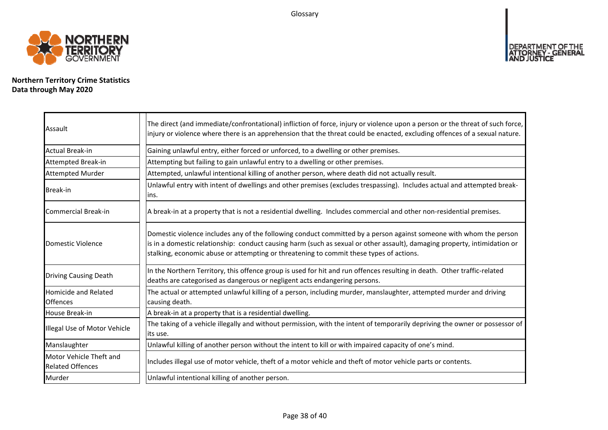Glossary



**Northern Territory Crime Statistics Data through May 2020**

| Assault                                            | The direct (and immediate/confrontational) infliction of force, injury or violence upon a person or the threat of such force,<br>injury or violence where there is an apprehension that the threat could be enacted, excluding offences of a sexual nature.                                                                                |
|----------------------------------------------------|--------------------------------------------------------------------------------------------------------------------------------------------------------------------------------------------------------------------------------------------------------------------------------------------------------------------------------------------|
| Actual Break-in                                    | Gaining unlawful entry, either forced or unforced, to a dwelling or other premises.                                                                                                                                                                                                                                                        |
| Attempted Break-in                                 | Attempting but failing to gain unlawful entry to a dwelling or other premises.                                                                                                                                                                                                                                                             |
| <b>Attempted Murder</b>                            | Attempted, unlawful intentional killing of another person, where death did not actually result.                                                                                                                                                                                                                                            |
| <b>Break-in</b>                                    | Unlawful entry with intent of dwellings and other premises (excludes trespassing). Includes actual and attempted break-<br>lins.                                                                                                                                                                                                           |
| Commercial Break-in                                | A break-in at a property that is not a residential dwelling. Includes commercial and other non-residential premises.                                                                                                                                                                                                                       |
| Domestic Violence                                  | Domestic violence includes any of the following conduct committed by a person against someone with whom the person<br>is in a domestic relationship: conduct causing harm (such as sexual or other assault), damaging property, intimidation or<br>stalking, economic abuse or attempting or threatening to commit these types of actions. |
| <b>Driving Causing Death</b>                       | In the Northern Territory, this offence group is used for hit and run offences resulting in death. Other traffic-related<br>deaths are categorised as dangerous or negligent acts endangering persons.                                                                                                                                     |
| Homicide and Related<br><b>Offences</b>            | The actual or attempted unlawful killing of a person, including murder, manslaughter, attempted murder and driving<br>causing death.                                                                                                                                                                                                       |
| House Break-in                                     | A break-in at a property that is a residential dwelling.                                                                                                                                                                                                                                                                                   |
| Illegal Use of Motor Vehicle                       | The taking of a vehicle illegally and without permission, with the intent of temporarily depriving the owner or possessor of<br>lits use.                                                                                                                                                                                                  |
| Manslaughter                                       | Unlawful killing of another person without the intent to kill or with impaired capacity of one's mind.                                                                                                                                                                                                                                     |
| Motor Vehicle Theft and<br><b>Related Offences</b> | Includes illegal use of motor vehicle, theft of a motor vehicle and theft of motor vehicle parts or contents.                                                                                                                                                                                                                              |
| Murder                                             | Unlawful intentional killing of another person.                                                                                                                                                                                                                                                                                            |

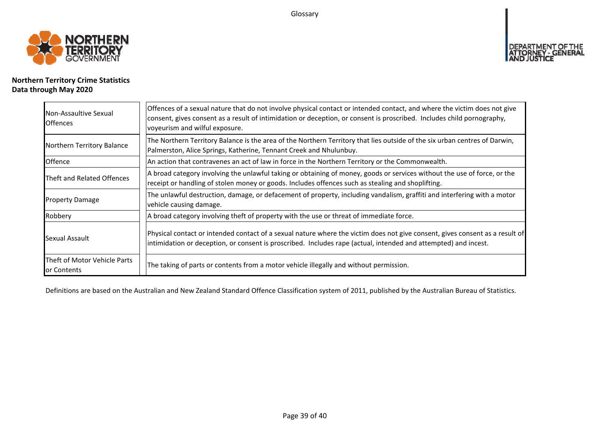Glossary



# **Northern Territory Crime Statistics Data through May 2020**

| Non-Assaultive Sexual<br><b>Offences</b>    | Offences of a sexual nature that do not involve physical contact or intended contact, and where the victim does not give<br>consent, gives consent as a result of intimidation or deception, or consent is proscribed. Includes child pornography,<br>voyeurism and wilful exposure. |
|---------------------------------------------|--------------------------------------------------------------------------------------------------------------------------------------------------------------------------------------------------------------------------------------------------------------------------------------|
| Northern Territory Balance                  | The Northern Territory Balance is the area of the Northern Territory that lies outside of the six urban centres of Darwin,<br>Palmerston, Alice Springs, Katherine, Tennant Creek and Nhulunbuy.                                                                                     |
| Offence                                     | An action that contravenes an act of law in force in the Northern Territory or the Commonwealth.                                                                                                                                                                                     |
| Theft and Related Offences                  | A broad category involving the unlawful taking or obtaining of money, goods or services without the use of force, or the<br>receipt or handling of stolen money or goods. Includes offences such as stealing and shoplifting.                                                        |
| <b>Property Damage</b>                      | The unlawful destruction, damage, or defacement of property, including vandalism, graffiti and interfering with a motor<br>vehicle causing damage.                                                                                                                                   |
| Robbery                                     | A broad category involving theft of property with the use or threat of immediate force.                                                                                                                                                                                              |
| Sexual Assault                              | Physical contact or intended contact of a sexual nature where the victim does not give consent, gives consent as a result of<br>intimidation or deception, or consent is proscribed. Includes rape (actual, intended and attempted) and incest.                                      |
| Theft of Motor Vehicle Parts<br>or Contents | The taking of parts or contents from a motor vehicle illegally and without permission.                                                                                                                                                                                               |

Definitions are based on the Australian and New Zealand Standard Offence Classification system of 2011, published by the Australian Bureau of Statistics.